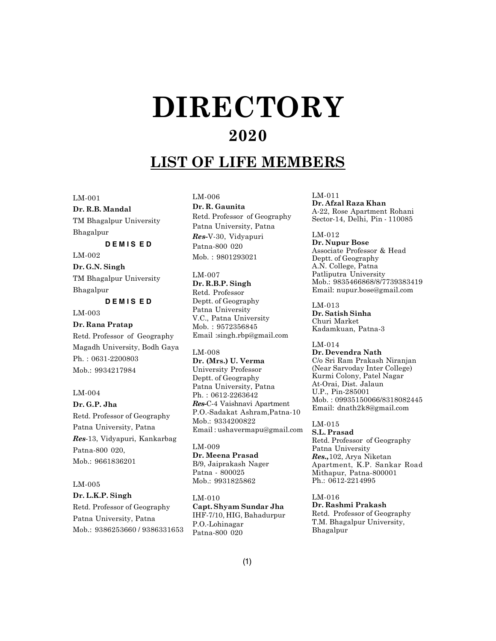# $\bf DIRECTORY$ **2020**

# **LIST OF LIFE MEMBERS**

LM-001

**Dr. R.B. Mandal** TM Bhagalpur University Bhagalpur

#### **D E M I S E D**

LM-002 **Dr. G.N. Singh** TM Bhagalpur University Bhagalpur

# **D E M I S E D**

LM-003

**Dr. Rana Pratap** Retd. Professor of Geography Magadh University, Bodh Gaya Ph. : 0631-2200803 Mob.: 9934217984

#### LM-004

**Dr. G.P. Jha** Retd. Professor of Geography Patna University, Patna *Res*-13, Vidyapuri, Kankarbag Patna-800 020, Mob.: 9661836201

#### LM-005

# **Dr. L.K.P. Singh** Retd. Professor of Geography Patna University, Patna Mob.: 9386253660 / 9386331653

LM-006 **Dr. R. Gaunita** Retd. Professor of Geography Patna University, Patna *Res-*V-30, Vidyapuri Patna-800 020 Mob. : 9801293021

LM-007 **Dr. R.B.P. Singh** Retd. Professor Deptt. of Geography Patna University V.C., Patna University Mob. : 9572356845 Email :singh.rbp@gmail.com

LM-008

**Dr. (Mrs.) U. Verma** University Professor Deptt. of Geography Patna University, Patna Ph. : 0612-2263642 *Res-*C-4 Vaishnavi Apartment P.O.-Sadakat Ashram,Patna-10 Mob.: 9334200822 Email : ushavermapu@gmail.com

LM-009 **Dr. Meena Prasad** B/9, Jaiprakash Nager Patna - 800025 Mob.: 9931825862

LM-010 **Capt. Shyam Sundar Jha** IHF-7/10, HIG, Bahadurpur P.O.-Lohinagar Patna-800 020

LM-011 **Dr. Afzal Raza Khan** A-22, Rose Apartment Rohani Sector-14, Delhi, Pin - 110085

LM-012 **Dr. Nupur Bose** Associate Professor & Head Deptt. of Geography A.N. College, Patna Patliputra University Mob.: 9835466868/8/7739383419 Email: nupur.bose@gmail.com

LM-013 **Dr. Satish Sinha** Churi Market Kadamkuan, Patna-3

LM-014 **Dr. Devendra Nath** C/o Sri Ram Prakash Niranjan (Near Sarvoday Inter College) Kurmi Colony, Patel Nagar At-Orai, Dist. Jalaun U.P., Pin-285001 Mob. : 09935150066/8318082445 Email: dnath2k8@gmail.com

LM-015 **S.L. Prasad** Retd. Professor of Geography Patna University *Res.,*102, Arya Niketan Apartment, K.P. Sankar Road Mithapur, Patna-800001 Ph.: 0612-2214995

LM-016 **Dr. Rashmi Prakash** Retd. Professor of Geography T.M. Bhagalpur University, Bhagalpur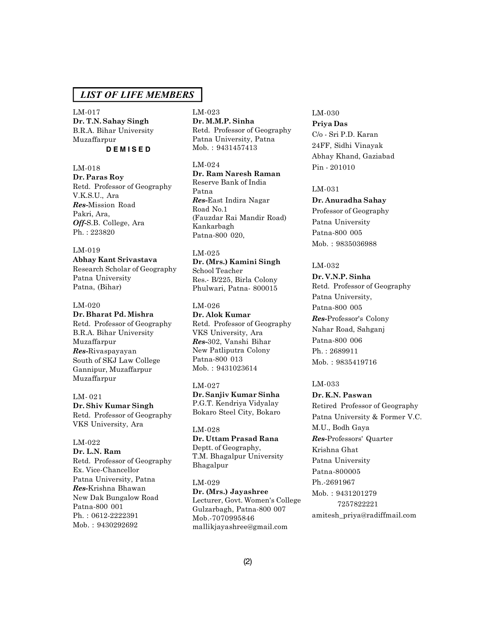LM-017 **Dr. T.N. Sahay Singh** B.R.A. Bihar University Muzaffarpur **D E M I S E D**

#### LM-018

**Dr. Paras Roy** Retd. Professor of Geography V.K.S.U., Ara *Res-*Mission Road Pakri, Ara, *Off-*S.B. College, Ara Ph. : 223820

# LM-019

**Abhay Kant Srivastava** Research Scholar of Geography Patna University Patna, (Bihar)

#### LM-020

#### **Dr. Bharat Pd. Mishra**

Retd. Professor of Geography B.R.A. Bihar University Muzaffarpur *Res-*Rivaspayayan South of SKJ Law College Gannipur, Muzaffarpur Muzaffarpur

LM- 021 **Dr. Shiv Kumar Singh** Retd. Professor of Geography VKS University, Ara

# LM-022

**Dr. L.N. Ram** Retd. Professor of Geography Ex. Vice-Chancellor Patna University, Patna *Res-*Krishna Bhawan New Dak Bungalow Road Patna-800 001 Ph. : 0612-2222391 Mob. : 9430292692

LM-023 **Dr. M.M.P. Sinha** Retd. Professor of Geography Patna University, Patna Mob. : 9431457413

# LM-024

**Dr. Ram Naresh Raman** Reserve Bank of India Patna *Res-*East Indira Nagar Road No.1 (Fauzdar Rai Mandir Road) Kankarbagh Patna-800 020,

# LM-025

**Dr. (Mrs.) Kamini Singh** School Teacher Res.- B/225, Birla Colony Phulwari, Patna- 800015

#### LM-026

**Dr. Alok Kumar** Retd. Professor of Geography VKS University, Ara *Res-*302, Vanshi Bihar New Patliputra Colony Patna-800 013 Mob. : 9431023614

# LM-027

**Dr. Sanjiv Kumar Sinha** P.G.T. Kendriya Vidyalay Bokaro Steel City, Bokaro

LM-028 **Dr. Uttam Prasad Rana** Deptt. of Geography, T.M. Bhagalpur University Bhagalpur

LM-029 **Dr. (Mrs.) Jayashree** Lecturer, Govt. Women's College Gulzarbagh, Patna-800 007 Mob.-7070995846 mallikjayashree@gmail.com

# LM-030 **Priya Das** C/o - Sri P.D. Karan 24FF, Sidhi Vinayak Abhay Khand, Gaziabad Pin - 201010

### LM-031

# **Dr. Anuradha Sahay**

Professor of Geography Patna University Patna-800 005 Mob. : 9835036988

# LM-032

**Dr. V.N.P. Sinha** Retd. Professor of Geography Patna University, Patna-800 005 *Res-*Professor's Colony Nahar Road, Sahganj Patna-800 006 Ph. : 2689911 Mob. : 9835419716

### LM-033

**Dr. K.N. Paswan** Retired Professor of Geography Patna University & Former V.C. M.U., Bodh Gaya *Res-*Professors' Quarter Krishna Ghat Patna University Patna-800005 Ph.-2691967 Mob. : 9431201279 7257822221 amitesh\_priya@radiffmail.com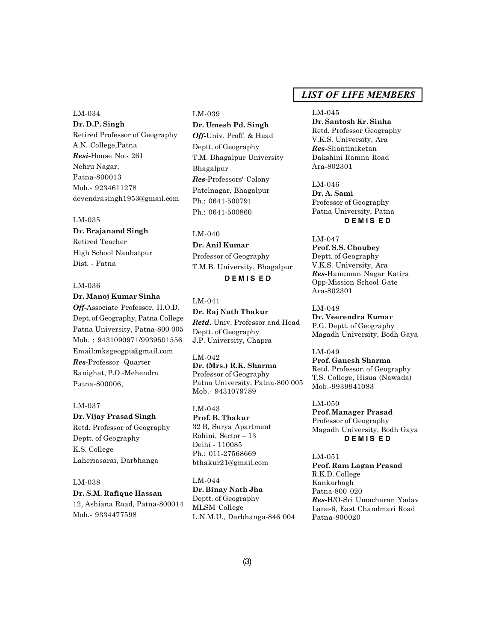LM-034 **Dr. D.P. Singh** Retired Professor of Geography A.N. College,Patna *Resi-*House No.- 261 Nehru Nagar, Patna-800013 Mob.- 9234611278 devendrasingh1953@gmail.com

#### LM-035

**Dr. Brajanand Singh** Retired Teacher High School Naubatpur Dist. - Patna

# LM-036 **Dr. Manoj Kumar Sinha**

*Off-*Associate Professor, H.O.D. Dept. of Geography, Patna College Patna University, Patna-800 005 Mob. : 9431090971/9939501556 Email:mksgeogpu@gmail.com *Res-*Professor Quarter Ranighat, P.O.-Mehendru Patna-800006,

# LM-037

**Dr. Vijay Prasad Singh** Retd. Professor of Geography Deptt. of Geography K.S. College Laheriasarai, Darbhanga

# LM-038

**Dr. S.M. Rafique Hassan** 12, Ashiana Road, Patna-800014 Mob.- 9334477598

LM-039 **Dr. Umesh Pd. Singh** *Off-*Univ. Proff. & Head Deptt. of Geography T.M. Bhagalpur University Bhagalpur *Res-*Professors' Colony Patelnagar, Bhagalpur Ph.: 0641-500791 Ph.: 0641-500860

LM-040 **Dr. Anil Kumar** Professor of Geography T.M.B. University, Bhagalpur **D E M I S E D**

LM-041 **Dr. Raj Nath Thakur** *Retd.* Univ. Professor and Head Deptt. of Geography J.P. University, Chapra

LM-042 **Dr. (Mrs.) R.K. Sharma** Professor of Geography Patna University, Patna-800 005 Mob.- 9431079789

LM-043 **Prof. B. Thakur** 32 B, Surya Apartment Rohini, Sector – 13 Delhi - 110085 Ph.: 011-27568669 bthakur21@gmail.com

LM-044 **Dr. Binay Nath Jha** Deptt. of Geography MLSM College L.N.M.U., Darbhanga-846 004

# *LIST OF LIFE MEMBERS*

LM-045 **Dr. Santosh Kr. Sinha** Retd. Professor Geography V.K.S. University, Ara *Res-*Shantiniketan Dakshini Ramna Road Ara-802301

LM-046 **Dr. A. Sami** Professor of Geography Patna University, Patna **D E M I S E D**

LM-047 **Prof. S.S. Choubey** Deptt. of Geography V.K.S. University, Ara *Res-*Hanuman Nagar Katira Opp-Mission School Gate Ara-802301

LM-048 **Dr. Veerendra Kumar** P.G. Deptt. of Geography Magadh University, Bodh Gaya

LM-049 **Prof. Ganesh Sharma** Retd. Professor. of Geography T.S. College, Hisua (Nawada) Mob.-9939941083

LM-050 **Prof. Manager Prasad** Professor of Geography Magadh University, Bodh Gaya **D E M I S E D**

LM-051 **Prof. Ram Lagan Prasad** R.K.D. College Kankarbagh Patna-800 020 *Res-*H/O-Sri Umacharan Yadav Lane-6, East Chandmari Road Patna-800020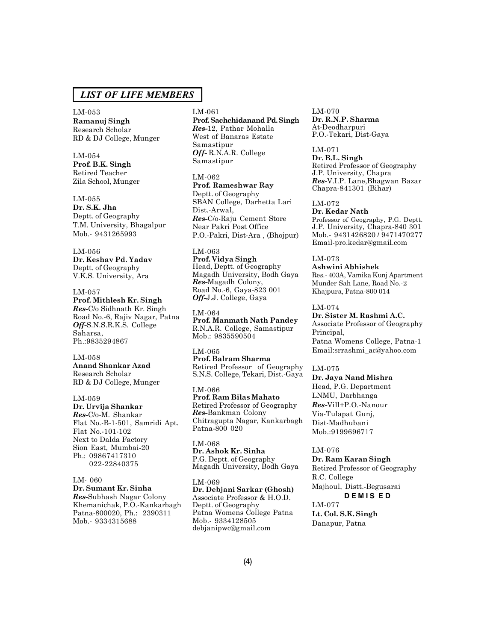#### LM-053

**Ramanuj Singh** Research Scholar RD & DJ College, Munger

LM-054 **Prof. B.K. Singh** Retired Teacher Zila School, Munger

LM-055

**Dr. S.K. Jha** Deptt. of Geography T.M. University, Bhagalpur Mob.- 9431265993

### LM-056

**Dr. Keshav Pd. Yadav** Deptt. of Geography V.K.S. University, Ara

### LM-057

**Prof. Mithlesh Kr. Singh** *Res-*C/o Sidhnath Kr. Singh Road No.-6, Rajiv Nagar, Patna *Off-*S.N.S.R.K.S. College Saharsa, Ph.:9835294867

LM-058 **Anand Shankar Azad** Research Scholar RD & DJ College, Munger

LM-059 **Dr. Urvija Shankar** *Res-*C/o-M. Shankar Flat No.-B-1-501, Samridi Apt. Flat No.-101-102 Next to Dalda Factory Sion East, Mumbai-20 Ph.: 09867417310 022-22840375

LM- 060 **Dr. Sumant Kr. Sinha** *Res-*Subhash Nagar Colony Khemanichak, P.O.-Kankarbagh Patna-800020, Ph.: 2390311 Mob.- 9334315688

#### LM-061

**Prof. Sachchidanand Pd. Singh** *Res-*12, Pathar Mohalla West of Banaras Estate Samastipur *Off-* R.N.A.R. College Samastipur

LM-062 **Prof. Rameshwar Ray** Deptt. of Geography SBAN College, Darhetta Lari Dist.-Arwal, *Res-*C/o-Raju Cement Store Near Pakri Post Office P.O.-Pakri, Dist-Ara , (Bhojpur)

LM-063 **Prof. Vidya Singh** Head, Deptt. of Geography Magadh University, Bodh Gaya *Res-*Magadh Colony, Road No.-6, Gaya-823 001 *Off-*J.J. College, Gaya

LM-064 **Prof. Manmath Nath Pandey** R.N.A.R. College, Samastipur Mob.: 9835590504

LM-065 **Prof. Balram Sharma** Retired Professor of Geography S.N.S. College, Tekari, Dist.-Gaya

LM-066 **Prof. Ram Bilas Mahato** Retired Professor of Geography *Res-*Bankman Colony Chitragupta Nagar, Kankarbagh Patna-800 020

LM-068 **Dr. Ashok Kr. Sinha** P.G. Deptt. of Geography Magadh University, Bodh Gaya

LM-069 **Dr. Debjani Sarkar (Ghosh)** Associate Professor & H.O.D. Deptt. of Geography Patna Womens College Patna Mob.- 9334128505 debjanipwc@gmail.com

LM-070 **Dr. R.N.P. Sharma** At-Deodharpuri P.O.-Tekari, Dist-Gaya

LM-071 **Dr. B.L. Singh** Retired Professor of Geography J.P. University, Chapra *Res-*V.I.P. Lane,Bhagwan Bazar Chapra-841301 (Bihar)

LM-072 **Dr. Kedar Nath** Professor of Geography, P.G. Deptt. J.P. University, Chapra-840 301 Mob.- 9431426820 / 9471470277 Email-pro.kedar@gmail.com

### LM-073

**Ashwini Abhishek** Res.- 403A, Vamika Kunj Apartment Munder Sah Lane, Road No.-2 Khajpura, Patna-800 014

LM-074

**Dr. Sister M. Rashmi A.C.** Associate Professor of Geography Principal, Patna Womens College, Patna-1 Email:srrashmi\_ac@yahoo.com

#### LM-075

**Dr. Jaya Nand Mishra** Head, P.G. Department LNMU, Darbhanga *Res-*Vill+P.O.-Nanour Via-Tulapat Gunj, Dist-Madhubani Mob.:9199696717

#### LM-076

**Dr. Ram Karan Singh** Retired Professor of Geography R.C. College Majhoul, Distt.-Begusarai **D E M I S E D** LM-077

**Lt. Col. S.K. Singh** Danapur, Patna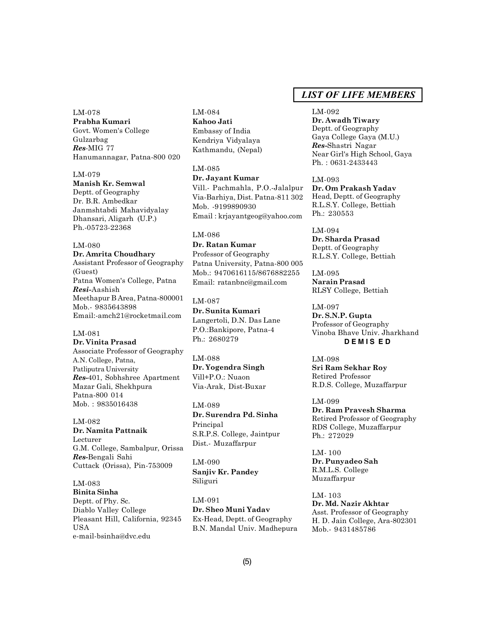LM-078 **Prabha Kumari** Govt. Women's College Gulzarbag *Res*-MIG 77 Hanumannagar, Patna-800 020

LM-079 **Manish Kr. Semwal** Deptt. of Geography Dr. B.R. Ambedkar Janmshtabdi Mahavidyalay Dhansari, Aligarh (U.P.) Ph.-05723-22368

LM-080 **Dr. Amrita Choudhary** Assistant Professor of Geography (Guest) Patna Women's College, Patna *Resi-*Aashish Meethapur B Area, Patna-800001 Mob.- 9835643898 Email:-amch21@rocketmail.com

LM-081 **Dr. Vinita Prasad** Associate Professor of Geography A.N. College, Patna, Patliputra University *Res-*401, Sobhshree Apartment Mazar Gali, Shekhpura Patna-800 014 Mob. : 9835016438

LM-082 **Dr. Namita Pattnaik** Lecturer G.M. College, Sambalpur, Orissa *Res-*Bengali Sahi Cuttack (Orissa), Pin-753009

LM-083 **Binita Sinha** Deptt. of Phy. Sc. Diablo Valley College Pleasant Hill, California, 92345 **IISA** e-mail-bsinha@dvc.edu

LM-084 **Kahoo Jati** Embassy of India Kendriya Vidyalaya Kathmandu, (Nepal)

LM-085 **Dr. Jayant Kumar** Vill.- Pachmahla, P.O.-Jalalpur Via-Barhiya, Dist. Patna-811 302 Mob. -9199890930 Email : krjayantgeog@yahoo.com

LM-086 **Dr. Ratan Kumar** Professor of Geography Patna University, Patna-800 005 Mob.: 9470616115/8676882255 Email: ratanbnc@gmail.com

LM-087 **Dr. Sunita Kumari** Langertoli, D.N. Das Lane P.O.:Bankipore, Patna-4 Ph.: 2680279

LM-088 **Dr. Yogendra Singh** Vill+P.O.: Nuaon Via-Arak, Dist-Buxar

LM-089 **Dr. Surendra Pd. Sinha** Principal S.R.P.S. College, Jaintpur Dist.- Muzaffarpur

LM-090 **Sanjiv Kr. Pandey** Siliguri

LM-091 **Dr. Sheo Muni Yadav** Ex-Head, Deptt. of Geography B.N. Mandal Univ. Madhepura

# *LIST OF LIFE MEMBERS*

LM-092 **Dr. Awadh Tiwary** Deptt. of Geography Gaya College Gaya (M.U.) *Res-*Shastri Nagar Near Girl's High School, Gaya Ph. : 0631-2433443

LM-093 **Dr. Om Prakash Yadav** Head, Deptt. of Geography R.L.S.Y. College, Bettiah Ph.: 230553

LM-094 **Dr. Sharda Prasad** Deptt. of Geography R.L.S.Y. College, Bettiah

LM-095 **Narain Prasad** RLSY College, Bettiah

LM-097 **Dr. S.N.P. Gupta** Professor of Geography Vinoba Bhave Univ. Jharkhand **D E M I S E D**

LM-098 **Sri Ram Sekhar Roy** Retired Professor R.D.S. College, Muzaffarpur

LM-099 **Dr. Ram Pravesh Sharma** Retired Professor of Geography RDS College, Muzaffarpur Ph.: 272029

LM- 100 **Dr. Punyadeo Sah** R.M.L.S. College Muzaffarpur

LM- 103 **Dr. Md. Nazir Akhtar** Asst. Professor of Geography H. D. Jain College, Ara-802301 Mob.- 9431485786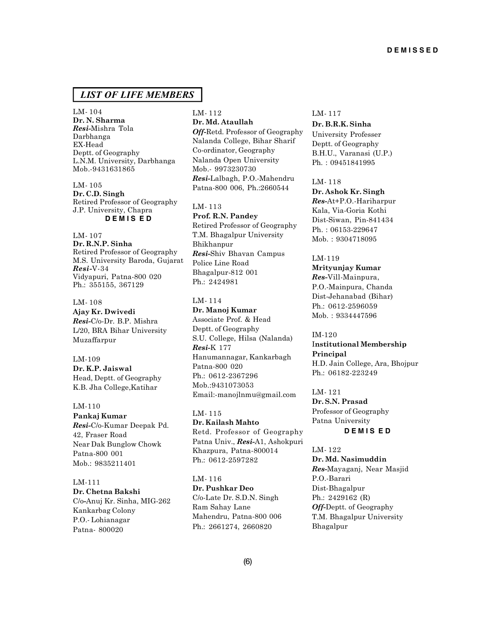LM- 104 **Dr. N. Sharma** *Resi-*Mishra Tola Darbhanga EX-Head Deptt. of Geography L.N.M. University, Darbhanga Mob.-9431631865

LM- 105 **Dr. C.D. Singh** Retired Professor of Geography J.P. University, Chapra **D E M I S E D**

LM- 107 **Dr. R.N.P. Sinha** Retired Professor of Geography M.S. University Baroda, Gujarat *Resi-*V-34 Vidyapuri, Patna-800 020 Ph.: 355155, 367129

LM- 108 **Ajay Kr. Dwivedi** *Resi-*C/o-Dr. B.P. Mishra L/20, BRA Bihar University

Muzaffarpur

LM-109 **Dr. K.P. Jaiswal** Head, Deptt. of Geography K.B. Jha College,Katihar

LM-110 **Pankaj Kumar** *Resi-*C/o-Kumar Deepak Pd. 42, Fraser Road Near Dak Bunglow Chowk Patna-800 001

Mob.: 9835211401

LM-111 **Dr. Chetna Bakshi** C/o*-*Anuj Kr. Sinha, MIG-262 Kankarbag Colony P.O.- Lohianagar Patna- 800020

LM- 112 **Dr. Md. Ataullah** *Off-*Retd. Professor of Geography Nalanda College, Bihar Sharif Co-ordinator, Geography Nalanda Open University Mob.- 9973230730 *Resi-*Lalbagh, P.O.-Mahendru Patna-800 006, Ph.:2660544

LM- 113 **Prof. R.N. Pandey** Retired Professor of Geography T.M. Bhagalpur University Bhikhanpur *Resi-*Shiv Bhavan Campus Police Line Road Bhagalpur-812 001 Ph.: 2424981

LM- 114 **Dr. Manoj Kumar** Associate Prof. & Head Deptt. of Geography S.U. College, Hilsa (Nalanda) *Resi-*K 177 Hanumannagar, Kankarbagh Patna-800 020 Ph.: 0612-2367296 Mob.:9431073053 Email:-manojlnmu@gmail.com

LM- 115 **Dr. Kailash Mahto** Retd. Professor of Geography Patna Univ., *Resi-*A1, Ashokpuri Khazpura, Patna-800014 Ph.: 0612-2597282

LM- 116 **Dr. Pushkar Deo** C/o-Late Dr. S.D.N. Singh Ram Sahay Lane Mahendru, Patna-800 006 Ph.: 2661274, 2660820

#### LM- 117

**Dr. B.R.K. Sinha** University Professer Deptt. of Geography B.H.U., Varanasi (U.P.) Ph. : 09451841995

LM- 118 **Dr. Ashok Kr. Singh** *Res-*At+P.O.-Hariharpur Kala, Via-Goria Kothi Dist-Siwan, Pin-841434 Ph. : 06153-229647 Mob. : 9304718095

LM-119

**Mrityunjay Kumar** *Res-*Vill-Mainpura, P.O.-Mainpura, Chanda Dist-Jehanabad (Bihar) Ph.: 0612-2596059 Mob. : 9334447596

IM-120 I**nstitutional Membership**

**Principal** H.D. Jain College, Ara, Bhojpur Ph.: 06182-223249

LM- 121 **Dr. S.N. Prasad** Professor of Geography Patna University

**D E M I S E D**

LM- 122 **Dr. Md. Nasimuddin** *Res-*Mayaganj, Near Masjid P.O.-Barari Dist-Bhagalpur Ph.: 2429162 (R) *Off-*Deptt. of Geography T.M. Bhagalpur University Bhagalpur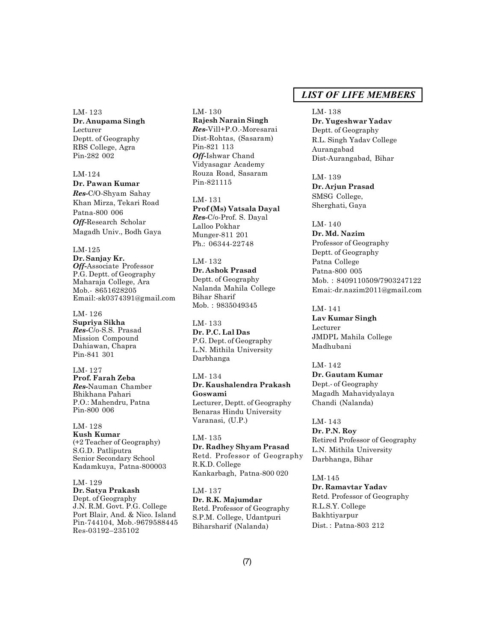LM- 123 **Dr. Anupama Singh** Lecturer Deptt. of Geography RBS College, Agra Pin-282 002

LM-124 **Dr. Pawan Kumar** *Res-*C/O-Shyam Sahay Khan Mirza, Tekari Road Patna-800 006 *Off-*Research Scholar Magadh Univ., Bodh Gaya

LM-125 **Dr. Sanjay Kr.** *Off-*Associate Professor P.G. Deptt. of Geography Maharaja College, Ara Mob.- 8651628205 Email:-sk0374391@gmail.com

LM- 126 **Supriya Sikha** *Res-*C/o-S.S. Prasad Mission Compound Dahiawan, Chapra Pin-841 301

LM- 127 **Prof. Farah Zeba** *Res-*Nauman Chamber Bhikhana Pahari P.O.: Mahendru, Patna Pin-800 006

LM- 128 **Kush Kumar** (+2 Teacher of Geography) S.G.D. Patliputra Senior Secondary School Kadamkuya, Patna-800003

LM- 129 **Dr. Satya Prakash** Dept. of Geography J.N. R.M. Govt. P.G. College Port Blair, And. & Nico. Island Pin-744104, Mob.-9679588445 Res-03192–235102

LM- 130 **Rajesh Narain Singh** *Res-*Vill+P.O.-Moresarai Dist-Rohtas, (Sasaram) Pin-821 113 *Off-*Ishwar Chand Vidyasagar Academy Rouza Road, Sasaram Pin-821115

LM- 131 **Prof (Ms) Vatsala Dayal** *Res-*C/o-Prof. S. Dayal Lalloo Pokhar Munger-811 201 Ph.: 06344-22748

LM- 132 **Dr. Ashok Prasad** Deptt. of Geography Nalanda Mahila College Bihar Sharif Mob. : 9835049345

LM- 133 **Dr. P.C. Lal Das** P.G. Dept. of Geography L.N. Mithila University Darbhanga

LM- 134 **Dr. Kaushalendra Prakash Goswami** Lecturer, Deptt. of Geography Benaras Hindu University Varanasi, (U.P.)

LM- 135 **Dr. Radhey Shyam Prasad** Retd. Professor of Geography R.K.D. College Kankarbagh, Patna-800 020

LM- 137 **Dr. R.K. Majumdar** Retd. Professor of Geography S.P.M. College, Udantpuri Biharsharif (Nalanda)

# *LIST OF LIFE MEMBERS*

LM- 138

**Dr. Yugeshwar Yadav** Deptt. of Geography R.L. Singh Yadav College Aurangabad Dist-Aurangabad, Bihar

LM- 139 **Dr. Arjun Prasad** SMSG College, Sherghati, Gaya

LM- 140 **Dr. Md. Nazim** Professor of Geography Deptt. of Geography Patna College Patna-800 005 Mob. : 8409110509/7903247122 Emai:-dr.nazim2011@gmail.com

LM- 141 **Lav Kumar Singh** Lecturer JMDPL Mahila College Madhubani

LM- 142 **Dr. Gautam Kumar** Dept.- of Geography Magadh Mahavidyalaya Chandi (Nalanda)

LM- 143 **Dr. P.N. Roy** Retired Professor of Geography L.N. Mithila University Darbhanga, Bihar

LM-145 **Dr. Ramavtar Yadav** Retd. Professor of Geography R.L.S.Y. College Bakhtiyarpur Dist. : Patna-803 212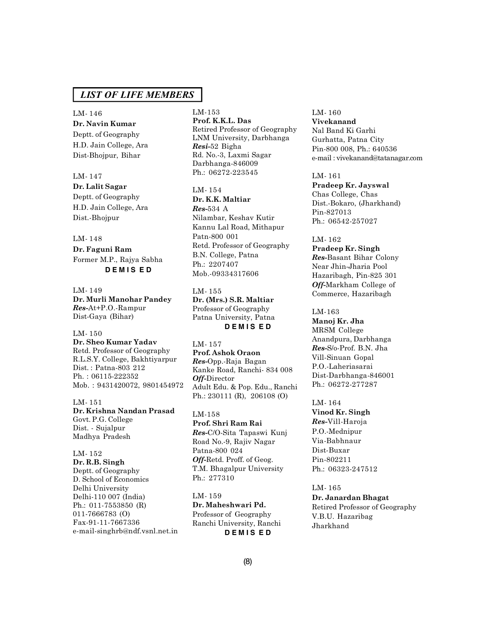LM- 146 **Dr. Navin Kumar** Deptt. of Geography H.D. Jain College, Ara Dist-Bhojpur, Bihar

#### LM- 147

**Dr. Lalit Sagar**

Deptt. of Geography H.D. Jain College, Ara Dist.-Bhojpur

#### LM- 148

**Dr. Faguni Ram** Former M.P., Rajya Sabha **D E M I S E D**

LM- 149 **Dr. Murli Manohar Pandey** *Res-*At+P.O.-Rampur Dist-Gaya (Bihar)

LM- 150 **Dr. Sheo Kumar Yadav** Retd. Professor of Geography R.L.S.Y. College, Bakhtiyarpur Dist. : Patna-803 212 Ph. : 06115-222352 Mob. : 9431420072, 9801454972

LM- 151 **Dr. Krishna Nandan Prasad** Govt. P.G. College Dist. - Sujalpur Madhya Pradesh

LM- 152 **Dr. R.B. Singh** Deptt. of Geography D. School of Economics Delhi University Delhi-110 007 (India) Ph.: 011-7553850 (R) 011-7666783 (O) Fax-91-11-7667336 e-mail-singhrb@ndf.vsnl.net.in LM-153 **Prof. K.K.L. Das** Retired Professor of Geography LNM University, Darbhanga *Resi-*52 Bigha Rd. No.-3, Laxmi Sagar Darbhanga-846009 Ph.: 06272-223545

LM- 154 **Dr. K.K. Maltiar** *Res-*534 A Nilambar, Keshav Kutir Kannu Lal Road, Mithapur Patn-800 001 Retd. Professor of Geography B.N. College, Patna Ph.: 2207407 Mob.-09334317606

LM- 155 **Dr. (Mrs.) S.R. Maltiar** Professor of Geography Patna University, Patna **D E M I S E D**

LM- 157 **Prof. Ashok Oraon** *Res-*Opp.-Raja Bagan Kanke Road, Ranchi- 834 008 *Off-*Director Adult Edu. & Pop. Edu., Ranchi Ph.: 230111 (R), 206108 (O)

LM-158 **Prof. Shri Ram Rai** *Res-*C/O-Sita Tapaswi Kunj Road No.-9, Rajiv Nagar Patna-800 024 *Off-*Retd. Proff. of Geog. T.M. Bhagalpur University Ph.: 277310

LM- 159 **Dr. Maheshwari Pd.** Professor of Geography Ranchi University, Ranchi **D E M I S E D**

LM- 160 **Vivekanand** Nal Band Ki Garhi Gurhatta, Patna City Pin-800 008, Ph.: 640536 e-mail : vivekanand@tatanagar.com

LM- 161 **Pradeep Kr. Jayswal** Chas College, Chas Dist.-Bokaro, (Jharkhand) Pin-827013 Ph.: 06542-257027

LM- 162 **Pradeep Kr. Singh** *Res-*Basant Bihar Colony Near Jhin-Jharia Pool Hazaribagh, Pin-825 301 *Off-*Markham College of Commerce, Hazaribagh

LM-163 **Manoj Kr. Jha** MRSM College Anandpura, Darbhanga *Res-*S/o-Prof. B.N. Jha Vill-Sinuan Gopal P.O.-Laheriasarai Dist-Darbhanga-846001 Ph.: 06272-277287

LM- 164 **Vinod Kr. Singh** *Res-*Vill-Haroja P.O.-Mednipur Via-Babhnaur Dist-Buxar Pin-802211 Ph.: 06323-247512

LM- 165 **Dr. Janardan Bhagat** Retired Professor of Geography V.B.U. Hazaribag Jharkhand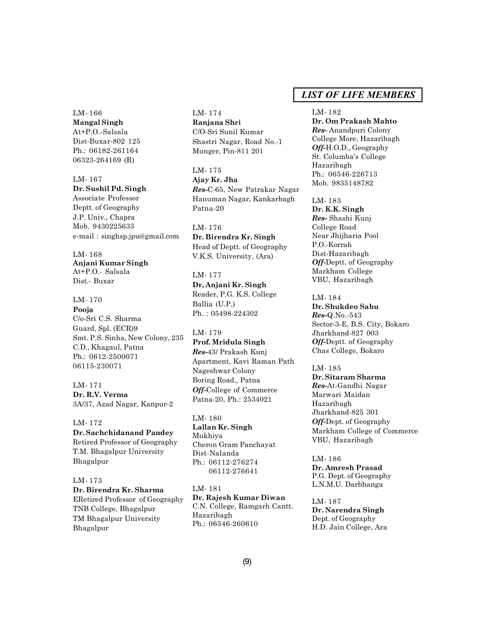LM- 166 **Mangal Singh** At+P.O.-Salsala Dist-Buxar-802 125 Ph.: 06182-261164 06323-264169 (R)

# LM- 167

**Dr. Sushil Pd. Singh** Associate Professor Deptt. of Geography J.P. Univ., Chapra Mob. 9430225633 e-mail : singhsp.jpu@gmail.com

LM- 168 **Anjani Kumar Singh** At+P.O.- Salsala Dist.- Buxar

LM- 170 **Pooja** C/o-Sri C.S. Sharma Guard, Spl. (ECR)9 Smt. P.S. Sinha, New Colony, 235 C.D., Khagaul, Patna Ph.: 0612-2500071 06115-230071

LM- 171 **Dr. R.V. Verma** 3A/37, Azad Nagar, Kanpur-2

LM- 172 **Dr. Sachchidanand Pandey** Retired Professor of Geography T.M. Bhagalpur University Bhagalpur

LM- 173 **Dr. Birendra Kr. Sharma** ERetired Professor of Geography TNB College, Bhagalpur TM Bhagalpur University Bhagalpur

LM- 174 **Ranjana Shri** C/O-Sri Sunil Kumar Shastri Nagar, Road No.-1 Munger, Pin-811 201

LM- 175 **Ajay Kr. Jha** *Res-*C-65, New Patrakar Nagar Hanuman Nagar, Kankarbagh Patna-20

LM- 176 **Dr. Birendra Kr. Singh** Head of Deptt. of Geography V.K.S. University, (Ara)

LM- 177 **Dr, Anjani Kr. Singh** Reader, P.G. K.S. College Ballia (U.P.) Ph. : 05498-224302

LM- 179 **Prof. Mridula Singh** *Res-*43/ Prakash Kunj Apartment, Kavi Raman Path Nageshwar Colony Boring Road., Patna *Off-*College of Commerce Patna-20, Ph.: 2534021

LM- 180 **Lallan Kr. Singh** Mukhiya Cheron Gram Panchayat Dist-Nalanda Ph.: 06112-276274 06112-276641

LM- 181 **Dr. Rajesh Kumar Diwan** C.N. College, Ramgarh Cantt. Hazaribagh Ph.: 06546-260610

# *LIST OF LIFE MEMBERS*

LM- 182 **Dr. Om Prakash Mahto** *Res-* Anandpuri Colony College More, Hazaribagh *Off-*H.O.D., Geography St. Columba's College Hazaribagh Ph.: 06546-226713 Mob. 9835148782

LM- 183 **Dr. K.K. Singh** *Res-* Shashi Kunj College Road Near Jhijharia Pool P.O.-Korrah Dist-Hazaribagh *Off-*Deptt. of Geography Markham College VBU, Hazaribagh

LM- 184 **Dr. Shukdeo Sahu** *Res-*Q.No.-543 Sector-3-E, B.S. City, Bokaro Jharkhand-827 003 *Off-*Deptt. of Geography Chas College, Bokaro

LM- 185 **Dr. Sitaram Sharma** *Res-*At-Gandhi Nagar Marwari Maidan Hazaribagh Jharkhand-825 301 *Off-*Dept. of Geography Markham College of Commerce VBU, Hazaribagh

LM- 186 **Dr. Amresh Prasad** P.G. Dept. of Geography L.N.M.U. Darbhanga

LM- 187 **Dr. Narendra Singh** Dept. of Geography H.D. Jain College, Ara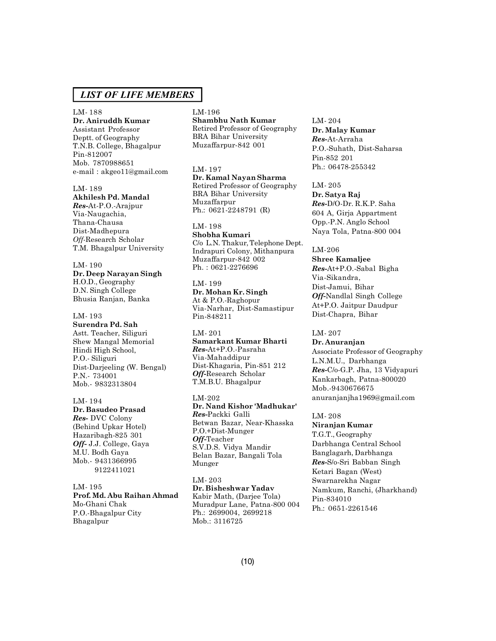LM- 188 **Dr. Aniruddh Kumar** Assistant Professor Deptt. of Geography T.N.B. College, Bhagalpur Pin-812007 Mob. 7870988651 e-mail : akgeo11@gmail.com

LM- 189 **Akhilesh Pd. Mandal** *Res-*At-P.O.-Arajpur Via-Naugachia, Thana-Chausa Dist-Madhepura *Off-*Research Scholar T.M. Bhagalpur University

LM- 190 **Dr. Deep Narayan Singh** H.O.D., Geography D.N. Singh College Bhusia Ranjan, Banka

LM- 193 **Surendra Pd. Sah** Astt. Teacher, Siliguri Shew Mangal Memorial Hindi High School, P.O.- Siliguri Dist-Darjeeling (W. Bengal) P.N.- 734001 Mob.- 9832313804

LM- 194 **Dr. Basudeo Prasad** *Res-* DVC Colony (Behind Upkar Hotel) Hazaribagh-825 301 *Off-* J.J. College, Gaya M.U. Bodh Gaya Mob.- 9431366995 9122411021

LM- 195 **Prof. Md. Abu Raihan Ahmad** Mo-Ghani Chak P.O.-Bhagalpur City Bhagalpur

LM-196 **Shambhu Nath Kumar** Retired Professor of Geography BRA Bihar University Muzaffarpur-842 001

LM- 197 **Dr. Kamal Nayan Sharma** Retired Professor of Geography BRA Bihar University Muzaffarpur Ph.: 0621-2248791 (R)

LM- 198 **Shobha Kumari** C/o L.N. Thakur, Telephone Dept. Indrapuri Colony, Mithanpura Muzaffarpur-842 002 Ph. : 0621-2276696

LM- 199 **Dr. Mohan Kr. Singh** At & P.O.-Raghopur Via-Narhar, Dist-Samastipur Pin-848211

LM- 201 **Samarkant Kumar Bharti** *Res-*At+P.O.-Pasraha Via-Mahaddipur Dist-Khagaria, Pin-851 212 *Off-*Research Scholar T.M.B.U. Bhagalpur

LM-202 **Dr. Nand Kishor 'Madhukar'** *Res-*Packki Galli Betwan Bazar, Near-Khasska P.O.+Dist-Munger *Off-*Teacher S.V.D.S. Vidya Mandir Belan Bazar, Bangali Tola Munger

LM- 203 **Dr. Bisheshwar Yadav** Kabir Math, (Darjee Tola) Muradpur Lane, Patna-800 004 Ph.: 2699004, 2699218 Mob.: 3116725

LM- 204 **Dr. Malay Kumar** *Res-*At-Arraha P.O.-Suhath, Dist-Saharsa Pin-852 201 Ph.: 06478-255342

LM- 205 **Dr. Satya Raj** *Res-*D/O-Dr. R.K.P. Saha 604 A, Girja Appartment Opp.-P.N. Anglo School Naya Tola, Patna-800 004

LM-206 **Shree Kamaljee** *Res-*At+P.O.-Sabal Bigha Via-Sikandra, Dist-Jamui, Bihar *Off-*Nandlal Singh College At+P.O. Jaitpur Daudpur Dist-Chapra, Bihar

LM- 207 **Dr. Anuranjan** Associate Professor of Geography L.N.M.U., Darbhanga *Res-*C/o-G.P. Jha, 13 Vidyapuri Kankarbagh, Patna-800020 Mob.-9430676675 anuranjanjha1969@gmail.com

LM- 208 **Niranjan Kumar** T.G.T., Geography Darbhanga Central School Banglagarh, Darbhanga *Res-*S/o-Sri Babban Singh Ketari Bagan (West) Swarnarekha Nagar Namkum, Ranchi, (Jharkhand) Pin-834010 Ph.: 0651-2261546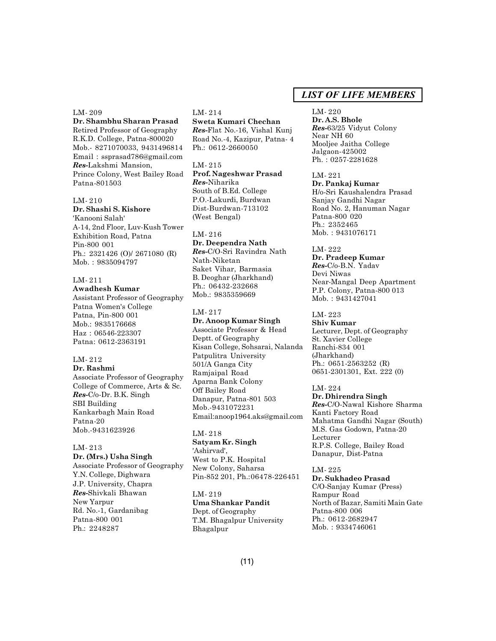LM- 209

**Dr. Shambhu Sharan Prasad** Retired Professor of Geography R.K.D. College, Patna-800020 Mob.- 8271070033, 9431496814 Email : ssprasad786@gmail.com *Res-*Lakshmi Mansion, Prince Colony, West Bailey Road Patna-801503

#### LM- 210

**Dr. Shashi S. Kishore** 'Kanooni Salah' A-14, 2nd Floor, Luv-Kush Tower Exhibition Road, Patna Pin-800 001 Ph.: 2321426 (O)/ 2671080 (R) Mob. : 9835094797

# LM- 211

**Awadhesh Kumar** Assistant Professor of Geography Patna Women's College Patna, Pin-800 001 Mob.: 9835176668 Haz : 06546-223307 Patna: 0612-2363191

#### LM- 212

**Dr. Rashmi** Associate Professor of Geography College of Commerce, Arts & Sc. *Res-*C/o-Dr. B.K. Singh SBI Building Kankarbagh Main Road Patna-20 Mob.-9431623926

# LM- 213

**Dr. (Mrs.) Usha Singh** Associate Professor of Geography Y.N. College, Dighwara J.P. University, Chapra *Res-*Shivkali Bhawan New Yarpur Rd. No.-1, Gardanibag Patna-800 001 Ph.: 2248287

#### LM- 214

**Sweta Kumari Chechan** *Res-*Flat No.-16, Vishal Kunj Road No.-4, Kazipur, Patna- 4 Ph.: 0612-2660050

### LM- 215 **Prof. Nageshwar Prasad** *Res-*Niharika South of B.Ed. College P.O.-Lakurdi, Burdwan Dist-Burdwan-713102 (West Bengal)

#### LM- 216

**Dr. Deependra Nath** *Res-*C/O-Sri Ravindra Nath Nath-Niketan Saket Vihar, Barmasia B. Deoghar (Jharkhand) Ph.: 06432-232668 Mob.: 9835359669

# LM- 217

**Dr. Anoop Kumar Singh** Associate Professor & Head Deptt. of Geography Kisan College, Sohsarai, Nalanda Patpulitra University 501/A Ganga City Ramjaipal Road Aparna Bank Colony Off Bailey Road Danapur, Patna-801 503 Mob.-9431072231 Email:anoop1964.aks@gmail.com

#### LM- 218

**Satyam Kr. Singh** 'Ashirvad', West to P.K. Hospital New Colony, Saharsa Pin-852 201, Ph.:06478-226451

# LM- 219

**Uma Shankar Pandit** Dept. of Geography T.M. Bhagalpur University Bhagalpur

# *LIST OF LIFE MEMBERS*

# LM- 220

**Dr. A.S. Bhole** *Res-*63/25 Vidyut Colony Near NH 60 Mooljee Jaitha College Jalgaon-425002 Ph. : 0257-2281628

LM- 221

**Dr. Pankaj Kumar** H/o-Sri Kaushalendra Prasad Sanjay Gandhi Nagar Road No. 2, Hanuman Nagar Patna-800 020 Ph.: 2352465 Mob. : 9431076171

LM- 222 **Dr. Pradeep Kumar** *Res-*C/o-B.N. Yadav Devi Niwas Near-Mangal Deep Apartment P.P. Colony, Patna-800 013 Mob. : 9431427041

# LM- 223

**Shiv Kumar** Lecturer, Dept. of Geography St. Xavier College Ranchi-834 001 (Jharkhand) Ph.: 0651-2563252 (R) 0651-2301301, Ext. 222 (0)

#### LM- 224

**Dr. Dhirendra Singh** *Res-*C/O-Nawal Kishore Sharma Kanti Factory Road Mahatma Gandhi Nagar (South) M.S. Gas Godown, Patna-20 Lecturer R.P.S. College, Bailey Road Danapur, Dist-Patna

#### LM- 225

**Dr. Sukhadeo Prasad** C/O-Sanjay Kumar (Press) Rampur Road North of Bazar, Samiti Main Gate Patna-800 006 Ph.: 0612-2682947 Mob. : 9334746061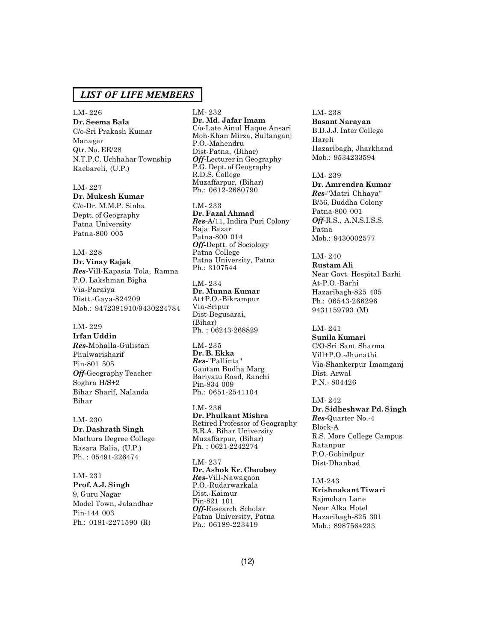LM- 226 **Dr. Seema Bala** C/o-Sri Prakash Kumar Manager Qtr. No. EE/28 N.T.P.C. Uchhahar Township Raebareli, (U.P.)

LM- 227 **Dr. Mukesh Kumar** C/o-Dr. M.M.P. Sinha Deptt. of Geography Patna University Patna-800 005

LM- 228 **Dr. Vinay Rajak** *Res-*Vill-Kapasia Tola, Ramna P.O. Lakshman Bigha Via-Paraiya Distt.-Gaya-824209 Mob.: 9472381910/9430224784

LM- 229 **Irfan Uddin** *Res-*Mohalla-Gulistan Phulwarisharif Pin-801 505 *Off-*Geography Teacher Soghra H/S+2 Bihar Sharif, Nalanda Bihar

LM- 230 **Dr. Dashrath Singh** Mathura Degree College Rasara Balia, (U.P.) Ph. : 05491-226474

LM- 231 **Prof. A.J. Singh** 9, Guru Nagar Model Town, Jalandhar Pin-144 003 Ph.: 0181-2271590 (R)

LM- 232 **Dr. Md. Jafar Imam** C/o-Late Ainul Haque Ansari Moh-Khan Mirza, Sultanganj P.O.-Mahendru Dist-Patna, (Bihar) *Off-*Lecturer in Geography P.G. Dept. of Geography R.D.S. College Muzaffarpur, (Bihar) Ph.: 0612-2680790

LM- 233 **Dr. Fazal Ahmad** *Res-*A/11, Indira Puri Colony Raja Bazar Patna-800 014 *Off-*Deptt. of Sociology Patna College Patna University, Patna Ph.: 3107544

LM- 234 **Dr. Munna Kumar** At+P.O.-Bikrampur Via-Sripur Dist-Begusarai, (Bihar) Ph. : 06243-268829

LM- 235 **Dr. B. Ekka** *Res-*"Pallinta" Gautam Budha Marg Bariyatu Road, Ranchi Pin-834 009 Ph.: 0651-2541104

LM- 236 **Dr. Phulkant Mishra** Retired Professor of Geography B.R.A. Bihar University Muzaffarpur, (Bihar) Ph. : 0621-2242274

LM- 237 **Dr. Ashok Kr. Choubey** *Res-*Vill-Nawagaon P.O.-Rudarwarkala Dist.-Kaimur Pin-821 101 *Off-*Research Scholar Patna University, Patna Ph.: 06189-223419

LM- 238 **Basant Narayan** B.D.J.J. Inter College Hareli Hazaribagh, Jharkhand Mob.: 9534233594

LM- 239 **Dr. Amrendra Kumar** *Res-*"Matri Chhaya" B/56, Buddha Colony Patna-800 001 *Off-*R.S., A.N.S.I.S.S. Patna Mob.: 9430002577

LM- 240 **Rustam Ali** Near Govt. Hospital Barhi At-P.O.-Barhi Hazaribagh-825 405 Ph.: 06543-266296 9431159793 (M)

LM- 241 **Sunila Kumari** C/O-Sri Sant Sharma Vill+P.O.-Jhunathi Via-Shankerpur Imamganj Dist. Arwal P.N.- 804426

LM- 242 **Dr. Sidheshwar Pd. Singh** *Res-*Quarter No.-4 Block-A R.S. More College Campus Ratanpur P.O.-Gobindpur Dist-Dhanbad

LM-243 **Krishnakant Tiwari** Rajmohan Lane Near Alka Hotel Hazaribagh-825 301 Mob.: 8987564233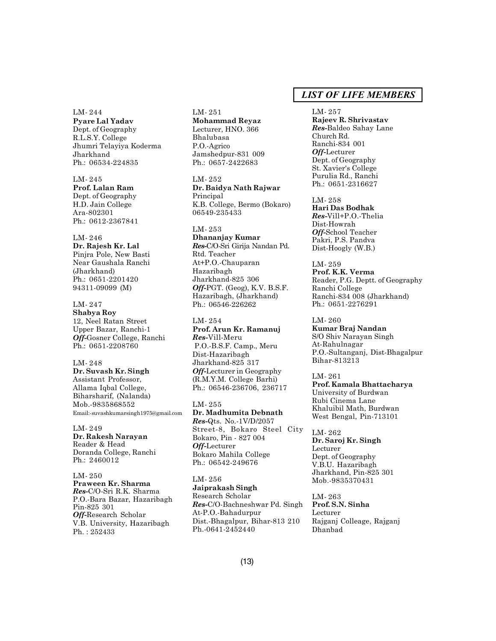LM- 244 **Pyare Lal Yadav** Dept. of Geography R.L.S.Y. College Jhumri Telayiya Koderma Jharkhand Ph.: 06534-224835

LM- 245 **Prof. Lalan Ram** Dept. of Geography H.D. Jain College Ara-802301 Ph.: 0612-2367841

LM- 246 **Dr. Rajesh Kr. Lal** Pinjra Pole, New Basti Near Gaushala Ranchi (Jharkhand) Ph.: 0651-2201420 94311-09099 (M)

LM- 247 **Shabya Roy** 12, Neel Ratan Street Upper Bazar, Ranchi-1 *Off-*Gosner College, Ranchi Ph.: 0651-2208760

LM- 248 **Dr. Suvash Kr. Singh** Assistant Professor, Allama Iqbal College, Biharsharif, (Nalanda) Mob.-9835868552 Email:-suvashkumarsingh1975@gmail.com

LM- 249 **Dr. Rakesh Narayan** Reader & Head Doranda College, Ranchi Ph.: 2460012

LM- 250 **Praween Kr. Sharma** *Res-*C/O-Sri R.K. Sharma P.O.-Bara Bazar, Hazaribagh Pin-825 301 *Off-*Research Scholar V.B. University, Hazaribagh Ph. : 252433

LM- 251 **Mohammad Reyaz** Lecturer, HNO. 366 Bhalubasa P.O.-Agrico Jamshedpur-831 009 Ph.: 0657-2422683

LM- 252 **Dr. Baidya Nath Rajwar** Principal K.B. College, Bermo (Bokaro) 06549-235433

LM- 253 **Dhananjay Kumar** *Res-*C/O-Sri Girija Nandan Pd. Rtd. Teacher At+P.O.-Chauparan Hazaribagh Jharkhand-825 306 *Off-*PGT. (Geog), K.V. B.S.F. Hazaribagh, (Jharkhand) Ph.: 06546-226262

LM- 254 **Prof. Arun Kr. Ramanuj** *Res-*Vill-Meru P.O.-B.S.F. Camp., Meru Dist-Hazaribagh Jharkhand-825 317 *Off-*Lecturer in Geography (R.M.Y.M. College Barhi) Ph.: 06546-236706, 236717

LM- 255 **Dr. Madhumita Debnath** *Res-*Qts. No.-1V/D/2057 Street-8, Bokaro Steel City Bokaro, Pin - 827 004 *Off-*Lecturer Bokaro Mahila College Ph.: 06542-249676

LM- 256 **Jaiprakash Singh** Research Scholar *Res-*C/O-Bachneshwar Pd. Singh At-P.O.-Bahadurpur Dist.-Bhagalpur, Bihar-813 210 Ph.-0641-2452440

# *LIST OF LIFE MEMBERS*

LM- 257 **Rajeev R. Shrivastav** *Res-*Baldeo Sahay Lane Church Rd. Ranchi-834 001 *Off-*Lecturer Dept. of Geography St. Xavier's College Purulia Rd., Ranchi Ph.: 0651-2316627

LM- 258 **Hari Das Bodhak** *Res-*Vill+P.O.-Thelia Dist-Howrah *Off-*School Teacher Pakri, P.S. Pandva Dist-Hoogly (W.B.)

LM- 259 **Prof. K.K. Verma** Reader, P.G. Deptt. of Geography Ranchi College Ranchi-834 008 (Jharkhand) Ph.: 0651-2276291

LM- 260 **Kumar Braj Nandan** S/O Shiv Narayan Singh At-Rahulnagar P.O.-Sultanganj, Dist-Bhagalpur Bihar-813213

LM- 261 **Prof. Kamala Bhattacharya** University of Burdwan Rubi Cinema Lane Khaluibil Math, Burdwan West Bengal, Pin-713101

LM- 262 **Dr. Saroj Kr. Singh** Lecturer Dept. of Geography V.B.U. Hazaribagh Jharkhand, Pin-825 301 Mob.-9835370431

LM- 263 **Prof. S.N. Sinha** Lecturer Rajganj Colleage, Rajganj Dhanbad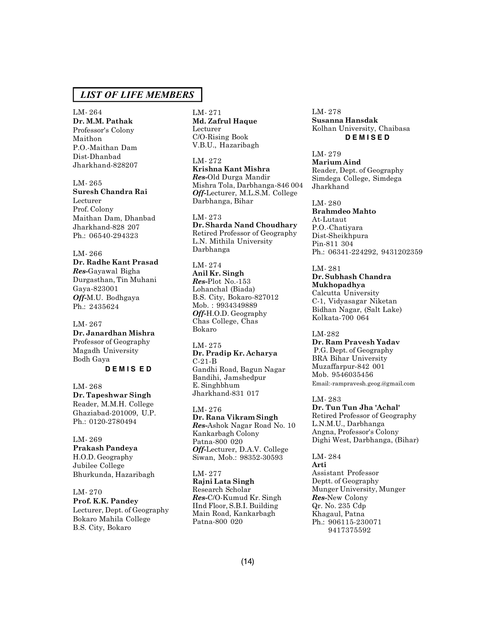LM- 264 **Dr. M.M. Pathak** Professor's Colony Maithon P.O.-Maithan Dam Dist-Dhanbad Jharkhand-828207

LM- 265 **Suresh Chandra Rai** Lecturer Prof. Colony Maithan Dam, Dhanbad Jharkhand-828 207 Ph.: 06540-294323

LM- 266 **Dr. Radhe Kant Prasad** *Res-*Gayawal Bigha Durgasthan, Tin Muhani Gaya-823001 *Off-*M.U. Bodhgaya Ph.: 2435624

LM- 267 **Dr. Janardhan Mishra** Professor of Geography Magadh University Bodh Gaya

**D E M I S E D**

LM- 268 **Dr. Tapeshwar Singh** Reader, M.M.H. College Ghaziabad-201009, U.P. Ph.: 0120-2780494

LM- 269 **Prakash Pandeya** H.O.D. Geography Jubilee College Bhurkunda, Hazaribagh

LM- 270 **Prof. K.K. Pandey** Lecturer, Dept. of Geography Bokaro Mahila College B.S. City, Bokaro

LM- 271 **Md. Zafrul Haque** Lecturer C/O-Rising Book V.B.U., Hazaribagh

LM- 272 **Krishna Kant Mishra** *Res-*Old Durga Mandir Mishra Tola, Darbhanga-846 004 *Off-*Lecturer, M.L.S.M. College Darbhanga, Bihar

LM- 273 **Dr. Sharda Nand Choudhary** Retired Professor of Geography L.N. Mithila University Darbhanga

LM- 274 **Anil Kr. Singh** *Res-*Plot No.-153 Lohanchal (Biada) B.S. City, Bokaro-827012 Mob. : 9934349889 *Off-*H.O.D. Geography Chas College, Chas Bokaro

LM- 275 **Dr. Pradip Kr. Acharya** C-21-B Gandhi Road, Bagun Nagar Bandihi, Jamshedpur E. Singhbhum Jharkhand-831 017

LM- 276 **Dr. Rana Vikram Singh** *Res-*Ashok Nagar Road No. 10 Kankarbagh Colony Patna-800 020 *Off-*Lecturer, D.A.V. College Siwan, Mob.: 98352-30593

LM- 277 **Rajni Lata Singh** Research Scholar *Res-*C/O-Kumud Kr. Singh IInd Floor, S.B.I. Building Main Road, Kankarbagh Patna-800 020

LM- 278 **Susanna Hansdak** Kolhan University, Chaibasa **D E M I S E D**

LM- 279 **Marium Aind** Reader, Dept. of Geography Simdega College, Simdega Jharkhand

LM- 280 **Brahmdeo Mahto** At-Lutaut P.O.-Chatiyara Dist-Sheikhpura Pin-811 304 Ph.: 06341-224292, 9431202359

LM- 281 **Dr. Subhash Chandra Mukhopadhya** Calcutta University C-1, Vidyasagar Niketan Bidhan Nagar, (Salt Lake) Kolkata-700 064

LM-282 **Dr. Ram Pravesh Yadav** P.G. Dept. of Geography BRA Bihar University Muzaffarpur-842 001 Mob. 9546035456 Email:-rampravesh.geog.@gmail.com

LM- 283 **Dr. Tun Tun Jha 'Achal'** Retired Professor of Geography L.N.M.U., Darbhanga Angna, Professor's Colony Dighi West, Darbhanga, (Bihar)

LM- 284 **Arti** Assistant Professor Deptt. of Geography Munger University, Munger *Res-*New Colony Qr. No. 235 Cdp Khagaul, Patna Ph.: 906115-230071 9417375592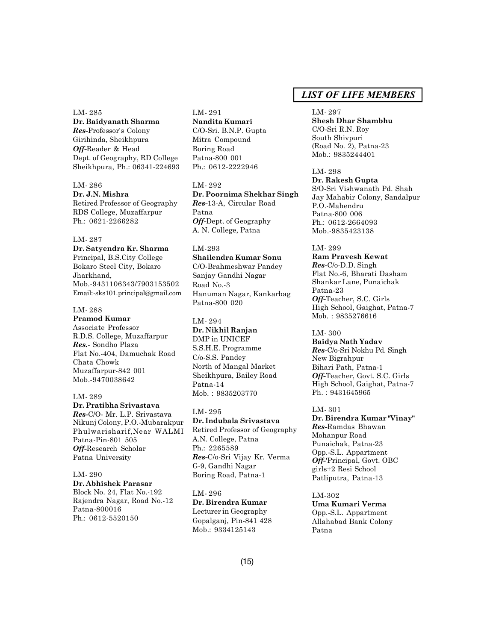LM- 285 **Dr. Baidyanath Sharma** *Res-*Professor's Colony

Girihinda, Sheikhpura *Off-*Reader & Head Dept. of Geography, RD College Sheikhpura, Ph.: 06341-224693

LM- 286 **Dr. J.N. Mishra** Retired Professor of Geography RDS College, Muzaffarpur Ph.: 0621-2266282

LM- 287 **Dr. Satyendra Kr. Sharma** Principal, B.S.City College Bokaro Steel City, Bokaro Jharkhand, Mob.-9431106343/7903153502 Email:-sks101.principal@gmail.com

LM- 288 **Pramod Kumar** Associate Professor R.D.S. College, Muzaffarpur *Res.*- Sondho Plaza Flat No.-404, Damuchak Road Chata Chowk Muzaffarpur-842 001 Mob.-9470038642

LM- 289 **Dr. Pratibha Srivastava** *Res-*C/O- Mr. L.P. Srivastava Nikunj Colony, P.O.-Mubarakpur Phulwarisharif,Near WALMI Patna-Pin-801 505 *Off-*Research Scholar Patna University

LM- 290 **Dr. Abhishek Parasar** Block No. 24, Flat No.-192 Rajendra Nagar, Road No.-12 Patna-800016 Ph.: 0612-5520150

LM- 291 **Nandita Kumari** C/O-Sri. B.N.P. Gupta Mitra Compound Boring Road Patna-800 001 Ph.: 0612-2222946

LM- 292 **Dr. Poornima Shekhar Singh** *Res-*13-A, Circular Road Patna *Off-*Dept. of Geography A. N. College, Patna

LM-293 **Shailendra Kumar Sonu** C/O-Brahmeshwar Pandey Sanjay Gandhi Nagar Road No.-3 Hanuman Nagar, Kankarbag Patna-800 020

LM- 294 **Dr. Nikhil Ranjan** DMP in UNICEF S.S.H.E. Programme C/o-S.S. Pandey North of Mangal Market Sheikhpura, Bailey Road Patna-14 Mob. : 9835203770

LM- 295 **Dr. Indubala Srivastava** Retired Professor of Geography A.N. College, Patna Ph.: 2265589 *Res-*C/o-Sri Vijay Kr. Verma G-9, Gandhi Nagar Boring Road, Patna-1

LM- 296 **Dr. Birendra Kumar** Lecturer in Geography Gopalganj, Pin-841 428 Mob.: 9334125143

# *LIST OF LIFE MEMBERS*

LM- 297 **Shesh Dhar Shambhu** C/O-Sri R.N. Roy South Shivpuri (Road No. 2), Patna-23 Mob.: 9835244401

LM- 298 **Dr. Rakesh Gupta** S/O-Sri Vishwanath Pd. Shah Jay Mahabir Colony, Sandalpur P.O.-Mahendru Patna-800 006 Ph.: 0612-2664093 Mob.-9835423138

LM- 299 **Ram Pravesh Kewat** *Res-*C/o-D.D. Singh Flat No.-6, Bharati Dasham Shankar Lane, Punaichak Patna-23 *Off-*Teacher, S.C. Girls High School, Gaighat, Patna-7 Mob. : 9835276616

LM- 300 **Baidya Nath Yadav** *Res-*C/o-Sri Nokhu Pd. Singh New Bigrahpur Bihari Path, Patna-1 *Off-*Teacher, Govt. S.C. Girls High School, Gaighat, Patna-7 Ph. : 9431645965

LM- 301 **Dr. Birendra Kumar "Vinay"** *Res-*Ramdas Bhawan Mohanpur Road Punaichak, Patna-23 Opp.-S.L. Appartment *Off-*'Principal, Govt. OBC girls+2 Resi School Patliputra, Patna-13

LM-302 **Uma Kumari Verma** Opp.-S.L. Appartment Allahabad Bank Colony Patna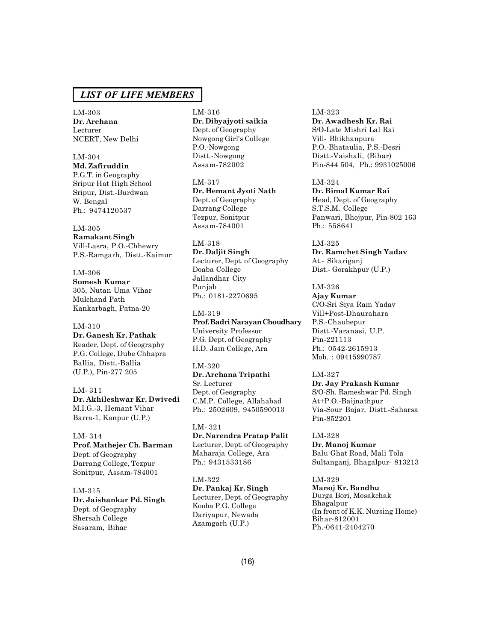LM-303 **Dr. Archana** Lecturer NCERT, New Delhi

LM-304

**Md. Zafiruddin** P.G.T. in Geography Sripur Hat High School Sripur, Dist.-Burdwan W. Bengal Ph.: 9474120537

LM-305 **Ramakant Singh** Vill-Lasra, P.O.-Chhewry P.S.-Ramgarh, Distt.-Kaimur

LM-306 **Somesh Kumar** 305, Nutan Uma Vihar Mulchand Path Kankarbagh, Patna-20

LM-310 **Dr. Ganesh Kr. Pathak** Reader, Dept. of Geography P.G. College, Dube Chhapra Ballia, Distt.-Ballia (U.P.), Pin-277 205

LM- 311 **Dr. Akhileshwar Kr. Dwivedi** M.I.G.-3, Hemant Vihar Barra-1, Kanpur (U.P.)

LM- 314 **Prof. Mathejer Ch. Barman** Dept. of Geography Darrang College, Tezpur Sonitpur, Assam-784001

LM-315 **Dr. Jaishankar Pd. Singh** Dept. of Geography Shersah College Sasaram, Bihar

### LM-316 **Dr. Dibyajyoti saikia** Dept. of Geography Nowgong Girl's College P.O.-Nowgong Distt.-Nowgong Assam-782002

LM-317 **Dr. Hemant Jyoti Nath** Dept. of Geography Darrang College Tezpur, Sonitpur Assam-784001

LM-318 **Dr. Daljit Singh** Lecturer, Dept. of Geography Doaba College Jallandhar City Punjab Ph.: 0181-2270695

LM-319 **Prof. Badri Narayan Choudhary** University Professor P.G. Dept. of Geography H.D. Jain College, Ara

LM-320 **Dr. Archana Tripathi** Sr. Lecturer Dept. of Geography C.M.P. College, Allahabad Ph.: 2502609, 9450590013

LM- 321 **Dr. Narendra Pratap Palit** Lecturer, Dept. of Geography Maharaja College, Ara Ph.: 9431533186

LM-322 **Dr. Pankaj Kr. Singh** Lecturer, Dept. of Geography Kooba P.G. College Dariyapur, Newada Azamgarh (U.P.)

LM-323 **Dr. Awadhesh Kr. Rai** S/O-Late Mishri Lal Rai Vill- Bhikhanpura P.O.-Bhataulia, P.S.-Desri Distt.-Vaishali, (Bihar) Pin-844 504, Ph.: 9931025006

LM-324 **Dr. Bimal Kumar Rai** Head, Dept. of Geography S.T.S.M. College Panwari, Bhojpur, Pin-802 163 Ph.: 558641

LM-325 **Dr. Ramchet Singh Yadav** At.- Sikariganj Dist.- Gorakhpur (U.P.)

LM-326 **Ajay Kumar** C/O-Sri Siya Ram Yadav Vill+Post-Dhaurahara P.S.-Chaubepur Distt.-Varanasi, U.P. Pin-221113 Ph.: 0542-2615913 Mob. : 09415990787

LM-327 **Dr. Jay Prakash Kumar** S/O-Sh. Rameshwar Pd. Singh At+P.O.-Baijnathpur Via-Sour Bajar, Distt.-Saharsa Pin-852201

LM-328 **Dr. Manoj Kumar** Balu Ghat Road, Mali Tola Sultanganj, Bhagalpur- 813213

LM-329 **Manoj Kr. Bandhu** Durga Bori, Mosakchak Bhagalpur (In front of K.K. Nursing Home) Bihar-812001 Ph.-0641-2404270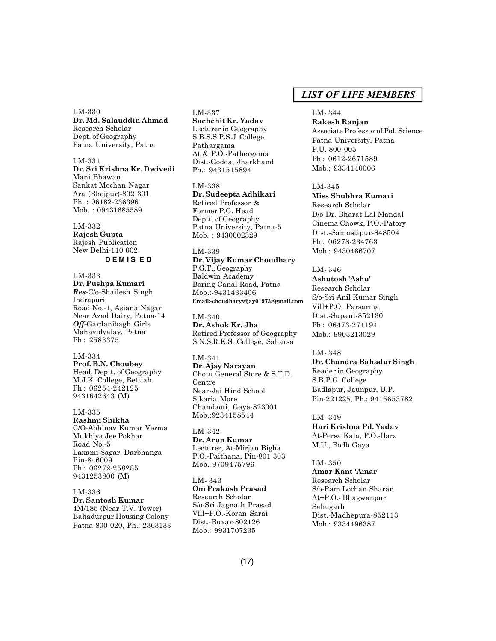LM-330 **Dr. Md. Salauddin Ahmad** Research Scholar Dept. of Geography Patna University, Patna

LM-331 **Dr. Sri Krishna Kr. Dwivedi** Mani Bhawan Sankat Mochan Nagar Ara (Bhojpur)-802 301 Ph. : 06182-236396 Mob. : 09431685589

LM-332 **Rajesh Gupta** Rajesh Publication New Delhi-110 002 **D E M I S E D**

LM-333 **Dr. Pushpa Kumari** *Res-*C/o-Shailesh Singh Indrapuri Road No.-1, Asiana Nagar Near Azad Dairy, Patna-14 *Off-*Gardanibagh Girls Mahavidyalay, Patna Ph.: 2583375

LM-334 **Prof. B.N. Choubey** Head, Deptt. of Geography M.J.K. College, Bettiah Ph.: 06254-242125 9431642643 (M)

LM-335 **Rashmi Shikha** C/O-Abhinav Kumar Verma Mukhiya Jee Pokhar Road No.-5 Laxami Sagar, Darbhanga Pin-846009 Ph.: 06272-258285 9431253800 (M)

LM-336 **Dr. Santosh Kumar** 4M/185 (Near T.V. Tower) Bahadurpur Housing Colony Patna-800 020, Ph.: 2363133

### LM-337

**Sachchit Kr. Yadav** Lecturer in Geography S.B.S.S.P.S.J College Pathargama At & P.O.-Pathergama Dist.-Godda, Jharkhand Ph.: 9431515894

LM-338 **Dr. Sudeepta Adhikari** Retired Professor & Former P.G. Head Deptt. of Geography Patna University, Patna-5 Mob. : 9430002329

LM-339 **Dr. Vijay Kumar Choudhary** P.G.T., Geography Baldwin Academy Boring Canal Road, Patna Mob.:-9431433406 **Email:-choudharyvijay01973@gmail.com**

LM-340 **Dr. Ashok Kr. Jha** Retired Professor of Geography S.N.S.R.K.S. College, Saharsa

LM-341 **Dr. Ajay Narayan** Chotu General Store & S.T.D. Centre Near-Jai Hind School Sikaria More Chandaoti, Gaya-823001 Mob.:9234158544

LM-342 **Dr. Arun Kumar** Lecturer, At-Mirjan Bigha P.O.-Paithana, Pin-801 303 Mob.-9709475796

LM- 343 **Om Prakash Prasad** Research Scholar S/o-Sri Jagnath Prasad Vill+P.O.-Koran Sarai Dist.-Buxar-802126 Mob.: 9931707235

# *LIST OF LIFE MEMBERS*

#### LM- 344

**Rakesh Ranjan** Associate Professor of Pol. Science Patna University, Patna P.U.-800 005 Ph.: 0612-2671589 Mob.; 9334140006

# LM-345

**Miss Shubhra Kumari** Research Scholar D/o-Dr. Bharat Lal Mandal Cinema Chowk, P.O.-Patory Dist.-Samastipur-848504 Ph.: 06278-234763 Mob.: 9430466707

#### LM- 346

**Ashutosh 'Ashu'** Research Scholar S/o-Sri Anil Kumar Singh Vill+P.O. Parsarma Dist.-Supaul-852130 Ph.: 06473-271194 Mob.: 9905213029

LM- 348

**Dr. Chandra Bahadur Singh** Reader in Geography S.B.P.G. College Badlapur, Jaunpur, U.P. Pin-221225, Ph.: 9415653782

LM- 349 **Hari Krishna Pd. Yadav** At-Persa Kala, P.O.-Ilara M.U., Bodh Gaya

LM- 350 **Amar Kant 'Amar'** Research Scholar S/o-Ram Lochan Sharan At+P.O.- Bhagwanpur Sahugarh Dist.-Madhepura-852113 Mob.: 9334496387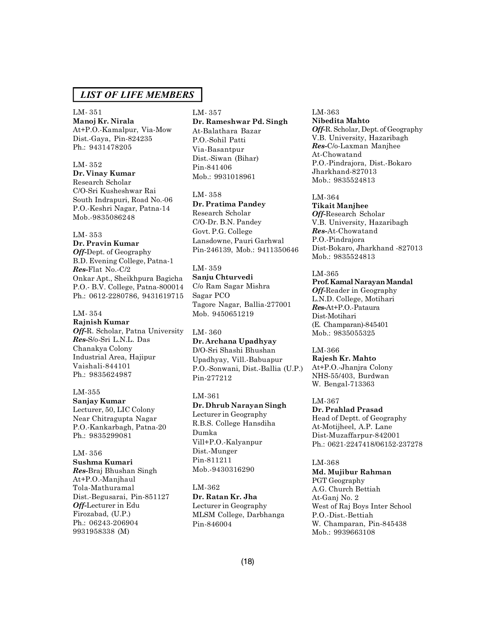LM- 351 **Manoj Kr. Nirala** At+P.O.-Kamalpur, Via-Mow Dist.-Gaya, Pin-824235 Ph.: 9431478205

### LM- 352 **Dr. Vinay Kumar** Research Scholar C/O-Sri Kusheshwar Rai South Indrapuri, Road No.-06 P.O.-Keshri Nagar, Patna-14 Mob.-9835086248

#### LM- 353

**Dr. Pravin Kumar** *Off-*Dept. of Geography B.D. Evening College, Patna-1 *Res-*Flat No.-C/2 Onkar Apt., Sheikhpura Bagicha P.O.- B.V. College, Patna-800014 Ph.: 0612-2280786, 9431619715

LM- 354 **Rajnish Kumar** *Off-*R. Scholar, Patna University *Res-*S/o-Sri L.N.L. Das Chanakya Colony Industrial Area, Hajipur Vaishali-844101 Ph.: 9835624987

LM-355 **Sanjay Kumar** Lecturer, 50, LIC Colony Near Chitragupta Nagar P.O.-Kankarbagh, Patna-20 Ph.: 9835299081

LM- 356 **Sushma Kumari** *Res-*Braj Bhushan Singh At+P.O.-Manjhaul Tola-Mathuramal Dist.-Begusarai, Pin-851127 *Off-*Lecturer in Edu Firozabad, (U.P.) Ph.: 06243-206904 9931958338 (M)

#### LM- 357

**Dr. Rameshwar Pd. Singh** At-Balathara Bazar P.O.-Sohil Patti Via-Basantpur Dist.-Siwan (Bihar) Pin-841406 Mob.: 9931018961

LM- 358 **Dr. Pratima Pandey** Research Scholar C/O-Dr. B.N. Pandey Govt. P.G. College Lansdowne, Pauri Garhwal Pin-246139, Mob.: 9411350646

LM- 359 **Sanju Chturvedi** C/o Ram Sagar Mishra Sagar PCO Tagore Nagar, Ballia-277001 Mob. 9450651219

LM- 360 **Dr. Archana Upadhyay** D/O-Sri Shashi Bhushan Upadhyay, Vill.-Babuapur P.O.-Sonwani, Dist.-Ballia (U.P.) Pin-277212

LM-361 **Dr. Dhrub Narayan Singh** Lecturer in Geography R.B.S. College Hansdiha Dumka Vill+P.O.-Kalyanpur Dist.-Munger Pin-811211 Mob.-9430316290

LM-362 **Dr. Ratan Kr. Jha** Lecturer in Geography MLSM College, Darbhanga Pin-846004

LM-363 **Nibedita Mahto** *Off-*R. Scholar, Dept. of Geography V.B. University, Hazaribagh *Res-*C/o-Laxman Manjhee At-Chowatand P.O.-Pindrajora, Dist.-Bokaro Jharkhand-827013 Mob.: 9835524813

LM-364 **Tikait Manjhee** *Off-*Research Scholar V.B. University, Hazaribagh *Res-*At-Chowatand P.O.-Pindrajora Dist-Bokaro, Jharkhand -827013 Mob.: 9835524813

LM-365 **Prof. Kamal Narayan Mandal** *Off-*Reader in Geography L.N.D. College, Motihari *Res-*At+P.O.-Pataura Dist-Motihari (E. Champaran)-845401 Mob.: 9835055325

LM-366 **Rajesh Kr. Mahto** At+P.O.-Jhanjra Colony NHS-55/403, Burdwan W. Bengal-713363

LM-367 **Dr. Prahlad Prasad** Head of Deptt. of Geography At-Motijheel, A.P. Lane Dist-Muzaffarpur-842001 Ph.: 0621-2247418/06152-237278

LM-368 **Md. Mujibur Rahman** PGT Geography A.G. Church Bettiah At-Ganj No. 2 West of Raj Boys Inter School P.O.-Dist.-Bettiah W. Champaran, Pin-845438 Mob.: 9939663108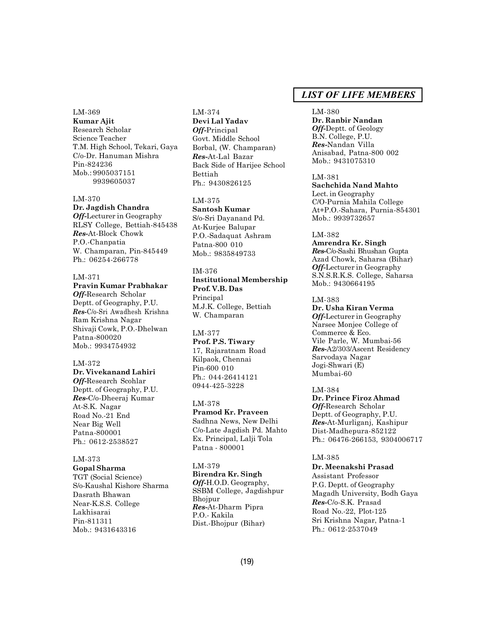LM-369 **Kumar Ajit** Research Scholar Science Teacher T.M. High School, Tekari, Gaya C/o-Dr. Hanuman Mishra Pin-824236 Mob.: 9905037151 9939605037

#### LM-370

**Dr. Jagdish Chandra**

*Off-*Lecturer in Geography RLSY College, Bettiah-845438 *Res-*At-Block Chowk P.O.-Chanpatia W. Champaran, Pin-845449 Ph.: 06254-266778

### LM-371

#### **Pravin Kumar Prabhakar**

*Off-*Research Scholar Deptt. of Geography, P.U. *Res-*C/o-Sri Awadhesh Krishna Ram Krishna Nagar Shivaji Cowk, P.O.-Dhelwan Patna-800020 Mob.: 9934754932

#### LM-372

**Dr. Vivekanand Lahiri** *Off-*Research Scohlar Deptt. of Geography, P.U. *Res-*C/o-Dheeraj Kumar At-S.K. Nagar Road No.-21 End Near Big Well Patna-800001 Ph.: 0612-2538527

# LM-373

**Gopal Sharma** TGT (Social Science) S/o-Kaushal Kishore Sharma Dasrath Bhawan Near-K.S.S. College Lakhisarai Pin-811311 Mob.: 9431643316

LM-374 **Devi Lal Yadav** *Off-*Principal Govt. Middle School Borbal, (W. Champaran) *Res-*At-Lal Bazar Back Side of Harijee School Bettiah Ph.: 9430826125

# LM-375

**Santosh Kumar** S/o-Sri Dayanand Pd. At-Kurjee Balupar P.O.-Sadaquat Ashram Patna-800 010 Mob.: 9835849733

# IM-376

**Institutional Membership Prof. V.B. Das** Principal M.J.K. College, Bettiah W. Champaran

#### LM-377

**Prof. P.S. Tiwary** 17, Rajaratnam Road Kilpaok, Chennai Pin-600 010 Ph.: 044-26414121 0944-425-3228

#### LM-378

**Pramod Kr. Praveen** Sadhna News, New Delhi C/o-Late Jagdish Pd. Mahto Ex. Principal, Lalji Tola Patna - 800001

#### LM-379

**Birendra Kr. Singh** *Off-*H.O.D. Geography, SSBM College, Jagdishpur Bhojpur *Res-*At-Dharm Pipra P.O.- Kakila Dist.-Bhojpur (Bihar)

# *LIST OF LIFE MEMBERS*

LM-380 **Dr. Ranbir Nandan** *Off-*Deptt. of Geology B.N. College, P.U. *Res-*Nandan Villa Anisabad, Patna-800 002 Mob.: 9431075310

LM-381 **Sachchida Nand Mahto** Lect. in Geography C/O-Purnia Mahila College At+P.O.-Sahara, Purnia-854301 Mob.: 9939732657

#### LM-382

**Amrendra Kr. Singh** *Res-*C/o-Sashi Bhushan Gupta Azad Chowk, Saharsa (Bihar) *Off-*Lecturer in Geography S.N.S.R.K.S. College, Saharsa Mob.: 9430664195

#### LM-383

**Dr. Usha Kiran Verma** *Off-*Lecturer in Geography Narsee Monjee College of Commerce & Eco. Vile Parle, W. Mumbai-56 *Res-*A2/303/Ascent Residency Sarvodaya Nagar Jogi-Shwari (E) Mumbai-60

#### LM-384

**Dr. Prince Firoz Ahmad** *Off-*Research Scholar Deptt. of Geography, P.U. *Res-*At-Murliganj, Kashipur Dist-Madhepura-852122 Ph.: 06476-266153, 9304006717

### LM-385

**Dr. Meenakshi Prasad** Assistant Professor P.G. Deptt. of Geography Magadh University, Bodh Gaya *Res-*C/o-S.K. Prasad Road No.-22, Plot-125 Sri Krishna Nagar, Patna-1 Ph.: 0612-2537049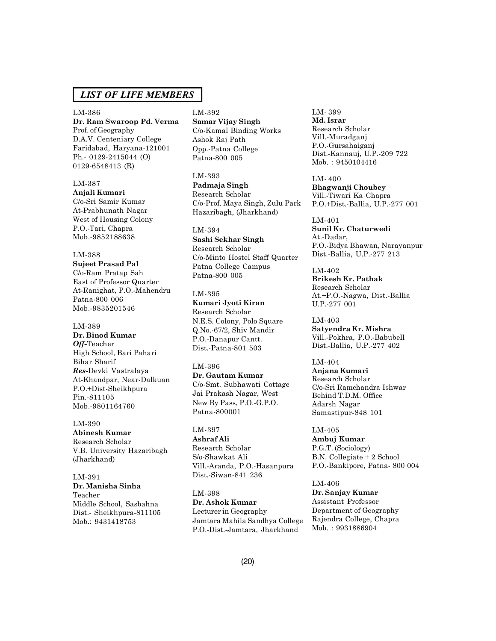LM-386 **Dr. Ram Swaroop Pd. Verma** Prof. of Geography D.A.V. Centeniary College Faridabad, Haryana-121001 Ph.- 0129-2415044 (O) 0129-6548413 (R)

#### LM-387

**Anjali Kumari** C/o-Sri Samir Kumar At-Prabhunath Nagar West of Housing Colony P.O.-Tari, Chapra Mob.-9852188638

#### LM-388

**Sujeet Prasad Pal** C/o-Ram Pratap Sah East of Professor Quarter At-Ranighat, P.O.-Mahendru Patna-800 006 Mob.-9835201546

#### LM-389

**Dr. Binod Kumar** *Off-*Teacher High School, Bari Pahari Bihar Sharif *Res-*Devki Vastralaya At-Khandpar, Near-Dalkuan P.O.+Dist-Sheikhpura Pin.-811105 Mob.-9801164760

LM-390 **Abinesh Kumar** Research Scholar V.B. University Hazaribagh (Jharkhand)

LM-391 **Dr. Manisha Sinha** Teacher Middle School, Sasbahna Dist.- Sheikhpura-811105 Mob.: 9431418753

# LM-392

**Samar Vijay Singh** C/o-Kamal Binding Works Ashok Raj Path Opp.-Patna College Patna-800 005

LM-393 **Padmaja Singh** Research Scholar C/o-Prof. Maya Singh, Zulu Park Hazaribagh, (Jharkhand)

LM-394 **Sashi Sekhar Singh** Research Scholar C/o-Minto Hostel Staff Quarter Patna College Campus Patna-800 005

LM-395 **Kumari Jyoti Kiran** Research Scholar N.E.S. Colony, Polo Square Q.No.-67/2, Shiv Mandir P.O.-Danapur Cantt. Dist.-Patna-801 503

LM-396 **Dr. Gautam Kumar** C/o-Smt. Subhawati Cottage Jai Prakash Nagar, West New By Pass, P.O.-G.P.O.

Patna-800001

LM-397 **Ashraf Ali** Research Scholar S/o-Shawkat Ali Vill.-Aranda, P.O.-Hasanpura

Dist.-Siwan-841 236

LM-398 **Dr. Ashok Kumar** Lecturer in Geography Jamtara Mahila Sandhya College P.O.-Dist.-Jamtara, Jharkhand

LM- 399 **Md. Israr** Research Scholar Vill.-Muradganj P.O.-Gursahaiganj Dist.-Kannauj, U.P.-209 722 Mob. : 9450104416

LM- 400 **Bhagwanji Choubey** Vill.-Tiwari Ka Chapra P.O.+Dist.-Ballia, U.P.-277 001

LM-401 **Sunil Kr. Chaturwedi** At.-Dadar, P.O.-Bidya Bhawan, Narayanpur Dist.-Ballia, U.P.-277 213

LM-402 **Brikesh Kr. Pathak** Research Scholar At.+P.O.-Nagwa, Dist.-Ballia U.P.-277 001

LM-403 **Satyendra Kr. Mishra** Vill.-Pokhra, P.O.-Babubell Dist.-Ballia, U.P.-277 402

LM-404 **Anjana Kumari** Research Scholar C/o-Sri Ramchandra Ishwar Behind T.D.M. Office Adarsh Nagar Samastipur-848 101

LM-405 **Ambuj Kumar** P.G.T. (Sociology) B.N. Collegiate + 2 School P.O.-Bankipore, Patna- 800 004

LM-406 **Dr. Sanjay Kumar** Assistant Professor Department of Geography Rajendra College, Chapra Mob. : 9931886904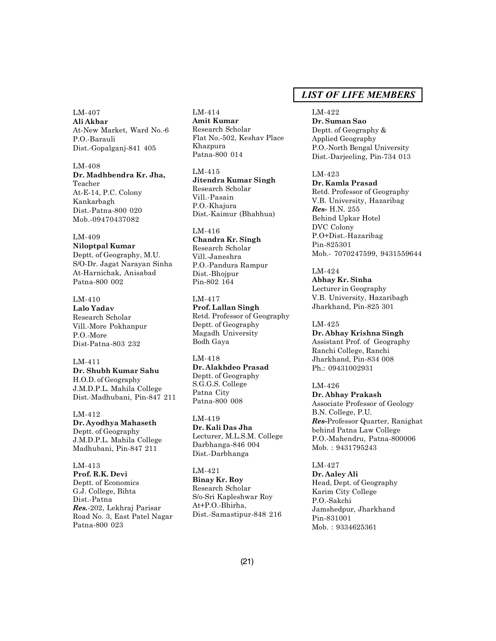LM-407 **Ali Akbar** At-New Market, Ward No.-6 P.O.-Barauli Dist.-Gopalganj-841 405

LM-408 **Dr. Madhbendra Kr. Jha,** Teacher At-E-14, P.C. Colony Kankarbagh Dist.-Patna-800 020 Mob.-09470437082

LM-409 **Niloptpal Kumar** Deptt. of Geography, M.U. S/O-Dr. Jagat Narayan Sinha At-Harnichak, Anisabad Patna-800 002

LM-410 **Lalo Yadav** Research Scholar Vill.-More Pokhanpur P.O.-More Dist-Patna-803 232

LM-411 **Dr. Shubh Kumar Sahu** H.O.D. of Geography J.M.D.P.L. Mahila College Dist.-Madhubani, Pin-847 211

LM-412 **Dr. Ayodhya Mahaseth** Deptt. of Geography J.M.D.P.L. Mahila College Madhubani, Pin-847 211

LM-413 **Prof. R.K. Devi** Deptt. of Economics G.J. College, Bihta Dist.-Patna *Res.*-202, Lekhraj Parisar Road No. 3, East Patel Nagar Patna-800 023

LM-414 **Amit Kumar** Research Scholar Flat No.-502, Keshav Place Khazpura Patna-800 014

LM-415 **Jitendra Kumar Singh** Research Scholar Vill.-Pasain P.O.-Khajura Dist.-Kaimur (Bhabhua)

LM-416 **Chandra Kr. Singh** Research Scholar Vill.-Janeshra P.O.-Pandura Rampur Dist.-Bhojpur Pin-802 164

LM-417 **Prof. Lallan Singh** Retd. Professor of Geography Deptt. of Geography Magadh University Bodh Gaya

LM-418 **Dr. Alakhdeo Prasad** Deptt. of Geography S.G.G.S. College Patna City Patna-800 008

LM-419 **Dr. Kali Das Jha** Lecturer, M.L.S.M. College Darbhanga-846 004 Dist.-Darbhanga

LM-421 **Binay Kr. Roy** Research Scholar S/o-Sri Kapleshwar Roy At+P.O.-Bhirha, Dist.-Samastipur-848 216

# *LIST OF LIFE MEMBERS*

LM-422 **Dr. Suman Sao** Deptt. of Geography & Applied Geography P.O.-North Bengal University Dist.-Darjeeling, Pin-734 013

LM-423 **Dr. Kamla Prasad** Retd. Professor of Geography V.B. University, Hazaribag *Res-* H.N. 255 Behind Upkar Hotel DVC Colony P.O+Dist.-Hazaribag Pin-825301 Mob.- 7070247599, 9431559644

LM-424 **Abhay Kr. Sinha** Lecturer in Geography V.B. University, Hazaribagh Jharkhand, Pin-825 301

LM-425 **Dr. Abhay Krishna Singh** Assistant Prof. of Geography Ranchi College, Ranchi Jharkhand, Pin-834 008 Ph.: 09431002931

LM-426 **Dr. Abhay Prakash** Associate Professor of Geology B.N. College, P.U. *Res-*Professor Quarter, Ranighat behind Patna Law College P.O.-Mahendru, Patna-800006 Mob. : 9431795243

LM-427 **Dr. Aaley Ali** Head, Dept. of Geography Karim City College P.O.-Sakchi Jamshedpur, Jharkhand Pin-831001 Mob. : 9334625361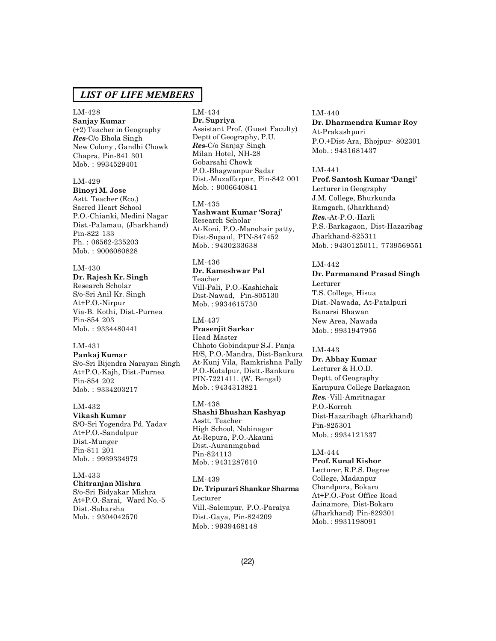# LM-428

**Sanjay Kumar** (+2) Teacher in Geography *Res-*C/o Bhola Singh New Colony , Gandhi Chowk Chapra, Pin-841 301 Mob. : 9934529401

#### LM-429

**Binoyi M. Jose** Astt. Teacher (Eco.) Sacred Heart School P.O.-Chianki, Medini Nagar Dist.-Palamau, (Jharkhand) Pin-822 133 Ph. : 06562-235203 Mob. : 9006080828

LM-430 **Dr. Rajesh Kr. Singh** Research Scholar S/o-Sri Anil Kr. Singh At+P.O.-Nirpur Via-B. Kothi, Dist.-Purnea Pin-854 203 Mob. : 9334480441

### LM-431

**Pankaj Kumar** S/o-Sri Bijendra Narayan Singh At+P.O.-Kajh, Dist.-Purnea Pin-854 202 Mob. : 9334203217

#### LM-432

**Vikash Kumar** S/O-Sri Yogendra Pd. Yadav At+P.O.-Sandalpur Dist.-Munger Pin-811 201 Mob. : 9939334979

#### LM-433

**Chitranjan Mishra** S/o-Sri Bidyakar Mishra At+P.O.-Sarai, Ward No.-5 Dist.-Saharsha Mob. : 9304042570

#### LM-434 **Dr. Supriya** Assistant Prof. (Guest Faculty) Deptt of Geography, P.U. *Res-*C/o Sanjay Singh Milan Hotel, NH-28 Gobarsahi Chowk P.O.-Bhagwanpur Sadar Dist.-Muzaffarpur, Pin-842 001 Mob. : 9006640841

LM-435 **Yashwant Kumar 'Soraj'** Research Scholar At-Koni, P.O.-Manohair patty, Dist-Supaul, PIN-847452 Mob. : 9430233638

# LM-436 **Dr. Kameshwar Pal** Teacher

Vill-Pali, P.O.-Kashichak Dist-Nawad, Pin-805130 Mob. : 9934615730

#### LM-437

**Prasenjit Sarkar** Head Master Chhoto Gobindapur S.J. Panja H/S, P.O.-Mandra, Dist-Bankura At-Kunj Vila, Ramkrishna Pally P.O.-Kotalpur, Distt.-Bankura PIN-7221411. (W. Bengal) Mob. : 9434313821

#### LM-438 **Shashi Bhushan Kashyap** Asstt. Teacher High School, Nabinagar At-Repura, P.O.-Akauni Dist.-Auranmgabad Pin-824113 Mob. : 9431287610

#### LM-439

# **Dr. Tripurari Shankar Sharma** Lecturer Vill.-Salempur, P.O.-Paraiya

Dist.-Gaya, Pin-824209 Mob. : 9939468148

#### LM-440

**Dr. Dharmendra Kumar Roy** At-Prakashpuri P.O.+Dist-Ara, Bhojpur- 802301 Mob. : 9431681437

#### LM-441

**Prof. Santosh Kumar 'Dangi'** Lecturer in Geography J.M. College, Bhurkunda Ramgarh, (Jharkhand) *Res.***-**At-P.O.-Harli P.S.-Barkagaon, Dist-Hazaribag Jharkhand-825311 Mob. : 9430125011, 7739569551

#### LM-442

**Dr. Parmanand Prasad Singh** Lecturer T.S. College, Hisua Dist.-Nawada, At-Patalpuri Banarsi Bhawan New Area, Nawada Mob. : 9931947955

#### LM-443

**Dr. Abhay Kumar** Lecturer & H.O.D. Deptt. of Geography Karnpura College Barkagaon *Res.*-Vill-Amritnagar P.O.-Korrah Dist-Hazaribagh (Jharkhand) Pin-825301 Mob. : 9934121337

#### LM-444

**Prof. Kunal Kishor** Lecturer, R.P.S. Degree College, Madanpur Chandpura, Bokaro At+P.O.-Post Office Road Jainamore, Dist-Bokaro (Jharkhand) Pin-829301 Mob. : 9931198091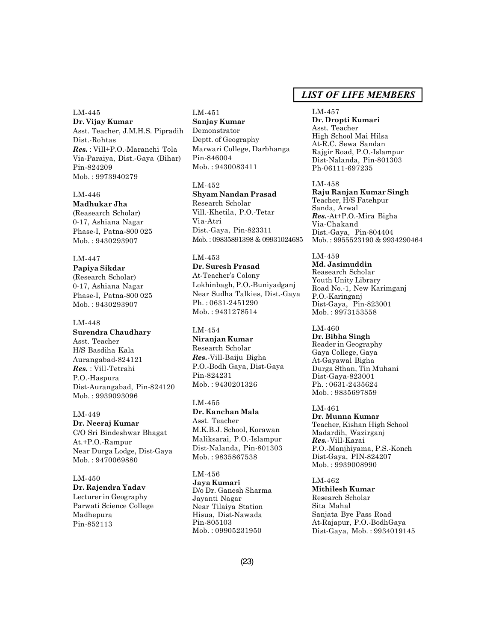LM-445 **Dr. Vijay Kumar** Asst. Teacher, J.M.H.S. Pipradih Dist.-Rohtas *Res.* : Vill+P.O.-Maranchi Tola Via-Paraiya, Dist.-Gaya (Bihar) Pin-824209 Mob. : 9973940279

#### LM-446

**Madhukar Jha** (Reasearch Scholar) 0-17, Ashiana Nagar Phase-I, Patna-800 025 Mob. : 9430293907

### LM-447

**Papiya Sikdar** (Research Scholar) 0-17, Ashiana Nagar Phase-I, Patna-800 025 Mob. : 9430293907

#### LM-448

**Surendra Chaudhary** Asst. Teacher H/S Basdiha Kala Aurangabad-824121 *Res.* : Vill-Tetrahi P.O.-Haspura Dist-Aurangabad, Pin-824120 Mob. : 9939093096

# LM-449 **Dr. Neeraj Kumar** C/O Sri Bindeshwar Bhagat At.+P.O.-Rampur Near Durga Lodge, Dist-Gaya Mob. : 9470069880

# LM-450 **Dr. Rajendra Yadav** Lecturer in Geography Parwati Science College Madhepura Pin-852113

# LM-451 **Sanjay Kumar** Demonstrator Deptt. of Geography Marwari College, Darbhanga Pin-846004 Mob. : 9430083411

LM-452 **Shyam Nandan Prasad** Research Scholar Vill.-Khetila, P.O.-Tetar Via-Atri Dist.-Gaya, Pin-823311 Mob. : 09835891398 & 09931024685

# LM-453

**Dr. Suresh Prasad** At-Teacher's Colony Lokhinbagh, P.O.-Buniyadganj Near Sudha Talkies, Dist.-Gaya Ph. : 0631-2451290 Mob. : 9431278514

# LM-454

**Niranjan Kumar** Research Scholar *Res.*-Vill-Baiju Bigha P.O.-Bodh Gaya, Dist-Gaya Pin-824231 Mob. : 9430201326

### LM-455 **Dr. Kanchan Mala** Asst. Teacher M.K.B.J. School, Korawan Maliksarai, P.O.-Islampur Dist-Nalanda, Pin-801303 Mob. : 9835867538

LM-456 **Jaya Kumari** D/o Dr. Ganesh Sharma Jayanti Nagar Near Tilaiya Station Hisua, Dist-Nawada Pin-805103 Mob. : 09905231950

# *LIST OF LIFE MEMBERS*

#### LM-457 **Dr. Dropti Kumari** Asst. Teacher High School Mai Hilsa At-R.C. Sewa Sandan Rajgir Road, P.O.-Islampur Dist-Nalanda, Pin-801303 Ph-06111-697235

LM-458 **Raju Ranjan Kumar Singh** Teacher, H/S Fatehpur Sanda, Arwal *Res.*-At+P.O.-Mira Bigha Via-Chakand Dist.-Gaya, Pin-804404 Mob. : 9955523190 & 9934290464

LM-459 **Md. Jasimuddin** Reasearch Scholar Youth Unity Library Road No.-1, New Karimganj P.O.-Karinganj Dist-Gaya, Pin-823001 Mob. : 9973153558

LM-460 **Dr. Bibha Singh** Reader in Geography Gaya College, Gaya At-Gayawal Bigha Durga Sthan, Tin Muhani Dist-Gaya-823001 Ph. : 0631-2435624 Mob. : 9835697859

LM-461 **Dr. Munna Kumar** Teacher, Kishan High School Madardih, Wazirganj *Res.*-Vill-Karai P.O.-Manjhiyama, P.S.-Konch Dist-Gaya, PIN-824207 Mob. : 9939008990

#### LM-462 **Mithilesh Kumar** Research Scholar Sita Mahal Sanjata Bye Pass Road At-Rajapur, P.O.-BodhGaya Dist-Gaya, Mob. : 9934019145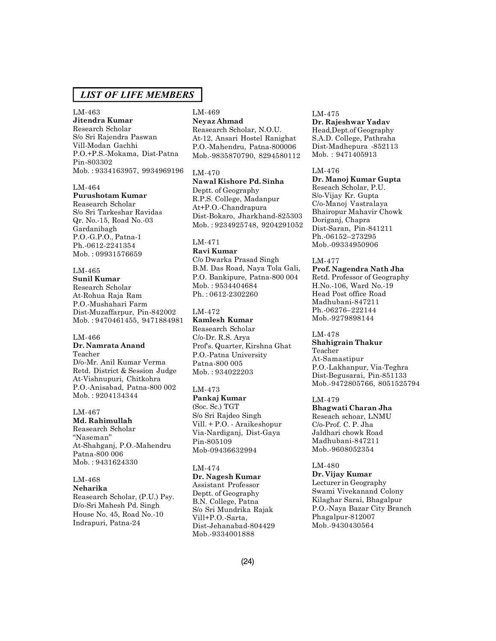# LM-463

**Jitendra Kumar** Research Scholar S/o Sri Rajendra Paswan Vill-Modan Gachhi P.O.+P.S.-Mokama, Dist-Patna Pin-803302 Mob. : 9334163957, 9934969196

# LM-464

**Purushotam Kumar** Reasearch Scholar S/o Sri Tarkeshar Ravidas Qr. No.-15, Road No.-03 Gardanibagh P.O.-G.P.O., Patna-1 Ph.-0612-2241354 Mob. : 09931576659

#### LM-465

**Sunil Kumar** Research Scholar At-Rohua Raja Ram P.O.-Mushahari Farm Dist-Muzaffarpur, Pin-842002 Mob. : 9470461455, 9471884981

# LM-466 **Dr. Namrata Anand**

Teacher D/o-Mr. Anil Kumar Verma Retd. District & Session Judge At-Vishnupuri, Chitkohra P.O.-Anisabad, Patna-800 002 Mob. : 9204134344

LM-467 **Md. Rahimullah** Reasearch Scholar "Naseman" At-Shahganj, P.O.-Mahendru Patna-800 006 Mob. : 9431624330

### LM-468

**Neharika** Reasearch Scholar, (P.U.) Psy. D/o-Sri Mahesh Pd. Singh House No. 45, Road No.-10 Indrapuri, Patna-24

# LM-469

**Neyaz Ahmad** Reasearch Scholar, N.O.U. At-12, Ansari Hostel Ranighat P.O.-Mahendru, Patna-800006 Mob.-9835870790, 8294580112

### LM-470

**Nawal Kishore Pd. Sinha** Deptt. of Geography R.P.S. College, Madanpur At+P.O.-Chandrapura Dist-Bokaro, Jharkhand-825303 Mob. : 9234925748, 9204291052

# LM-471

**Ravi Kumar** C/o Dwarka Prasad Singh B.M. Das Road, Naya Tola Gali, P.O. Bankipure, Patna-800 004 Mob. : 9534404684 Ph. : 0612-2302260

# LM-472

**Kamlesh Kumar** Reasearch Scholar C/o-Dr. R.S. Arya Prof's. Quarter, Kirshna Ghat P.O.-Patna University Patna-800 005 Mob. : 934022203

### LM-473

**Pankaj Kumar** (Soc. Sc.) TGT S/o Sri Rajdeo Singh Vill. + P.O. - Araikeshopur Via-Nardiganj, Dist-Gaya Pin-805109 Mob-09436632994

# LM-474

**Dr. Nagesh Kumar** Assistant Professor Deptt. of Geography B.N. College, Patna S/o Sri Mundrika Rajak Vill+P.O.-Sarta, Dist-Jehanabad-804429 Mob.-9334001888

# LM-475 **Dr. Rajeshwar Yadav**

Head,Dept.of Geography S.A.D. College, Pathraha Dist-Madhepura -852113 Mob. : 9471405913

# LM-476

**Dr. Manoj Kumar Gupta** Reseach Scholar, P.U. S/o-Vijay Kr. Gupta C/o-Manoj Vastralaya Bhairopur Mahavir Chowk Doriganj, Chapra Dist-Saran, Pin-841211 Ph.-06152–273295 Mob.-09334950906

#### LM-477

**Prof. Nagendra Nath Jha** Retd. Professor of Geography H.No.-106, Ward No.-19 Head Post office Road Madhubani-847211 Ph.-06276–222144 Mob.-9279898144

### LM-478

**Shahigrain Thakur** Teacher At-Samastipur P.O.-Lakhanpur, Via-Teghra Dist-Begusarai, Pin-851133 Mob.-9472805766, 8051525794

### LM-479

**Bhagwati Charan Jha** Reseach schoar, LNMU C/o-Prof. C. P. Jha Jaldhari chowk Road Madhubani-847211 Mob.-9608052354

#### LM-480

**Dr. Vijay Kumar** Lecturer in Geography Swami Vivekanand Colony Kilaghar Sarai, Bhagalpur P.O.-Naya Bazar City Branch Phagalpur-812007 Mob.-9430430564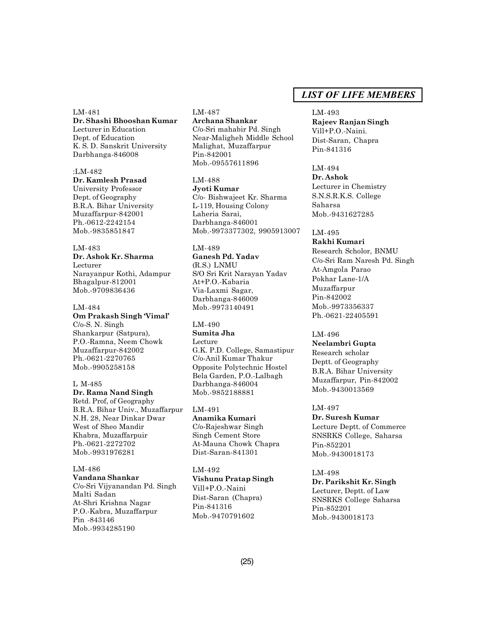LM-481 **Dr. Shashi Bhooshan Kumar** Lecturer in Education Dept. of Education K. S. D. Sanskrit University Darbhanga-846008

:LM-482 **Dr. Kamlesh Prasad** University Professor Dept. of Geography B.R.A. Bihar University Muzaffarpur-842001 Ph.-0612-2242154 Mob.-9835851847

LM-483 **Dr. Ashok Kr. Sharma** Lecturer Narayanpur Kothi, Adampur Bhagalpur-812001 Mob.-9709836436

LM-484 **Om Prakash Singh 'Vimal'** C/o-S. N. Singh Shankarpur (Satpura), P.O.-Ramna, Neem Chowk Muzaffarpur-842002 Ph.-0621-2270765 Mob.-9905258158

L M-485 **Dr. Rama Nand Singh** Retd. Prof, of Geography B.R.A. Bihar Univ., Muzaffarpur N.H. 28, Near Dinkar Dwar West of Sheo Mandir Khabra, Muzaffarpuir Ph.-0621-2272702 Mob.-9931976281

LM-486 **Vandana Shankar** C/o-Sri Vijyanandan Pd. Singh Malti Sadan At-Shri Krishna Nagar P.O.-Kabra, Muzaffarpur Pin -843146 Mob.-9934285190

LM-487 **Archana Shankar** C/o-Sri mahabir Pd. Singh Near-Maligheh Middle School Malighat, Muzaffarpur Pin-842001 Mob.-09557611896

LM-488 **Jyoti Kumar** C/o- Bishwajeet Kr. Sharma L-119, Housing Colony Laheria Sarai, Darbhanga-846001 Mob.-9973377302, 9905913007

LM-489 **Ganesh Pd. Yadav** (R.S.) LNMU S/O Sri Krit Narayan Yadav At+P.O.-Kabaria Via-Laxmi Sagar, Darbhanga-846009 Mob.-9973140491

LM-490 **Sumita Jha** Lecture G.K. P.D. College, Samastipur C/o-Anil Kumar Thakur Opposite Polytechnic Hostel Bela Garden, P.O.-Lalbagh Darbhanga-846004 Mob.-9852188881

LM-491 **Anamika Kumari** C/o-Rajeshwar Singh Singh Cement Store At-Mauna Chowk Chapra Dist-Saran-841301

LM-492 **Vishunu Pratap Singh** Vill+P.O.-Naini Dist-Saran (Chapra) Pin-841316 Mob.-9470791602

# *LIST OF LIFE MEMBERS*

LM-493 **Rajeev Ranjan Singh** Vill+P.O.-Naini. Dist-Saran, Chapra Pin-841316

LM-494 **Dr. Ashok** Lecturer in Chemistry S.N.S.R.K.S. College Saharsa Mob.-9431627285

LM-495 **Rakhi Kumari** Research Scholor, BNMU C/o-Sri Ram Naresh Pd. Singh At-Amgola Parao Pokhar Lane-1/A Muzaffarpur Pin-842002 Mob.-9973356337 Ph.-0621-22405591

LM-496 **Neelambri Gupta** Research scholar Deptt. of Geography B.R.A. Bihar University Muzaffarpur, Pin-842002 Mob.-9430013569

LM-497 **Dr. Suresh Kumar** Lecture Deptt. of Commerce

SNSRKS College, Saharsa Pin-852201 Mob.-9430018173

LM-498 **Dr. Parikshit Kr. Singh** Lecturer, Deptt. of Law SNSRKS College Saharsa Pin-852201 Mob.-9430018173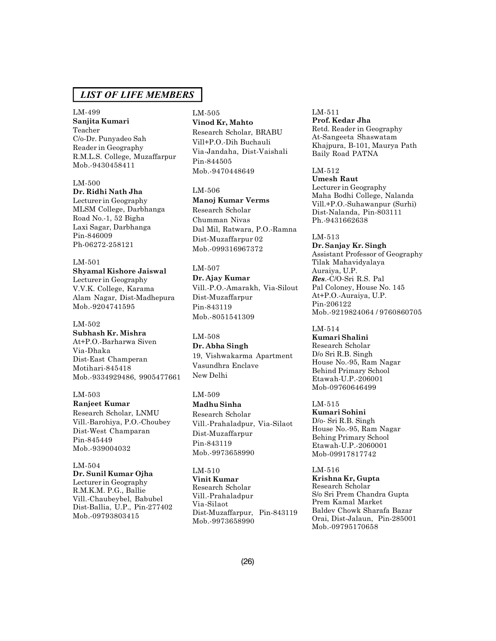# LM-499 **Sanjita Kumari** Teacher C/o-Dr. Punyadeo Sah Reader in Geography R.M.L.S. College, Muzaffarpur Mob.-9430458411

# LM-500

**Dr. Ridhi Nath Jha** Lecturer in Geography MLSM College, Darbhanga Road No.-1, 52 Bigha Laxi Sagar, Darbhanga Pin-846009 Ph-06272-258121

# LM-501 **Shyamal Kishore Jaiswal** Lecturer in Geography V.V.K. College, Karama Alam Nagar, Dist-Madhepura Mob.-9204741595

### LM-502 **Subhash Kr. Mishra** At+P.O.-Barharwa Siven Via-Dhaka Dist-East Champeran Motihari-845418

Mob.-9334929486, 9905477661

LM-503 **Ranjeet Kumar** Research Scholar, LNMU Vill.-Barohiya, P.O.-Choubey Dist-West Champaran Pin-845449 Mob.-939004032

LM-504 **Dr. Sunil Kumar Ojha** Lecturer in Geography R.M.K.M. P.G., Ballie Vill.-Chaubeybel, Babubel Dist-Ballia, U.P., Pin-277402 Mob.-09793803415

### LM-505 **Vinod Kr, Mahto**

Research Scholar, BRABU Vill+P.O.-Dih Buchauli Via-Jandaha, Dist-Vaishali Pin-844505 Mob.-9470448649

LM-506

**Manoj Kumar Verms** Research Scholar Chumman Nivas Dal Mil, Ratwara, P.O.-Ramna Dist-Muzaffarpur 02 Mob.-099316967372

LM-507 **Dr. Ajay Kumar** Vill.-P.O.-Amarakh, Via-Silout Dist-Muzaffarpur Pin-843119 Mob.-8051541309

LM-508 **Dr. Abha Singh** 19, Vishwakarma Apartment Vasundhra Enclave New Delhi

LM-509

**Madhu Sinha** Research Scholar Vill.-Prahaladpur, Via-Silaot Dist-Muzaffarpur Pin-843119 Mob.-9973658990

LM-510 **Vinit Kumar** Research Scholar Vill.-Prahaladpur Via-Silaot Dist-Muzaffarpur, Pin-843119 Mob.-9973658990

LM-511 **Prof. Kedar Jha** Retd. Reader in Geography At-Sangeeta Shaswatam Khajpura, B-101, Maurya Path Baily Road PATNA

LM-512 **Umesh Raut** Lecturer in Geography Maha Bodhi College, Nalanda Vill.+P.O.-Suhawanpur (Surhi) Dist-Nalanda, Pin-803111 Ph.-9431662638

LM-513 **Dr. Sanjay Kr. Singh** Assistant Professor of Geography Tilak Mahavidyalaya Auraiya, U.P. *Res*.-C/O-Sri R.S. Pal Pal Coloney, House No. 145 At+P.O.-Auraiya, U.P. Pin-206122 Mob.-9219824064 / 9760860705

LM-514 **Kumari Shalini** Research Scholar D/o Sri R.B. Singh House No.-95, Ram Nagar Behind Primary School Etawah-U.P.-206001 Mob-09760646499

LM-515 **Kumari Sohini** D/o- Sri R.B. Singh House No.-95, Ram Nagar Behing Primary School Etawah-U.P.-2060001 Mob-09917817742

LM-516 **Krishna Kr, Gupta** Research Scholar S/o Sri Prem Chandra Gupta Prem Kamal Market Baldev Chowk Sharafa Bazar Orai, Dist-Jalaun, Pin-285001 Mob.-09795170658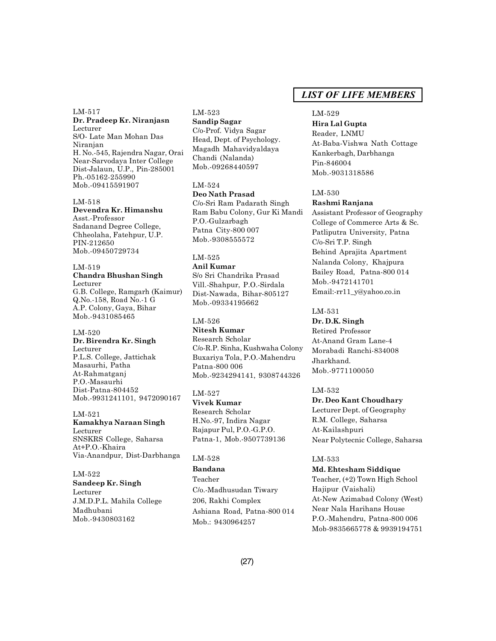LM-517 **Dr. Pradeep Kr. Niranjasn** Lecturer S/O- Late Man Mohan Das Niranjan H. No.-545, Rajendra Nagar, Orai Near-Sarvodaya Inter College Dist-Jalaun, U.P., Pin-285001 Ph.-05162-255990 Mob.-09415591907

LM-518 **Devendra Kr. Himanshu** Asst.-Professor Sadanand Degree College, Chheolaha, Fatehpur, U.P. PIN-212650 Mob.-09450729734

LM-519 **Chandra Bhushan Singh** Lecturer G.B. College, Ramgarh (Kaimur) Q.No.-158, Road No.-1 G A.P. Colony, Gaya, Bihar Mob.-9431085465

LM-520 **Dr. Birendra Kr. Singh** Lecturer P.L.S. College, Jattichak Masaurhi, Patha At-Rahmatganj P.O.-Masaurhi Dist-Patna-804452 Mob.-9931241101, 9472090167

LM-521 **Kamakhya Naraan Singh** Lecturer SNSKRS College, Saharsa At+P.O.-Khaira Via-Anandpur, Dist-Darbhanga

LM-522 **Sandeep Kr. Singh** Lecturer J.M.D.P.L. Mahila College Madhubani Mob.-9430803162

LM-523 **Sandip Sagar** C/o-Prof. Vidya Sagar Head, Dept. of Psychology. Magadh Mahavidyaldaya Chandi (Nalanda) Mob.-09268440597

LM-524 **Deo Nath Prasad** C/o-Sri Ram Padarath Singh Ram Babu Colony, Gur Ki Mandi P.O.-Gulzarbagh Patna City-800 007 Mob.-9308555572

LM-525

**Anil Kumar** S/o Sri Chandrika Prasad Vill.-Shahpur, P.O.-Sirdala Dist-Nawada, Bihar-805127 Mob.-09334195662

LM-526 **Nitesh Kumar** Research Scholar C/o-R.P. Sinha, Kushwaha Colony Buxariya Tola, P.O.-Mahendru Patna-800 006 Mob.-9234294141, 9308744326

LM-527 **Vivek Kumar** Research Scholar H.No.-97, Indira Nagar Rajapur Pul, P.O.-G.P.O. Patna-1, Mob.-9507739136

#### LM-528

**Bandana** Teacher C/o.-Madhusudan Tiwary 206, Rakhi Complex Ashiana Road, Patna-800 014 Mob.: 9430964257

# *LIST OF LIFE MEMBERS*

# LM-529

**Hira Lal Gupta** Reader, LNMU At-Baba-Vishwa Nath Cottage Kankerbagh, Darbhanga Pin-846004 Mob.-9031318586

#### LM-530

# **Rashmi Ranjana**

Assistant Professor of Geography College of Commerce Arts & Sc. Patliputra University, Patna C/o-Sri T.P. Singh Behind Aprajita Apartment Nalanda Colony, Khajpura Bailey Road, Patna-800 014 Mob.-9472141701 Email:-rr11\_y@yahoo.co.in

LM-531

**Dr. D.K. Singh**

Retired Professor At-Anand Gram Lane-4 Morabadi Ranchi-834008 Jharkhand. Mob.-9771100050

LM-532

**Dr. Deo Kant Choudhary**

Lecturer Dept. of Geography R.M. College, Saharsa At-Kailashpuri Near Polytecnic College, Saharsa

LM-533

**Md. Ehtesham Siddique** Teacher, (+2) Town High School Hajipur (Vaishali) At-New Azimabad Colony (West) Near Nala Harihans House P.O.-Mahendru, Patna-800 006 Mob-9835665778 & 9939194751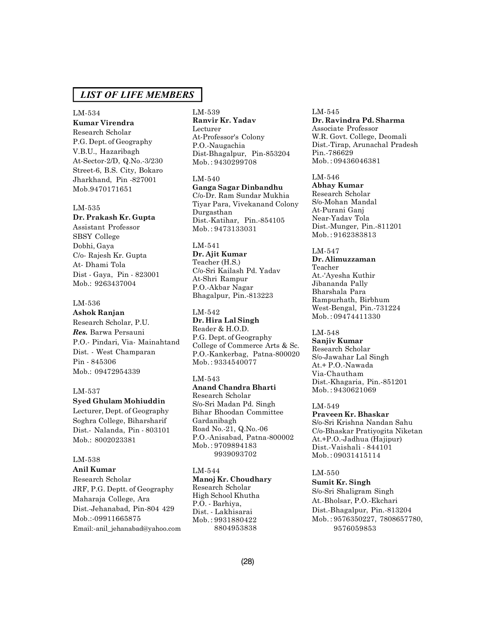#### LM-534

**Kumar Virendra** Research Scholar

P.G. Dept. of Geography V.B.U., Hazaribagh At-Sector-2/D, Q.No.-3/230 Street-6, B.S. City, Bokaro Jharkhand, Pin -827001 Mob.9470171651

#### LM-535

**Dr. Prakash Kr. Gupta** Assistant Professor SBSY College Dobhi, Gaya C/o- Rajesh Kr. Gupta At- Dhami Tola Dist - Gaya, Pin - 823001 Mob.: 9263437004

### LM-536

### **Ashok Ranjan**

Research Scholar, P.U. *Res.* Barwa Persauni P.O.- Pindari, Via- Mainahtand Dist. - West Champaran Pin - 845306 Mob.: 09472954339

#### LM-537

#### **Syed Ghulam Mohiuddin**

Lecturer, Dept. of Geography Soghra College, Biharsharif Dist.- Nalanda, Pin - 803101 Mob.: 8002023381

# LM-538

#### **Anil Kumar**

Research Scholar JRF, P.G. Deptt. of Geography Maharaja College, Ara Dist.-Jehanabad, Pin-804 429 Mob.:-09911665875 Email:-anil\_jehanabad@yahoo.com

LM-539 **Ranvir Kr. Yadav** Lecturer At-Professor's Colony P.O.-Naugachia Dist-Bhagalpur, Pin-853204 Mob. : 9430299708

LM-540 **Ganga Sagar Dinbandhu** C/o-Dr. Ram Sundar Mukhia Tiyar Para, Vivekanand Colony Durgasthan Dist.-Katihar, Pin.-854105 Mob. : 9473133031

LM-541 **Dr. Ajit Kumar** Teacher (H.S.) C/o-Sri Kailash Pd. Yadav At-Shri Rampur P.O.-Akbar Nagar Bhagalpur, Pin.-813223

LM-542 **Dr. Hira Lal Singh** Reader & H.O.D. P.G. Dept. of Geography College of Commerce Arts & Sc. P.O.-Kankerbag, Patna-800020 Mob. : 9334540077

#### LM-543

**Anand Chandra Bharti** Research Scholar S/o-Sri Madan Pd. Singh Bihar Bhoodan Committee Gardanibagh Road No.-21, Q.No.-06 P.O.-Anisabad, Patna-800002 Mob. : 9709894183 9939093702

LM-544 **Manoj Kr. Choudhary** Research Scholar High School Khutha P.O. - Barhiya, Dist. - Lakhisarai Mob. : 9931880422 8804953838

#### LM-545 **Dr. Ravindra Pd. Sharma** Associate Professor W.R. Govt. College, Deomali Dist.-Tirap, Arunachal Pradesh Pin.-786629 Mob. : 09436046381

LM-546

**Abhay Kumar** Research Scholar S/o-Mohan Mandal At-Purani Ganj Near-Yadav Tola Dist.-Munger, Pin.-811201 Mob. : 9162383813

LM-547 **Dr. Alimuzzaman** Teacher At.-'Ayesha Kuthir Jibananda Pally Bharshala Para Rampurhath, Birbhum West-Bengal, Pin.-731224 Mob. : 09474411330

LM-548 **Sanjiv Kumar** Research Scholar S/o-Jawahar Lal Singh At.+ P.O.-Nawada

Via-Chautham Dist.-Khagaria, Pin.-851201 Mob. : 9430621069

LM-549 **Praveen Kr. Bhaskar** S/o-Sri Krishna Nandan Sahu C/o-Bhaskar Pratiyogita Niketan At.+P.O.-Jadhua (Hajipur) Dist.-Vaishali - 844101 Mob. : 09031415114

#### LM-550

**Sumit Kr. Singh** S/o-Sri Shaligram Singh At.-Bholsar, P.O.-Ekchari Dist.-Bhagalpur, Pin.-813204 Mob. : 9576350227, 7808657780, 9576059853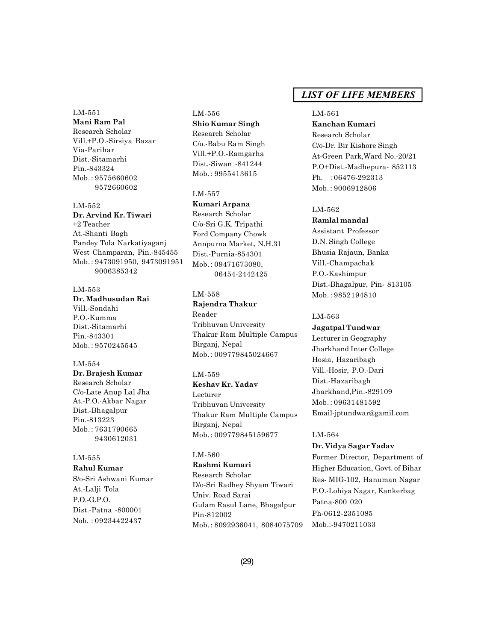### LM-551

**Mani Ram Pal** Research Scholar Vill.+P.O.-Sirsiya Bazar Via-Parihar Dist.-Sitamarhi Pin.-843324 Mob. : 9575660602 9572660602

# LM-552 **Dr. Arvind Kr. Tiwari** +2 Teacher At.-Shanti Bagh Pandey Tola Narkatiyaganj West Champaran, Pin.-845455 Mob. : 9473091950, 9473091951 9006385342

#### LM-553

**Dr. Madhusudan Rai** Vill.-Sondahi P.O.-Kumma Dist.-Sitamarhi Pin.-843301 Mob. : 9570245545

# LM-554

**Dr. Brajesh Kumar** Research Scholar C/o-Late Anup Lal Jha At.-P.O.-Akbar Nagar Dist.-Bhagalpur Pin.-813223 Mob. : 7631790665 9430612031

# LM-555

**Rahul Kumar**

S/o-Sri Ashwani Kumar At.-Lalji Tola P.O.-G.P.O. Dist.-Patna -800001 Nob. : 09234422437

# LM-556 **Shio Kumar Singh** Research Scholar C/o.-Babu Ram Singh Vill.+P.O.-Ramgarha Dist.-Siwan -841244 Mob. : 9955413615

#### LM-557

**Kumari Arpana** Research Scholar C/o-Sri G.K. Tripathi Ford Company Chowk Annpurna Market, N.H.31 Dist.-Purnia-854301 Mob.: 09471673080, 06454-2442425

#### LM-558

**Rajendra Thakur** Reader Tribhuvan University Thakur Ram Multiple Campus Birganj, Nepal Mob. : 009779845024667

#### LM-559

**Keshav Kr. Yadav** Lecturer Tribhuvan University Thakur Ram Multiple Campus Birganj, Nepal Mob. : 009779845159677

#### LM-560

**Rashmi Kumari** Research Scholar D/o-Sri Radhey Shyam Tiwari Univ. Road Sarai Gulam Rasul Lane, Bhagalpur Pin-812002 Mob. : 8092936041, 8084075709

# *LIST OF LIFE MEMBERS*

### LM-561

**Kanchan Kumari** Research Scholar C/o-Dr. Bir Kishore Singh At-Green Park,Ward No.-20/21 P.O+Dist.-Madhepura- 852113 Ph. : 06476-292313 Mob. : 9006912806

# LM-562

# **Ramlal mandal**

Assistant Professor D.N. Singh College Bhusia Rajaun, Banka Vill.-Champachak P.O.-Kashimpur Dist.-Bhagalpur, Pin- 813105 Mob. : 9852194810

#### LM-563

**Jagatpal Tundwar** Lecturer in Geography Jharkhand Inter College Hosia, Hazaribagh Vill.-Hosir, P.O.-Dari Dist.-Hazaribagh Jharkhand,Pin.-829109 Mob. : 09631481592 Email-jptundwar@gamil.com

### LM-564

# **Dr. Vidya Sagar Yadav**

Former Director, Department of Higher Education, Govt. of Bihar Res- MIG-102, Hanuman Nagar P.O.-Lohiya Nagar, Kankerbag Patna-800 020 Ph-0612-2351085 Mob.:-9470211033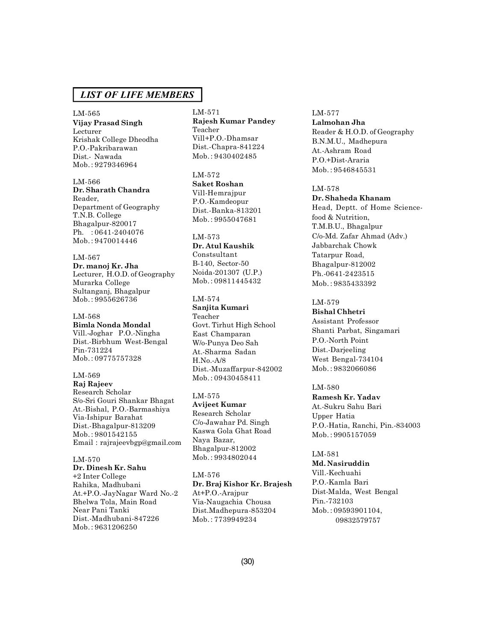LM-565 **Vijay Prasad Singh** Lecturer Krishak College Dheodha P.O.-Pakribarawan Dist.- Nawada Mob. : 9279346964

LM-566 **Dr. Sharath Chandra** Reader, Department of Geography T.N.B. College Bhagalpur-820017 Ph. : 0641-2404076 Mob. : 9470014446

LM-567 **Dr. manoj Kr. Jha** Lecturer, H.O.D. of Geography Murarka College Sultanganj, Bhagalpur Mob. : 9955626736

LM-568 **Bimla Nonda Mondal** Vill.-Joghar P.O.-Ningha Dist.-Birbhum West-Bengal Pin-731224 Mob. : 09775757328

LM-569 **Raj Rajeev** Research Scholar S/o-Sri Gouri Shankar Bhagat At.-Bishal, P.O.-Barmashiya Via-Ishipur Barahat Dist.-Bhagalpur-813209 Mob. : 9801542155 Email : rajrajeevbgp@gmail.com

LM-570 **Dr. Dinesh Kr. Sahu** +2 Inter College Rahika, Madhubani At.+P.O.-JayNagar Ward No.-2 Bhelwa Tola, Main Road Near Pani Tanki Dist.-Madhubani-847226 Mob. : 9631206250

LM-571 **Rajesh Kumar Pandey** Teacher Vill+P.O.-Dhamsar Dist.-Chapra-841224 Mob. : 9430402485

LM-572 **Saket Roshan** Vill-Hemrajpur P.O.-Kamdeopur Dist.-Banka-813201 Mob. : 9955047681

#### LM-573

**Dr. Atul Kaushik** Constsultant B-140, Sector-50 Noida-201307 (U.P.) Mob. : 09811445432

#### LM-574

**Sanjita Kumari** Teacher Govt. Tirhut High School East Champaran W/o-Punya Deo Sah At.-Sharma Sadan H.No.-A/8 Dist.-Muzaffarpur-842002 Mob. : 09430458411

LM-575

**Avijeet Kumar** Research Scholar C/o-Jawahar Pd. Singh Kaswa Gola Ghat Road Naya Bazar, Bhagalpur-812002 Mob. : 9934802044

LM-576 **Dr. Braj Kishor Kr. Brajesh** At+P.O.-Arajpur Via-Naugachia Chousa Dist.Madhepura-853204 Mob. : 7739949234

#### LM-577

**Lalmohan Jha** Reader & H.O.D. of Geography B.N.M.U., Madhepura At.-Ashram Road P.O.+Dist-Araria Mob. : 9546845531

#### LM-578

**Dr. Shaheda Khanam** Head, Deptt. of Home Sciencefood & Nutrition, T.M.B.U., Bhagalpur C/o-Md. Zafar Ahmad (Adv.) Jabbarchak Chowk Tatarpur Road, Bhagalpur-812002 Ph.-0641-2423515 Mob. : 9835433392

# LM-579

**Bishal Chhetri** Assistant Professor Shanti Parbat, Singamari P.O.-North Point Dist.-Darjeeling West Bengal-734104 Mob. : 9832066086

# LM-580

**Ramesh Kr. Yadav** At.-Sukru Sahu Bari Upper Hatia P.O.-Hatia, Ranchi, Pin.-834003 Mob. : 9905157059

LM-581 **Md. Nasiruddin** Vill.-Kechuahi P.O.-Kamla Bari Dist-Malda, West Bengal Pin.-732103 Mob. : 09593901104, 09832579757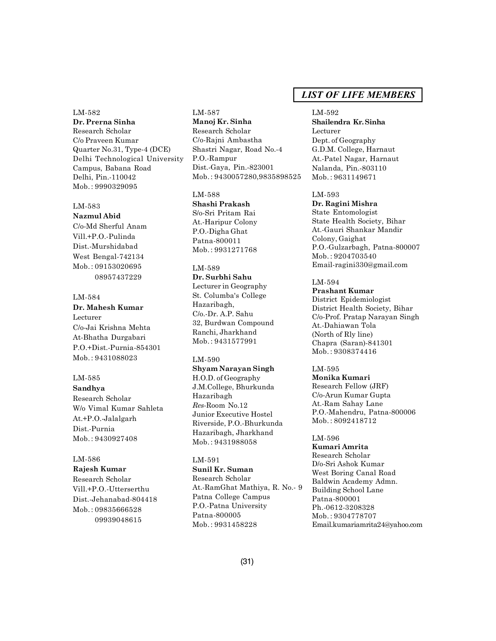#### LM-582 **Dr. Prerna Sinha**

Research Scholar C/o Praveen Kumar Quarter No.31, Type-4 (DCE) Delhi Technological University Campus, Babana Road Delhi, Pin.-110042 Mob. : 9990329095

# LM-583

**Nazmul Abid** C/o-Md Sherful Anam Vill.+P.O.-Pulinda Dist.-Murshidabad West Bengal-742134 Mob. : 09153020695 08957437229

### LM-584

**Dr. Mahesh Kumar** Lecturer

C/o-Jai Krishna Mehta At-Bhatha Durgabari P.O.+Dist.-Purnia-854301 Mob. : 9431088023

### LM-585

**Sandhya** Research Scholar W/o Vimal Kumar Sahleta At.+P.O.-Jalalgarh Dist.-Purnia Mob. : 9430927408

# LM-586

**Rajesh Kumar** Research Scholar Vill.+P.O.-Utterserthu Dist.-Jehanabad-804418 Mob. : 09835666528 09939048615

# LM-587 **Manoj Kr. Sinha** Research Scholar C/o-Rajni Ambastha Shastri Nagar, Road No.-4 P.O.-Rampur Dist.-Gaya, Pin.-823001 Mob. : 9430057280,9835898525

LM-588 **Shashi Prakash** S/o-Sri Pritam Rai At.-Haripur Colony P.O.-Digha Ghat Patna-800011 Mob. : 9931271768

# LM-589

**Dr. Surbhi Sahu** Lecturer in Geography St. Columba's College Hazaribagh, C/o.-Dr. A.P. Sahu 32, Burdwan Compound Ranchi, Jharkhand Mob. : 9431577991

#### LM-590

**Shyam Narayan Singh** H.O.D. of Geography J.M.College, Bhurkunda Hazaribagh *Res*-Room No.12 Junior Executive Hostel Riverside, P.O.-Bhurkunda Hazaribagh, Jharkhand Mob. : 9431988058

# LM-591

**Sunil Kr. Suman** Research Scholar At.-RamGhat Mathiya, R. No.- 9 Patna College Campus P.O.-Patna University Patna-800005 Mob. : 9931458228

# *LIST OF LIFE MEMBERS*

LM-592 **Shailendra Kr. Sinha** Lecturer Dept. of Geography G.D.M. College, Harnaut At.-Patel Nagar, Harnaut Nalanda, Pin.-803110 Mob. : 9631149671

#### LM-593

**Dr. Ragini Mishra** State Entomologist State Health Society, Bihar At.-Gauri Shankar Mandir Colony, Gaighat P.O.-Gulzarbagh, Patna-800007 Mob. : 9204703540 Email-ragini330@gmail.com

# LM-594

**Prashant Kumar** District Epidemiologist District Health Society, Bihar C/o-Prof. Pratap Narayan Singh At.-Dahiawan Tola (North of Rly line) Chapra (Saran)-841301 Mob. : 9308374416

#### LM-595

**Monika Kumari** Research Fellow (JRF) C/o-Arun Kumar Gupta At.-Ram Sahay Lane P.O.-Mahendru, Patna-800006 Mob. : 8092418712

#### LM-596

**Kumari Amrita** Research Scholar D/o-Sri Ashok Kumar West Boring Canal Road Baldwin Academy Admn. Building School Lane Patna-800001 Ph.-0612-3208328 Mob. : 9304778707 Email.kumariamrita24@yahoo.com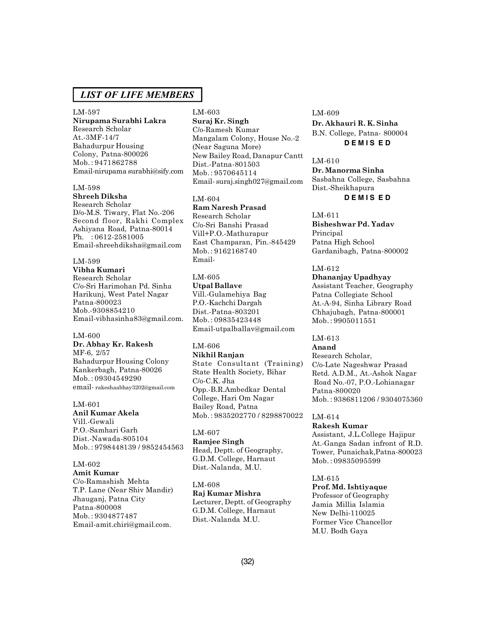LM-597 **Nirupama Surabhi Lakra** Research Scholar At.-3MF-14/7 Bahadurpur Housing Colony, Patna-800026 Mob. : 9471862788 Email-nirupama surabhi@sify.com

#### LM-598

**Shreeh Diksha** Research Scholar D/o-M.S. Tiwary, Flat No.-206 Second floor, Rakhi Complex Ashiyana Road, Patna-80014 Ph. : 0612-2581005 Email-shreehdiksha@gmail.com

# LM-599

**Vibha Kumari** Research Scholar C/o-Sri Harimohan Pd. Sinha Harikunj, West Patel Nagar Patna-800023 Mob.-9308854210 Email-vibhasinha83@gmail.com.

#### LM-600

**Dr. Abhay Kr. Rakesh** MF-6, 2/57 Bahadurpur Housing Colony Kankerbagh, Patna-80026 Mob. : 09304549290 email- rakeshaabhay3202@gmail.com

#### LM-601

**Anil Kumar Akela** Vill.-Gewali P.O.-Samhari Garh Dist.-Nawada-805104 Mob. : 9798448139 / 9852454563

### LM-602

**Amit Kumar** C/o-Ramashish Mehta T.P. Lane (Near Shiv Mandir) Jhauganj, Patna City Patna-800008 Mob. : 9304877487 Email-amit.chiri@gmail.com.

LM-603 **Suraj Kr. Singh** C/o-Ramesh Kumar Mangalam Colony, House No.-2 (Near Saguna More) New Bailey Road, Danapur Cantt Dist.-Patna-801503 Mob. : 9570645114 Email- suraj.singh027@gmail.com

LM-604 **Ram Naresh Prasad** Research Scholar C/o-Sri Banshi Prasad Vill+P.O.-Mathurapur East Champaran, Pin.-845429 Mob. : 9162168740 Email-

LM-605 **Utpal Ballave** Vill.-Gulamehiya Bag P.O.-Kachchi Dargah Dist.-Patna-803201 Mob. : 09835423448 Email-utpalballav@gmail.com

# LM-606

**Nikhil Ranjan** State Consultant (Training) State Health Society, Bihar C/o-C.K. Jha Opp.-B.R.Ambedkar Dental College, Hari Om Nagar Bailey Road, Patna Mob. : 9835202770 / 8298870022

# LM-607

**Ramjee Singh** Head, Deptt. of Geography, G.D.M. College, Harnaut Dist.-Nalanda, M.U.

# LM-608

**Raj Kumar Mishra** Lecturer, Deptt. of Geography G.D.M. College, Harnaut Dist.-Nalanda M.U.

#### LM-609

**Dr. Akhauri R. K. Sinha** B.N. College, Patna- 800004 **D E M I S E D**

LM-610 **Dr. Manorma Sinha** Sasbahna College, Sasbahna Dist.-Sheikhapura **D E M I S E D**

LM-611 **Bisheshwar Pd. Yadav** Principal Patna High School Gardanibagh, Patna-800002

#### LM-612

**Dhananjay Upadhyay** Assistant Teacher, Geography Patna Collegiate School At.-A-94, Sinha Library Road Chhajubagh, Patna-800001 Mob. : 9905011551

LM-613

# **Anand**

Research Scholar, C/o-Late Nageshwar Prasad Retd. A.D.M., At.-Ashok Nagar Road No.-07, P.O.-Lohianagar Patna-800020 Mob. : 9386811206 / 9304075360

LM-614

**Rakesh Kumar** Assistant, J.L.College Hajipur At.-Ganga Sadan infront of R.D. Tower, Punaichak,Patna-800023 Mob. : 09835095599

#### LM-615 **Prof. Md. Ishtiyaque**

Professor of Geography Jamia Millia Islamia New Delhi-110025 Former Vice Chancellor M.U. Bodh Gaya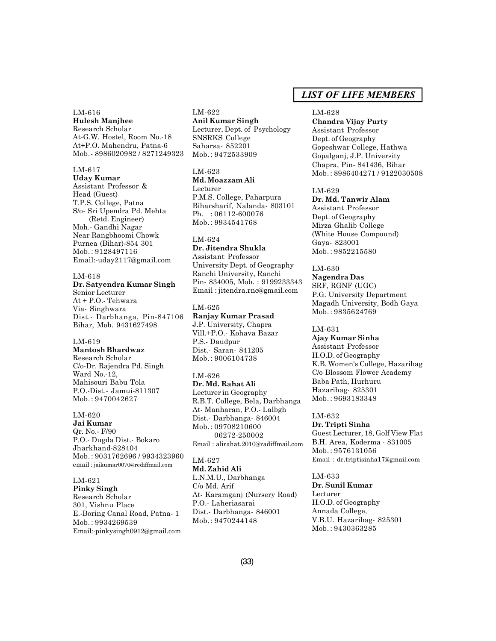#### LM-616 **Hulesh Manjhee**

Research Scholar At-G.W. Hostel, Room No.-18 At+P.O. Mahendru, Patna-6 Mob.- 8986020982 / 8271249323

### LM-617

**Uday Kumar** Assistant Professor & Head (Guest) T.P.S. College, Patna S/o- Sri Upendra Pd. Mehta (Retd. Engineer) Moh.- Gandhi Nagar Near Rangbhoomi Chowk Purnea (Bihar)-854 301 Mob. : 9128497116 Email:-uday2117@gmail.com

# LM-618

**Dr. Satyendra Kumar Singh** Senior Lecturer

At + P.O.- Tehwara Via- Singhwara Dist.- Darbhanga, Pin-847106 Bihar, Mob. 9431627498

#### LM-619 **Mantosh Bhardwaz**

Research Scholar C/o-Dr. Rajendra Pd. Singh Ward No.-12, Mahisouri Babu Tola P.O.-Dist.- Jamui-811307 Mob. : 9470042627

# LM-620

**Jai Kumar** Qr. No.- F/90 P.O.- Dugda Dist.- Bokaro Jharkhand-828404 Mob. : 9031762696 / 9934323960 email : jaikumar0070@rediffmail.com

# LM-621

**Pinky Singh** Research Scholar 301, Vishnu Place E.-Boring Canal Road, Patna- 1 Mob. : 9934269539 Email:-pinkysingh0912@gmail.com

#### LM-622 **Anil Kumar Singh** Lecturer, Dept. of Psychology SNSRKS College Saharsa- 852201 Mob. : 9472533909

LM-623 **Md. Moazzam Ali** Lecturer P.M.S. College, Paharpura Biharsharif, Nalanda- 803101 Ph. : 06112-600076 Mob. : 9934541768

#### LM-624

**Dr. Jitendra Shukla** Assistant Professor University Dept. of Geography Ranchi University, Ranchi Pin- 834005, Mob. : 9199233343 Email : jitendra.rnc@gmail.com

# LM-625 **Ranjay Kumar Prasad** J.P. University, Chapra Vill.+P.O.- Kohava Bazar

P.S.- Daudpur Dist.- Saran- 841205 Mob. : 9006104738

#### LM-626

**Dr. Md. Rahat Ali** Lecturer in Geography R.B.T. College, Bela, Darbhanga At- Manharan, P.O.- Lalbgh Dist.- Darbhanga- 846004 Mob. : 09708210600 06272-250002 Email : alirahat.2010@radiffmail.com

#### LM-627 **Md. Zahid Ali**

L.N.M.U., Darbhanga C/o Md. Arif At- Karamganj (Nursery Road) P.O.- Laheriasarai Dist.- Darbhanga- 846001 Mob. : 9470244148

# *LIST OF LIFE MEMBERS*

#### LM-628

**Chandra Vijay Purty** Assistant Professor Dept. of Geography Gopeshwar College, Hathwa Gopalganj, J.P. University Chapra, Pin- 841436, Bihar Mob. : 8986404271 / 9122030508

#### LM-629

**Dr. Md. Tanwir Alam** Assistant Professor Dept. of Geography Mirza Ghalib College (White House Compound) Gaya- 823001 Mob. : 9852215580

# LM-630

**Nagendra Das** SRF, RGNF (UGC) P.G. University Department Magadh University, Bodh Gaya Mob. : 9835624769

#### LM-631

**Ajay Kumar Sinha** Assistant Professor H.O.D. of Geography K.B. Women's College, Hazaribag C/o Blossom Flower Academy Baba Path, Hurhuru Hazaribag- 825301 Mob. : 9693183348

#### LM-632

**Dr. Tripti Sinha** Guest Lecturer, 18, Golf View Flat B.H. Area, Koderma - 831005 Mob. : 9576131056 Email : dr.triptisinha17@gmail.com

#### LM-633

**Dr. Sunil Kumar** Lecturer H.O.D. of Geography Annada College, V.B.U. Hazaribag- 825301 Mob. : 9430363285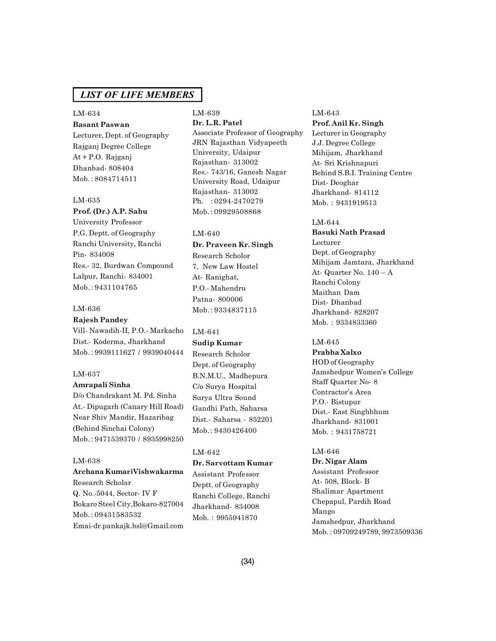# LM-634

**Basant Paswan** Lecturer, Dept. of Geography Rajganj Degree College At + P.O. Rajganj Dhanbad- 808404 Mob. : 8084714511

#### LM-635

# **Prof. (Dr.) A.P. Sahu**

University Professor P.G. Deptt. of Geography Ranchi University, Ranchi Pin- 834008 Res.- 32, Burdwan Compound Lalpur, Ranchi- 834001 Mob. : 9431104765

#### LM-636

# **Rajesh Pandey**

Vill- Nawadih-II, P.O.- Markacho Dist.- Koderma, Jharkhand Mob. : 9939111627 / 9939040444

### LM-637

# **Amrapali Sinha**

D/o Chandrakant M. Pd. Sinha At.- Dipugarh (Canary Hill Road) Near Shiv Mandir, Hazaribag (Behind Sinchai Colony) Mob. : 9471539370 / 8935998250

### LM-638

# **Archana KumariVishwakarma**

Research Scholar Q. No.-5044, Sector- IV F Bokaro Steel City,Bokaro-827004 Mob. : 09431583532 Emai-dr.pankajk.bsl@Gmail.com

# LM-639

**Dr. L.R. Patel** Associate Professor of Geography JRN Rajasthan Vidyapeeth University, Udaipur Rajasthan- 313002 Res.- 743/16, Ganesh Nagar University Road, Udaipur Rajasthan- 313002 Ph. : 0294-2470279 Mob. : 09929508868

#### LM-640

**Dr. Praveen Kr. Singh** Research Scholor 7, New Law Hostel At- Ranighat, P.O.- Mahendru Patna- 800006 Mob. : 9334837115

### LM-641

**Sudip Kumar** Research Scholor Dept. of Geography B.N.M.U., Madhepura C/o Surya Hospital Surya Ultra Sound Gandhi Path, Saharsa Dist.- Saharsa - 852201 Mob. : 9430426400

#### LM-642

### **Dr. Sarvottam Kumar**

Assistant Professor Deptt. of Geography Ranchi College, Ranchi Jharkhand- 834008 Mob. : 9955941870

#### LM-643

**Prof. Anil Kr. Singh** Lecturer in Geography J.J. Degree College Mihijam, Jharkhand At- Sri Krishnapuri Behind S.B.I. Training Centre Dist- Deoghar Jharkhand- 814112 Mob. : 9431919513

### LM-644

**Basuki Nath Prasad** Lecturer Dept. of Geography Mihijam Jamtara, Jharkhand At- Quarter No. 140 – A Ranchi Colony Maithan Dam Dist- Dhanbad Jharkhand- 828207 Mob. : 9334833360

# LM-645

**Prabha Xalxo** HOD of Geography Jamshedpur Women's College Staff Quarter No- 8 Contractor's Area P.O.- Bistupur Dist.- East Singhbhum Jharkhand- 831001 Mob. : 9431758721

### LM-646

**Dr. Nigar Alam** Assistant Professor At- 508, Block- B Shalimar Apartment Chepapul, Pardih Road Mango Jamshedpur, Jharkhand Mob. : 09709249789, 9973509336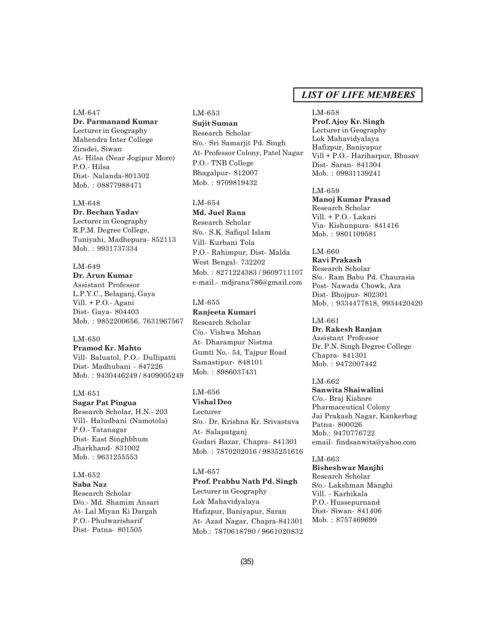### LM-647

**Dr. Parmanand Kumar** Lecturer in Geography Mahendra Inter College Ziradei, Siwan At- Hilsa (Near Jogipur More) P.O.- Hilsa Dist- Nalanda-801302 Mob. : 08877988471

#### LM-648

**Dr. Bechan Yadav** Lecturer in Geography R.P.M. Degree College, Tuniyahi, Madhepura- 852113 Mob. : 9931737334

# LM-649

**Dr. Arun Kumar** Assistant Professor L.P.Y.C., Belaganj, Gaya Vill. + P.O.- Agani Dist- Gaya- 804403 Mob. : 9852200656, 7631967567

#### LM-650

**Pramod Kr. Mahto** Vill- Baluatol, P.O.- Dullipatti Dist- Madhubani - 847226 Mob. : 9430446249 / 8409005249

#### LM-651

**Sagar Pat Pingua** Research Scholar, H.N.- 203 Vill- Haludbani (Namotola) P.O.- Tatanagar Dist- East Singhbhum Jharkhand- 831002 Mob. : 9631255553

#### LM-652

**Saba Naz** Research Scholar D/o.- Md. Shamim Ansari At- Lal Miyan Ki Dargah P.O.- Phulwarisharif Dist- Patna- 801505

# LM-653 **Sujit Suman** Research Scholar S/o.- Sri Samarjit Pd. Singh At- Professor Colony, Patel Nagar P.O.- TNB College Bhagalpur- 812007 Mob. : 9709819432

#### LM-654

**Md. Juel Rana** Research Scholar S/o.- S.K. Safiqul Islam Vill- Kurbani Tola P.O.- Rahimpur, Dist- Malda West Bengal- 732202 Mob. : 8271224383 / 9609711107 e-mail.- mdjrana786@gmail.com

#### LM-655

#### **Ranjeeta Kumari**

Research Scholar C/o.- Vishwa Mohan At- Dharampur Nistma Gumti No.- 54, Tajpur Road Samastipur- 848101 Mob. : 8986037431

#### LM-656

**Vishal Deo** Lecturer S/o.- Dr. Krishna Kr. Srivastava At- Salapatganj Gudari Bazar, Chapra- 841301 Mob. : 7870202016 / 9835251616

# LM-657

# **Prof. Prabhu Nath Pd. Singh** Lecturer in Geography

Lok Mahavidyalaya Hafizpur, Baniyapur, Saran At- Azad Nagar, Chapra-841301 Mob.: 7870618790 / 9661020832

# *LIST OF LIFE MEMBERS*

#### LM-658

**Prof. Ajoy Kr. Singh** Lecturer in Geography Lok Mahavidyalaya Hafizpur, Baniyapur Vill + P.O.- Hariharpur, Bhusav Dist- Saran- 841304 Mob. : 09931139241

### LM-659

**Manoj Kumar Prasad** Research Scholar Vill. + P.O.- Lakari Via- Kishunpura- 841416 Mob. : 9801109581

# LM-660

**Ravi Prakash** Research Scholar S/o.- Ram Babu Pd. Chaurasia Post- Nawada Chowk, Ara Dist- Bhojpur- 802301 Mob. : 9334477818, 9934420420

# LM-661

**Dr. Rakesh Ranjan** Assistant Professor Dr. P.N. Singh Degree College Chapra- 841301 Mob. : 9472007442

# LM-662

**Sanwita Shaiwalini** C/o.- Braj Kishore Pharmaceutical Colony Jai Prakash Nagar, Kankerbag Patna- 800026 Mob.: 9470776722 email- findsanwita@yahoo.com

#### LM-663 **Bisheshwar Manjhi** Research Scholar S/o.- Lakshman Manghi Vill. - Karhikala P.O.- Hussepurnand Dist- Siwan- 841406 Mob. : 8757469699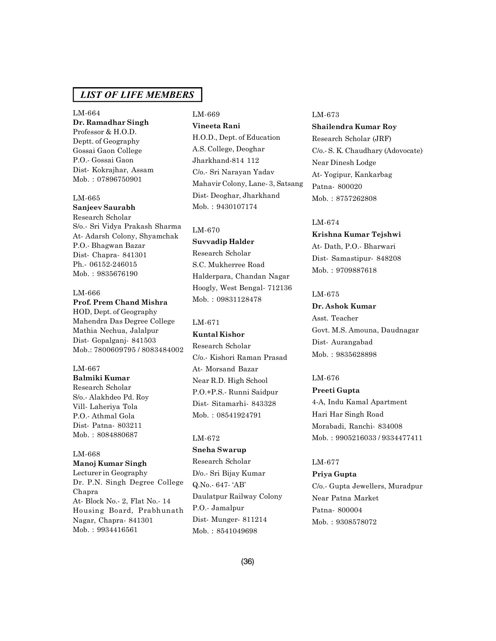LM-664 **Dr. Ramadhar Singh** Professor & H.O.D. Deptt. of Geography Gossai Gaon College P.O.- Gossai Gaon Dist- Kokrajhar, Assam Mob. : 07896750901

#### LM-665

**Sanjeev Saurabh** Research Scholar S/o.- Sri Vidya Prakash Sharma At- Adarsh Colony, Shyamchak P.O.- Bhagwan Bazar Dist- Chapra- 841301 Ph.- 06152-246015 Mob. : 9835676190

# LM-666

#### **Prof. Prem Chand Mishra**

HOD, Dept. of Geography Mahendra Das Degree College Mathia Nechua, Jalalpur Dist- Gopalganj- 841503 Mob.: 7800609795 / 8083484002

### LM-667

**Balmiki Kumar** Research Scholar S/o.- Alakhdeo Pd. Roy Vill- Laheriya Tola P.O.- Athmal Gola Dist- Patna- 803211 Mob. : 8084880687

### LM-668 **Manoj Kumar Singh**

Lecturer in Geography Dr. P.N. Singh Degree College Chapra At- Block No.- 2, Flat No.- 14 Housing Board, Prabhunath Nagar, Chapra- 841301 Mob. : 9934416561

# LM-669 **Vineeta Rani** H.O.D., Dept. of Education A.S. College, Deoghar Jharkhand-814 112 C/o.- Sri Narayan Yadav Mahavir Colony, Lane- 3, Satsang Dist- Deoghar, Jharkhand Mob. : 9430107174

#### LM-670

### **Suvvadip Halder**

Research Scholar S.C. Mukherree Road Halderpara, Chandan Nagar Hoogly, West Bengal- 712136 Mob. : 09831128478

### LM-671

# **Kuntal Kishor**

Research Scholar C/o.- Kishori Raman Prasad At- Morsand Bazar Near R.D. High School P.O.+P.S.- Runni Saidpur Dist- Sitamarhi- 843328 Mob. : 08541924791

#### LM-672

### **Sneha Swarup**

Research Scholar D/o.- Sri Bijay Kumar Q.No.- 647- 'AB' Daulatpur Railway Colony P.O.- Jamalpur Dist- Munger- 811214 Mob. : 8541049698

#### LM-673

**Shailendra Kumar Roy** Research Scholar (JRF) C/o.- S. K. Chaudhary (Adovocate) Near Dinesh Lodge At- Yogipur, Kankarbag Patna- 800020 Mob. : 8757262808

#### LM-674

**Krishna Kumar Tejshwi** At- Dath, P.O.- Bharwari Dist- Samastipur- 848208 Mob. : 9709887618

### LM-675

# **Dr. Ashok Kumar**

Asst. Teacher Govt. M.S. Amouna, Daudnagar Dist- Aurangabad Mob. : 9835628898

# LM-676

**Preeti Gupta** 4-A, Indu Kamal Apartment Hari Har Singh Road Morabadi, Ranchi- 834008 Mob. : 9905216033 / 9334477411

#### LM-677

#### **Priya Gupta**

C/o.- Gupta Jewellers, Muradpur Near Patna Market Patna- 800004 Mob. : 9308578072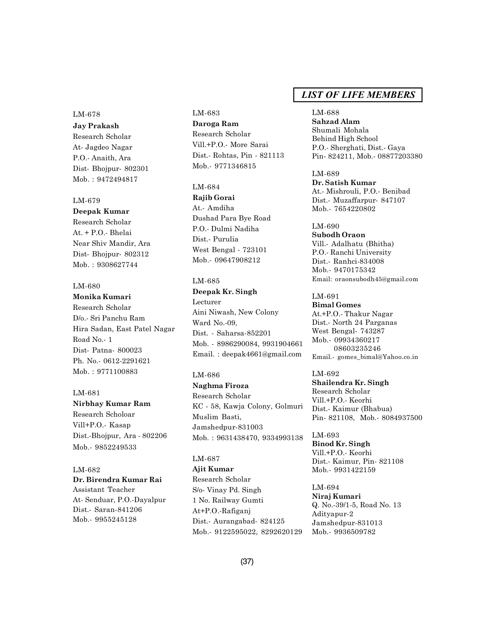### LM-678

**Jay Prakash** Research Scholar At- Jagdeo Nagar P.O.- Anaith, Ara Dist- Bhojpur- 802301 Mob. : 9472494817

#### LM-679

**Deepak Kumar** Research Scholar At. + P.O.- Bhelai Near Shiv Mandir, Ara Dist- Bhojpur- 802312 Mob. : 9308627744

### LM-680

**Monika Kumari**

Research Scholar D/o.- Sri Panchu Ram Hira Sadan, East Patel Nagar Road No.- 1 Dist- Patna- 800023 Ph. No.- 0612-2291621 Mob. : 9771100883

#### LM-681

**Nirbhay Kumar Ram**

Research Scholoar Vill+P.O.- Kasap Dist.-Bhojpur, Ara - 802206 Mob.- 9852249533

#### LM-682

**Dr. Birendra Kumar Rai** Assistant Teacher At- Senduar, P.O.-Dayalpur Dist.- Saran-841206 Mob.- 9955245128

# LM-683 **Daroga Ram** Research Scholar Vill.+P.O.- More Sarai Dist.- Rohtas, Pin - 821113 Mob.- 9771346815

LM-684

**Rajib Gorai** At.- Amdiha Dushad Para Bye Road P.O.- Dulmi Nadiha Dist.- Purulia West Bengal - 723101 Mob.- 09647908212

# LM-685

**Deepak Kr. Singh** Lecturer Aini Niwash, New Colony Ward No.-09, Dist. - Saharsa-852201 Mob. - 8986290084, 9931904661 Email. : deepak4661@gmail.com

#### LM-686

**Naghma Firoza** Research Scholar KC - 58, Kawja Colony, Golmuri Muslim Basti, Jamshedpur-831003 Mob. : 9631438470, 9334993138

# LM-687

**Ajit Kumar** Research Scholar S/o- Vinay Pd. Singh 1 No. Railway Gumti At+P.O.-Rafiganj Dist.- Aurangabad- 824125 Mob.- 9122595022, 8292620129

# *LIST OF LIFE MEMBERS*

LM-688 **Sahzad Alam** Shumali Mohala Behind High School P.O.- Sherghati, Dist.- Gaya Pin- 824211, Mob.- 08877203380

LM-689 **Dr. Satish Kumar** At.- Mishrouli, P.O.- Benibad Dist.- Muzaffarpur- 847107 Mob.- 7654220802

LM-690 **Subodh Oraon** Vill.- Adalhatu (Bhitha) P.O.- Ranchi University Dist.- Ranhci-834008 Mob.- 9470175342 Email: oraonsubodh45@gmail.com

LM-691 **Bimal Gomes** At.+P.O.- Thakur Nagar Dist.- North 24 Parganas West Bengal- 743287 Mob.- 09934360217 08603235246 Email.- gomes\_bimal@Yahoo.co.in

# LM-692

**Shailendra Kr. Singh** Research Scholar Vill.+P.O.- Keorhi Dist.- Kaimur (Bhabua) Pin- 821108, Mob.- 8084937500

LM-693 **Binod Kr. Singh** Vill.+P.O.- Keorhi Dist.- Kaimur, Pin- 821108 Mob.- 9931422159

LM-694 **Niraj Kumari** Q. No.-39/1-5, Road No. 13 Adityapur-2 Jamshedpur-831013 Mob.- 9936509782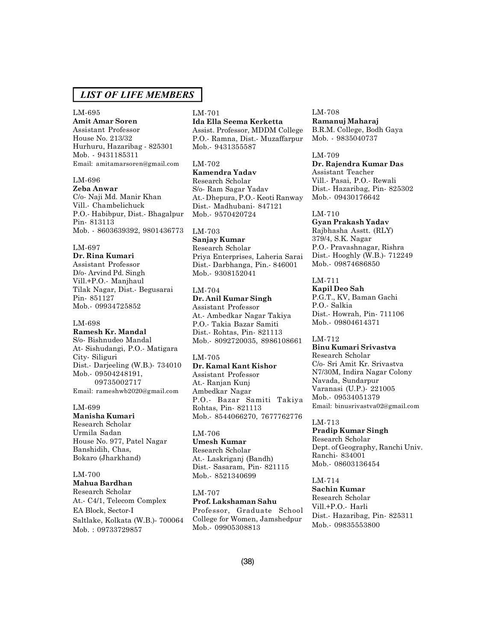#### LM-695

**Amit Amar Soren**

Assistant Professor House No. 213/32 Hurhuru, Hazaribag - 825301 Mob. - 9431185311 Email: amitamarsoren@gmail.com

# LM-696

**Zeba Anwar** C/o- Naji Md. Manir Khan Vill.- Chambelichuck P.O.- Habibpur, Dist.- Bhagalpur Pin- 813113 Mob. - 8603639392, 9801436773

#### LM-697

**Dr. Rina Kumari** Assistant Professor D/o- Arvind Pd. Singh Vill.+P.O.- Manjhaul Tilak Nagar, Dist.- Begusarai Pin- 851127 Mob.- 09934725852

#### LM-698

**Ramesh Kr. Mandal** S/o- Bishnudeo Mandal At- Sishudangi, P.O.- Matigara City- Siliguri Dist.- Darjeeling (W.B.)- 734010 Mob.- 09504248191, 09735002717 Email: rameshwb2020@gmail.com

#### LM-699

**Manisha Kumari** Research Scholar Urmila Sadan House No. 977, Patel Nagar Banshidih, Chas, Bokaro (Jharkhand)

# LM-700

**Mahua Bardhan** Research Scholar At.- C4/1, Telecom Complex EA Block, Sector-I Saltlake, Kolkata (W.B.)- 700064 Mob. : 09733729857

#### LM-701

**Ida Ella Seema Kerketta** Assist. Professor, MDDM College P.O.- Ramna, Dist.- Muzaffarpur Mob.- 9431355587

#### LM-702

**Kamendra Yadav** Research Scholar S/o- Ram Sagar Yadav At.- Dhepura, P.O.- Keoti Ranway Dist.- Madhubani- 847121 Mob.- 9570420724

# LM-703

**Sanjay Kumar** Research Scholar Priya Enterprises, Laheria Sarai Dist.- Darbhanga, Pin.- 846001 Mob.- 9308152041

#### LM-704 **Dr. Anil Kumar Singh** Assistant Professor At.- Ambedkar Nagar Takiya P.O.- Takia Bazar Samiti Dist.- Rohtas, Pin- 821113 Mob.- 8092720035, 8986108661

#### LM-705

**Dr. Kamal Kant Kishor** Assistant Professor At.- Ranjan Kunj Ambedkar Nagar P.O.- Bazar Samiti Takiya Rohtas, Pin- 821113 Mob.- 8544066270, 7677762776

### LM-706

**Umesh Kumar** Research Scholar At.- Laskriganj (Bandh) Dist.- Sasaram, Pin- 821115 Mob.- 8521340699

#### LM-707

**Prof. Lakshaman Sahu** Professor, Graduate School College for Women, Jamshedpur Mob.- 09905308813

### LM-708

**Ramanuj Maharaj** B.R.M. College, Bodh Gaya Mob. - 9835040737

#### LM-709

**Dr. Rajendra Kumar Das** Assistant Teacher Vill.- Pasai, P.O.- Rewali Dist.- Hazaribag, Pin- 825302 Mob.- 09430176642

#### LM-710

**Gyan Prakash Yadav** Rajbhasha Asstt. (RLY) 379/4, S.K. Nagar P.O.- Pravashnagar, Rishra Dist.- Hooghly (W.B.)- 712249 Mob.- 09874686850

# LM-711

**Kapil Deo Sah** P.G.T., KV, Baman Gachi P.O.- Salkia Dist.- Howrah, Pin- 711106 Mob.- 09804614371

#### LM-712

**Binu Kumari Srivastva** Research Scholar C/o- Sri Amit Kr. Srivastva N7/30M, Indira Nagar Colony Navada, Sundarpur Varanasi (U.P.)- 221005 Mob.- 09534051379 Email: binusrivastva02@gmail.com

#### LM-713

**Pradip Kumar Singh** Research Scholar Dept. of Geography, Ranchi Univ. Ranchi- 834001 Mob.- 08603136454

# LM-714

**Sachin Kumar** Research Scholar Vill.+P.O.- Harli Dist.- Hazaribag, Pin- 825311 Mob.- 09835553800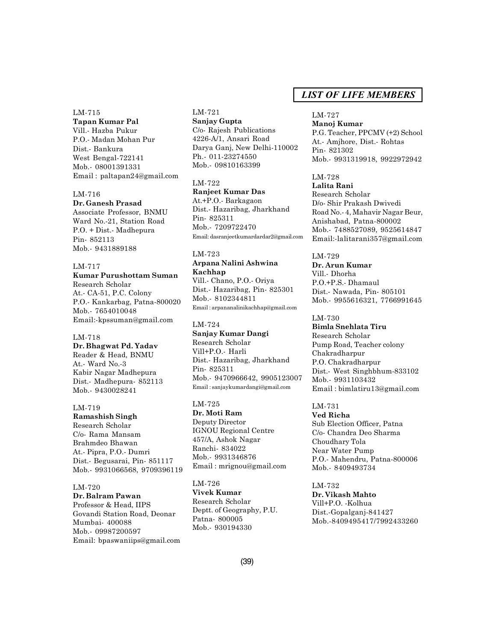#### LM-715

**Tapan Kumar Pal** Vill.- Hazba Pukur P.O.- Madan Mohan Pur Dist.- Bankura West Bengal-722141 Mob.- 08001391331 Email : paltapan24@gmail.com

#### LM-716

### **Dr. Ganesh Prasad**

Associate Professor, BNMU Ward No.-21, Station Road P.O. + Dist.- Madhepura Pin- 852113 Mob.- 9431889188

# LM-717

#### **Kumar Purushottam Suman**

Research Scholar At.- CA-51, P.C. Colony P.O.- Kankarbag, Patna-800020 Mob.- 7654010048 Email:-kpssuman@gmail.com

# LM-718

**Dr. Bhagwat Pd. Yadav** Reader & Head, BNMU At.- Ward No.-3 Kabir Nagar Madhepura Dist.- Madhepura- 852113 Mob.- 9430028241

#### LM-719

**Ramashish Singh** Research Scholar C/o- Rama Mansam Brahmdeo Bhawan At.- Pipra, P.O.- Dumri Dist.- Begusarai, Pin- 851117 Mob.- 9931066568, 9709396119

#### LM-720

**Dr. Balram Pawan** Professor & Head, IIPS Govandi Station Road, Deonar Mumbai- 400088 Mob.- 09987200597 Email: bpaswaniips@gmail.com

### LM-721 **Sanjay Gupta** C/o- Rajesh Publications 4226-A/1, Ansari Road Darya Ganj, New Delhi-110002 Ph.- 011-23274550 Mob.- 09810163399

#### LM-722

**Ranjeet Kumar Das** At.+P.O.- Barkagaon Dist.- Hazaribag, Jharkhand Pin- 825311 Mob.- 7209722470 Email: dasranjeetkumardardar2@gmail.com

# LM-723

**Arpana Nalini Ashwina Kachhap** Vill.- Chano, P.O.- Oriya Dist.- Hazaribag, Pin- 825301 Mob.- 8102344811 Email : arpananalinikachhap@gmail.com

#### LM-724

**Sanjay Kumar Dangi** Research Scholar Vill+P.O.- Harli Dist.- Hazaribag, Jharkhand Pin- 825311 Mob.- 9470966642, 9905123007 Email : sanjaykumardangi@gmail.com

### LM-725 **Dr. Moti Ram** Deputy Director IGNOU Regional Centre 457/A, Ashok Nagar Ranchi- 834022 Mob.- 9931346876 Email : mrignou@gmail.com

LM-726 **Vivek Kumar** Research Scholar Deptt. of Geography, P.U. Patna- 800005 Mob.- 930194330

# *LIST OF LIFE MEMBERS*

#### LM-727

**Manoj Kumar** P.G. Teacher, PPCMV (+2) School At.- Amjhore, Dist.- Rohtas Pin- 821302 Mob.- 9931319918, 9922972942

# LM-728

**Lalita Rani** Research Scholar D/o- Shir Prakash Dwivedi Road No.- 4, Mahavir Nagar Beur, Anishabad, Patna-800002 Mob.- 7488527089, 9525614847 Email:-lalitarani357@gmail.com

#### LM-729

**Dr. Arun Kumar** Vill.- Dhorha P.O.+P.S.- Dhamaul Dist.- Nawada, Pin- 805101 Mob.- 9955616321, 7766991645

#### LM-730

**Bimla Snehlata Tiru** Research Scholar Pump Road, Teacher colony Chakradharpur P.O. Chakradharpur Dist.- West Singhbhum-833102 Mob.- 9931103432 Email : bimlatiru13@gmail.com

#### LM-731

**Ved Richa** Sub Election Officer, Patna C/o- Chandra Deo Sharma Choudhary Tola Near Water Pump P.O.- Mahendru, Patna-800006 Mob.- 8409493734

# LM-732 **Dr. Vikash Mahto** Vill+P.O. -Kolhua Dist.-Gopalganj-841427 Mob.-8409495417/7992433260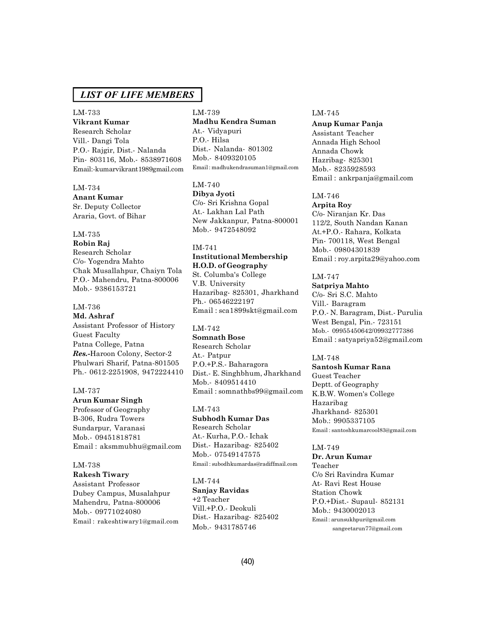# LM-733

**Vikrant Kumar** Research Scholar Vill.- Dangi Tola P.O.- Rajgir, Dist.- Nalanda Pin- 803116, Mob.- 8538971608 Email:-kumarvikrant1989gmail.com

### LM-734

**Anant Kumar** Sr. Deputy Collector Araria, Govt. of Bihar

### LM-735

**Robin Raj** Research Scholar C/o- Yogendra Mahto Chak Musallahpur, Chaiyn Tola P.O.- Mahendru, Patna-800006 Mob.- 9386153721

### LM-736

**Md. Ashraf** Assistant Professor of History Guest Faculty Patna College, Patna *Res.-*Haroon Colony, Sector-2 Phulwari Sharif, Patna-801505 Ph.- 0612-2251908, 9472224410

#### LM-737

**Arun Kumar Singh** Professor of Geography B-306, Rudra Towers Sundarpur, Varanasi Mob.- 09451818781 Email : aksmmubhu@gmail.com

#### LM-738

**Rakesh Tiwary** Assistant Professor Dubey Campus, Musalahpur Mahendru, Patna-800006 Mob.- 09771024080 Email : rakeshtiwary1@gmail.com LM-739 **Madhu Kendra Suman** At.- Vidyapuri P.O.- Hilsa Dist.- Nalanda- 801302 Mob.- 8409320105 Email : madhukendrasuman1@gmail.com

LM-740 **Dibya Jyoti** C/o- Sri Krishna Gopal At.- Lakhan Lal Path New Jakkanpur, Patna-800001 Mob.- 9472548092

# IM-741 **Institutional Membership H.O.D. of Geography** St. Columba's College V.B. University

Hazaribag- 825301, Jharkhand Ph.- 06546222197 Email : sca1899skt@gmail.com

# LM-742

**Somnath Bose** Research Scholar At.- Patpur P.O.+P.S.- Baharagora Dist.- E. Singhbhum, Jharkhand Mob.- 8409514410 Email : somnathbs99@gmail.com

LM-743 **Subhodh Kumar Das** Research Scholar At.- Kurha, P.O.- Ichak Dist.- Hazaribag- 825402 Mob.- 07549147575 Email : subodhkumardas@radiffmail.com

#### LM-744

**Sanjay Ravidas** +2 Teacher Vill.+P.O.- Deokuli Dist.- Hazaribag- 825402 Mob.- 9431785746

#### LM-745

**Anup Kumar Panja** Assistant Teacher Annada High School Annada Chowk Hazribag- 825301 Mob.- 8235928593 Email : ankrpanja@gmail.com

#### LM-746

**Arpita Roy** C/o- Niranjan Kr. Das 112/2, South Nandan Kanan At.+P.O.- Rahara, Kolkata Pin- 700118, West Bengal Mob.- 09804301839 Email : roy.arpita29@yahoo.com

# LM-747

**Satpriya Mahto** C/o- Sri S.C. Mahto Vill.- Baragram P.O.- N. Baragram, Dist.- Purulia West Bengal, Pin.- 723151 Mob.- 09955450642/09932777386 Email : satyapriya52@gmail.com

#### LM-748

**Santosh Kumar Rana** Guest Teacher Deptt. of Geography K.B.W. Women's College Hazaribag Jharkhand- 825301 Mob.: 9905337105 Email : santoshkumarcool83@gmail.com

#### LM-749

**Dr. Arun Kumar** Teacher C/o Sri Ravindra Kumar At- Ravi Rest House Station Chowk P.O.+Dist.- Supaul- 852131 Mob.: 9430002013 Email : arunsukhpur@gmail.com sangeetarun77@gmail.com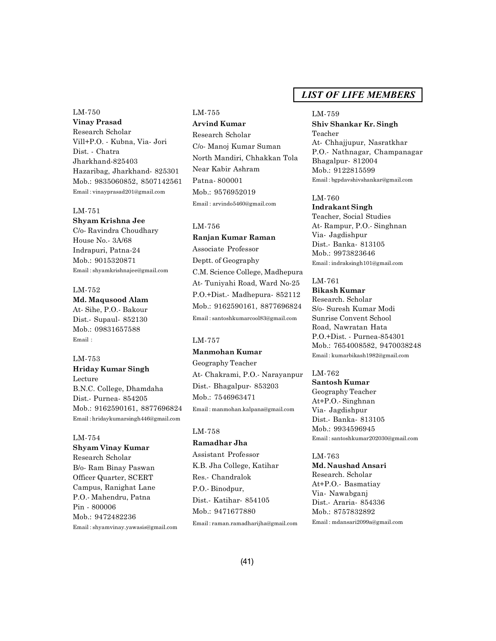# LM-750 **Vinay Prasad** Research Scholar Vill+P.O. - Kubna, Via- Jori Dist. - Chatra Jharkhand-825403 Hazaribag, Jharkhand- 825301 Mob.: 9835060852, 8507142561 Email : vinayprasad201@gmail.com

#### LM-751

**Shyam Krishna Jee** C/o- Ravindra Choudhary House No.- 3A/68 Indrapuri, Patna-24 Mob.: 9015320871 Email : shyamkrishnajee@gmail.com

LM-752 **Md. Maqusood Alam** At- Sihe, P.O.- Bakour Dist.- Supaul- 852130 Mob.: 09831657588 Email :

LM-753 **Hriday Kumar Singh** Lecture B.N.C. College, Dhamdaha Dist.- Purnea- 854205 Mob.: 9162590161, 8877696824 Email : hridaykumarsingh446@gmail.com

#### LM-754

**Shyam Vinay Kumar** Research Scholar B/o- Ram Binay Paswan Officer Quarter, SCERT Campus, Ranighat Lane P.O.- Mahendru, Patna Pin - 800006 Mob.: 9472482236 Email : shyamvinay.yawasis@gmail.com

# LM-755

**Arvind Kumar** Research Scholar C/o- Manoj Kumar Suman North Mandiri, Chhakkan Tola Near Kabir Ashram Patna- 800001 Mob.: 9576952019 Email : arvindo5460@gmail.com

#### LM-756

**Ranjan Kumar Raman** Associate Professor Deptt. of Geography C.M. Science College, Madhepura At- Tuniyahi Road, Ward No-25 P.O.+Dist.- Madhepura- 852112 Mob.: 9162590161, 8877696824 Email : santoshkumarcool83@gmail.com

#### LM-757

#### **Manmohan Kumar**

Geography Teacher At- Chakrami, P.O.- Narayanpur Dist.- Bhagalpur- 853203 Mob.: 7546963471 Email : manmohan.kalpana@gmail.com

### LM-758

### **Ramadhar Jha**

Assistant Professor K.B. Jha College, Katihar Res.- Chandralok P.O.- Binodpur, Dist.- Katihar- 854105 Mob.: 9471677880

Email : raman.ramadharijha@gmail.com

# *LIST OF LIFE MEMBERS*

#### LM-759

**Shiv Shankar Kr. Singh** Teacher At- Chhajjupur, Nasratkhar P.O.- Nathnagar, Champanagar Bhagalpur- 812004 Mob.: 9122815599 Email : bgpdavshivshankar@gmail.com

#### LM-760

**Indrakant Singh** Teacher, Social Studies At- Rampur, P.O.- Singhnan Via- Jagdishpur Dist.- Banka- 813105 Mob.: 9973823646 Email : indraksingh101@gmail.com

# LM-761

**Bikash Kumar** Research. Scholar S/o- Suresh Kumar Modi Sunrise Convent School Road, Nawratan Hata P.O.+Dist. - Purnea-854301 Mob.: 7654008582, 9470038248 Email : kumarbikash1982@gmail.com

# LM-762

**Santosh Kumar** Geography Teacher At+P.O.- Singhnan Via- Jagdishpur Dist.- Banka- 813105 Mob.: 9934596945 Email : santoshkumar202030@gmail.com

#### LM-763

**Md. Naushad Ansari** Research. Scholar At+P.O.- Basmatiay Via- Nawabganj Dist.- Araria- 854336 Mob.: 8757832892 Email : mdansari2099a@gmail.com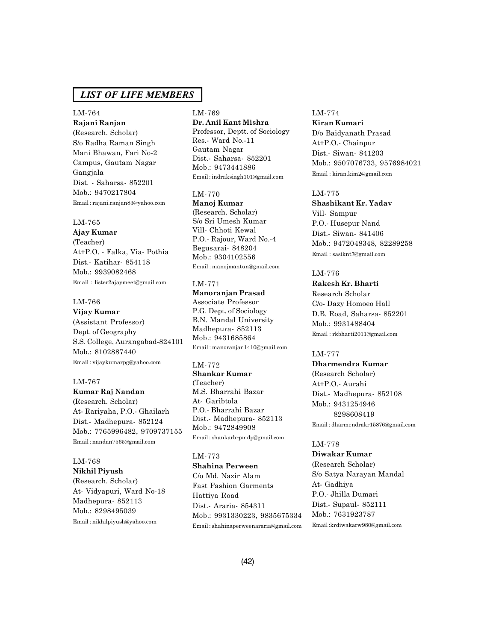# LM-764

**Rajani Ranjan** (Research. Scholar) S/o Radha Raman Singh Mani Bhawan, Fari No-2 Campus, Gautam Nagar Gangjala Dist. - Saharsa- 852201 Mob.: 9470217804 Email : rajani.ranjan83@yahoo.com

### LM-765

**Ajay Kumar**

(Teacher) At+P.O. - Falka, Via- Pothia Dist.- Katihar- 854118 Mob.: 9939082468 Email : lister2ajaymeet@gmail.com

#### LM-766

**Vijay Kumar** (Assistant Professor) Dept. of Geography S.S. College, Aurangabad-824101 Mob.: 8102887440 Email : vijaykumarpg@yahoo.com

### LM-767

#### **Kumar Raj Nandan**

(Research. Scholar) At- Rariyaha, P.O.- Ghailarh Dist.- Madhepura- 852124 Mob.: 7765996482, 9709737155 Email : nandan7565@gmail.com

# LM-768

**Nikhil Piyush** (Research. Scholar) At- Vidyapuri, Ward No-18 Madhepura- 852113 Mob.: 8298495039 Email : nikhilpiyush@yahoo.com

# LM-769 **Dr. Anil Kant Mishra** Professor, Deptt. of Sociology

Res.- Ward No.-11 Gautam Nagar Dist.- Saharsa- 852201 Mob.: 9473441886 Email : indraksingh101@gmail.com

#### LM-770

**Manoj Kumar** (Research. Scholar) S/o Sri Umesh Kumar Vill- Chhoti Kewal P.O.- Rajour, Ward No.-4 Begusarai- 848204 Mob.: 9304102556 Email : manojmantun@gmail.com

# LM-771

**Manoranjan Prasad** Associate Professor P.G. Dept. of Sociology B.N. Mandal University Madhepura- 852113 Mob.: 9431685864

Email : manoranjan1410@gmail.com

#### LM-772

**Shankar Kumar** (Teacher) M.S. Bharrahi Bazar At- Garibtola P.O.- Bharrahi Bazar Dist.- Madhepura- 852113 Mob.: 9472849908 Email : shankarbrpmdp@gmail.com

# LM-773

**Shahina Perween** C/o Md. Nazir Alam Fast Fashion Garments Hattiya Road Dist.- Araria- 854311 Mob.: 9931330223, 9835675334 Email : shahinaperweenararia@gmail.com

# LM-774

**Kiran Kumari** D/o Baidyanath Prasad At+P.O.- Chainpur Dist.- Siwan- 841203 Mob.: 9507076733, 9576984021 Email : kiran.kim2@gmail.com

#### LM-775

**Shashikant Kr. Yadav** Vill- Sampur P.O.- Husepur Nand Dist.- Siwan- 841406 Mob.: 9472048348, 82289258 Email : sasiknt7@gmail.com

#### LM-776

**Rakesh Kr. Bharti** Research Scholar C/o- Dazy Homoeo Hall D.B. Road, Saharsa- 852201 Mob.: 9931488404 Email : rkbharti2011@gmail.com

#### LM-777

**Dharmendra Kumar** (Research Scholar) At+P.O.- Aurahi Dist.- Madhepura- 852108 Mob.: 9431254946 8298608419 Email : dharmendrakr15876@gmail.com

#### LM-778

**Diwakar Kumar** (Research Scholar) S/o Satya Narayan Mandal At- Gadhiya P.O.- Jhilla Dumari Dist.- Supaul- 852111 Mob.: 7631923787 Email :krdiwakarw980@gmail.com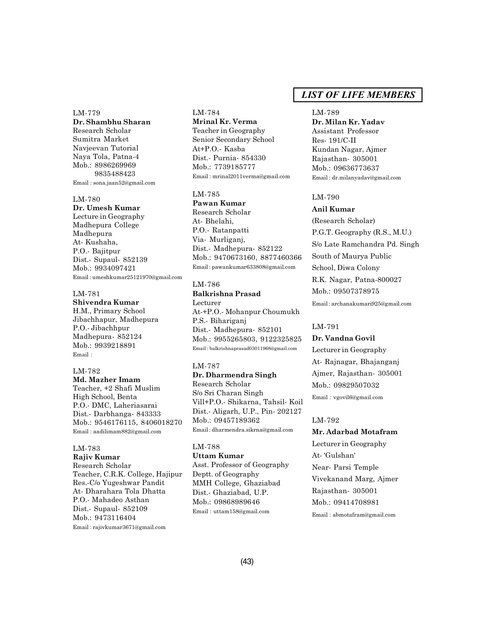#### LM-779

**Dr. Shambhu Sharan** Research Scholar Sumitra Market Navjeevan Tutorial Naya Tola, Patna-4 Mob.: 8986269969 9835488423 Email : sona.jaan52@gmail.com

#### LM-780

**Dr. Umesh Kumar** Lecture in Geography Madhepura College Madhepura At- Kushaha, P.O.- Bajitpur Dist.- Supaul- 852139 Mob.: 9934097421 Email : umeshkumar25121970@gmail.com

# LM-781

**Shivendra Kumar** H.M., Primary School Jibachhapur, Madhepura P.O.- Jibachhpur Madhepura- 852124 Mob.: 9939218891 Email :

# LM-782

**Md. Mazher Imam** Teacher, +2 Shafi Muslim High School, Benta P.O.- DMC, Laheriasarai Dist.- Darbhanga- 843333 Mob.: 9546176115, 8406018270 Email : aadilimam882@gmail.com

# LM-783

**Rajiv Kumar** Research Scholar Teacher, C.R.K. College, Hajipur Res.-C/o Yugeshwar Pandit At- Dharahara Tola Dhatta P.O.- Mahadeo Asthan Dist.- Supaul- 852109 Mob.: 9473116404 Email : rajivkumar3671@gmail.com

### LM-784 **Mrinal Kr. Verma**

Teacher in Geography Senior Secondary School At+P.O.- Kasba Dist.- Purnia- 854330 Mob.: 7739185777 Email : mrinal2011verma@gmail.com

#### LM-785

**Pawan Kumar** Research Scholar At- Bhelahi, P.O.- Ratanpatti Via- Murliganj, Dist.- Madhepura- 852122 Mob.: 9470673160, 8877460366 Email : pawankumar633808@gmail.com

# LM-786

**Balkrishna Prasad** Lecturer At-+P.O.- Mohanpur Choumukh P.S.- Bihariganj Dist.- Madhepura- 852101 Mob.: 9955265803, 9122325825 Email : balkrishnaprasad03011968@gmail.com

# LM-787

**Dr. Dharmendra Singh**

Research Scholar S/o Sri Charan Singh Vill+P.O.- Shikarna, Tahsil- Koil Dist.- Aligarh, U.P., Pin- 202127 Mob.: 09457189362 Email : dharmendra.sikrna@gmail.com

LM-788 **Uttam Kumar** Asst. Professor of Geography Deptt. of Geography MMH College, Ghaziabad Dist.- Ghaziabad, U.P.

Mob.: 09868989646 Email : uttam158@gmail.com

# *LIST OF LIFE MEMBERS*

#### LM-789

**Dr. Milan Kr. Yadav** Assistant Professor Res- 191/C-II Kundan Nagar, Ajmer Rajasthan- 305001 Mob.: 09636773637 Email : dr.milanyadav@gmail.com

#### LM-790

#### **Anil Kumar**

(Research Scholar) P.G.T. Geography (R.S., M.U.) S/o Late Ramchandra Pd. Singh South of Maurya Public School, Diwa Colony R.K. Nagar, Patna-800027 Mob.: 09507378975 Email : archanakumari925@gmail.com

#### LM-791

### **Dr. Vandna Govil**

Lecturer in Geography At- Rajnagar, Bhajanganj Ajmer, Rajasthan- 305001 Mob.: 09829507032 Email : vgovil6@gmail.com

#### LM-792

**Mr. Adarbad Motafram** Lecturer in Geography At- 'Gulshan' Near- Parsi Temple Vivekanand Marg, Ajmer Rajasthan- 305001 Mob.: 09414708981

Email : abmotafram@gmail.com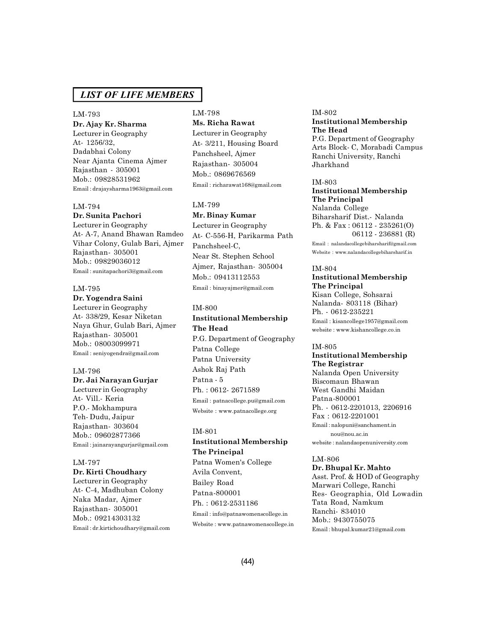#### LM-793

**Dr. Ajay Kr. Sharma** Lecturer in Geography At- 1256/32, Dadabhai Colony Near Ajanta Cinema Ajmer Rajasthan - 305001 Mob.: 09828531962 Email : drajaysharma1963@gmail.com

#### LM-794

# **Dr. Sunita Pachori**

Lecturer in Geography At- A-7, Anand Bhawan Ramdeo Vihar Colony, Gulab Bari, Ajmer Rajasthan- 305001 Mob.: 09829036012 Email : sunitapachori3@gmail.com

#### LM-795

**Dr. Yogendra Saini** Lecturer in Geography At- 338/29, Kesar Niketan

Naya Ghur, Gulab Bari, Ajmer Rajasthan- 305001 Mob.: 08003099971 Email : seniyogendra@gmail.com

#### LM-796

#### **Dr. Jai Narayan Gurjar**

Lecturer in Geography At- Vill.- Keria P.O.- Mokhampura Teh- Dudu, Jaipur Rajasthan- 303604 Mob.: 09602877366 Email : jainarayangurjar@gmail.com

### LM-797

**Dr. Kirti Choudhary**

Lecturer in Geography At- C-4, Madhuban Colony Naka Madar, Ajmer Rajasthan- 305001 Mob.: 09214303132 Email : dr.kirtichoudhary@gmail.com

#### LM-798 **Ms. Richa Rawat**

Lecturer in Geography At- 3/211, Housing Board Panchsheel, Ajmer Rajasthan- 305004 Mob.: 0869676569 Email : richarawat168@gmail.com

### LM-799

**Mr. Binay Kumar** Lecturer in Geography

At- C-556-H, Parikarma Path Panchsheel-C, Near St. Stephen School Ajmer, Rajasthan- 305004 Mob.: 09413112553 Email : binayajmer@gmail.com

IM-800

# **Institutional Membership The Head** P.G. Department of Geography Patna College Patna University Ashok Raj Path Patna - 5 Ph. : 0612- 2671589 Email : patnacollege.pu@gmail.com Website : www.patnacollege.org

# IM-801

# **Institutional Membership The Principal** Patna Women's College Avila Convent, Bailey Road

Patna-800001 Ph. : 0612-2531186 Email : info@patnawomenscollege.in Website : www.patnawomenscollege.in

### IM-802 **Institutional Membership The Head** P.G. Department of Geography Arts Block- C, Morabadi Campus Ranchi University, Ranchi

IM-803 **Institutional Membership The Principal** Nalanda College Biharsharif Dist.- Nalanda Ph. & Fax : 06112 - 235261(O) 06112 - 236881 (R) Email : nalandacollegebiharsharif@gmail.com Website : www.nalandacollegebiharsharif.in

#### IM-804

Jharkhand

**Institutional Membership The Principal** Kisan College, Sohsarai Nalanda- 803118 (Bihar) Ph. - 0612-235221 Email : kisancollege1957@gmail.com website : www.kishancollege.co.in

#### IM-805

**Institutional Membership The Registrar** Nalanda Open University Biscomaun Bhawan West Gandhi Maidan Patna-800001 Ph. - 0612-2201013, 2206916 Fax : 0612-2201001 Email : nalopuni@sanchament.in nou@nou.ac.in website : nalandaopenuniversity.com

#### LM-806

**Dr. Bhupal Kr. Mahto** Asst. Prof. & HOD of Geography Marwari College, Ranchi Res- Geographia, Old Lowadin Tata Road, Namkum Ranchi- 834010 Mob.: 9430755075 Email : bhupal.kumar21@gmail.com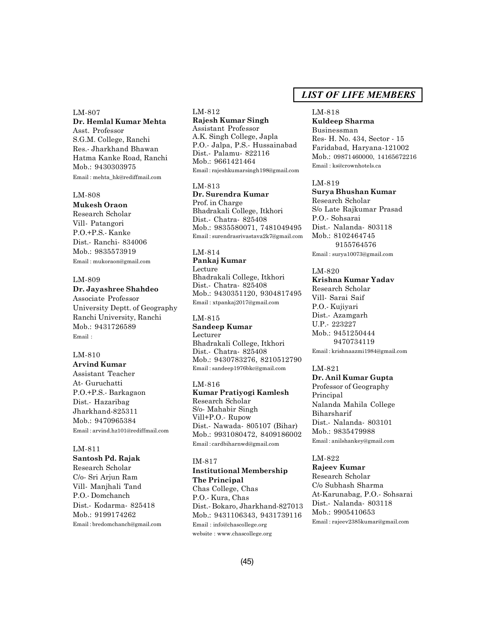LM-807 **Dr. Hemlal Kumar Mehta** Asst. Professor S.G.M. College, Ranchi Res.- Jharkhand Bhawan Hatma Kanke Road, Ranchi Mob.: 9430303975 Email : mehta\_hk@rediffmail.com

#### LM-808

**Mukesh Oraon** Research Scholar Vill- Patangori P.O.+P.S.- Kanke Dist.- Ranchi- 834006 Mob.: 9835573919 Email : mukoraon@gmail.com

#### LM-809

#### **Dr. Jayashree Shahdeo**

Associate Professor University Deptt. of Geography Ranchi University, Ranchi Mob.: 9431726589 Email :

# LM-810

**Arvind Kumar** Assistant Teacher At- Guruchatti P.O.+P.S.- Barkagaon Dist.- Hazaribag Jharkhand-825311 Mob.: 9470965384 Email : arvind.hz101@rediffmail.com

#### LM-811

**Santosh Pd. Rajak** Research Scholar C/o- Sri Arjun Ram Vill- Manjhali Tand P.O.- Domchanch Dist.- Kodarma- 825418 Mob.: 9199174262 Email : bredomchanch@gmail.com

# LM-812 **Rajesh Kumar Singh**

Assistant Professor A.K. Singh College, Japla P.O.- Jalpa, P.S.- Hussainabad Dist.- Palamu- 822116 Mob.: 9661421464 Email : rajeshkumarsingh198@gmail.com

#### LM-813

**Dr. Surendra Kumar** Prof. in Charge Bhadrakali College, Itkhori Dist.- Chatra- 825408 Mob.: 9835580071, 7481049495 Email : surendrasrivastava2k7@gmail.com

#### LM-814

**Pankaj Kumar** Lecture Bhadrakali College, Itkhori Dist.- Chatra- 825408 Mob.: 9430351120, 9304817495 Email : xtpankaj2017@gmail.com

#### LM-815 **Sandeep Kumar** Lecturer

Bhadrakali College, Itkhori Dist.- Chatra- 825408 Mob.: 9430783276, 8210512790 Email : sandeep1976bkc@gmail.com

#### LM-816

**Kumar Pratiyogi Kamlesh** Research Scholar S/o- Mahabir Singh Vill+P.O.- Rupow Dist.- Nawada- 805107 (Bihar) Mob.: 9931080472, 8409186002 Email : cardbiharnwd@gmail.com

#### IM-817

#### **Institutional Membership The Principal**

Chas College, Chas P.O.- Kura, Chas Dist.- Bokaro, Jharkhand-827013 Mob.: 9431106343, 9431739116 Email : info@chascollege.org website : www.chascollege.org

# *LIST OF LIFE MEMBERS*

#### LM-818

**Kuldeep Sharma** Businessman Res- H. No. 434, Sector - 15 Faridabad, Haryana-121002 Mob.: 09871460000, 14165672216 Email : ks@crownhotels.ca

#### LM-819

**Surya Bhushan Kumar** Research Scholar S/o Late Rajkumar Prasad P.O.- Sohsarai Dist.- Nalanda- 803118 Mob.: 8102464745 9155764576 Email : surya10073@gmail.com

### LM-820

**Krishna Kumar Yadav** Research Scholar Vill- Sarai Saif P.O.- Kujiyari Dist.- Azamgarh U.P.- 223227 Mob.: 9451250444 9470734119 Email : krishnaazmi1984@gmail.com

#### LM-821

**Dr. Anil Kumar Gupta** Professor of Geography Principal Nalanda Mahila College Biharsharif Dist.- Nalanda- 803101 Mob.: 9835479988 Email : anilshankey@gmail.com

### LM-822

**Rajeev Kumar** Research Scholar C/o Subhash Sharma At-Karunabag, P.O.- Sohsarai Dist.- Nalanda- 803118 Mob.: 9905410653 Email : rajeev2385kumar@gmail.com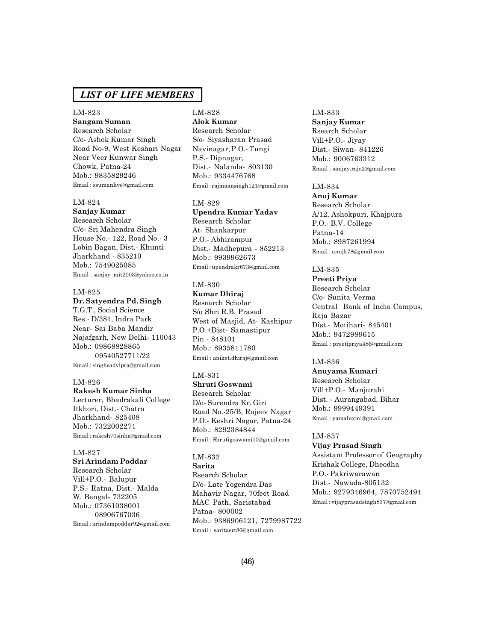# LM-823

**Sangam Suman** Research Scholar

C/o- Ashok Kumar Singh Road No-9, West Keshari Nagar Near Veer Kunwar Singh Chowk, Patna-24 Mob.: 9835829246 Email : ssumanlive@gmail.com

#### LM-824

**Sanjay Kumar** Research Scholar C/o- Sri Mahendra Singh House No.- 122, Road No.- 3 Lobin Bagan, Dist.- Khunti Jharkhand - 835210 Mob.: 7549025085 Email : sanjay\_mit2003@yahoo.co.in

#### LM-825

#### **Dr. Satyendra Pd. Singh**

T.G.T., Social Science Res.- D/381, Indra Park Near- Sai Baba Mandir Najafgarh, New Delhi- 110043 Mob.: 09868828865 09540527711/22 Email : singhsadvipra@gmail.com

#### LM-826

**Rakesh Kumar Sinha**

Lecturer, Bhadrakali College Itkhori, Dist.- Chatra Jharkhand- 825408 Mob.: 7322002271 Email : rakesh70sinha@gmail.com

# LM-827

**Sri Arindam Poddar** Research Scholar Vill+P.O.- Balupur P.S.- Ratna, Dist.- Malda W. Bengal- 732205 Mob.: 07361038001 08906767036 Email : arindampoddar92@gmail.com

# LM-828 **Alok Kumar**

Research Scholar S/o- Siyasharan Prasad Navinagar, P.O.- Tungi P.S.- Dipnagar, Dist.- Nalanda- 803130 Mob.: 9334476768 Email : rajmaansingh121@gmail.com

#### LM-829

**Upendra Kumar Yadav** Research Scholar At- Shankarpur P.O.- Abhirampur Dist.- Madhepura - 852213 Mob.: 9939962673 Email : upendrakr673@gmail.com

### LM-830

**Kumar Dhiraj** Research Scholar S/o Shri R.B. Prasad West of Masjid, At- Kashipur P.O.+Dist- Samastipur Pin - 848101 Mob.: 8935811780 Email : aniket.dhiraj@gmail.com

### LM-831

**Shruti Goswami** Research Scholar D/o- Surendra Kr. Giri Road No.-25/B, Rajeev Nagar P.O.- Keshri Nagar, Patna-24 Mob.: 8292384844 Email : Shrutigoswami10@gmail.com

# LM-832

**Sarita** Rsearch Scholar D/o- Late Yogendra Das Mahavir Nagar, 70feet Road MAC Path, Saristabad Patna- 800002 Mob.: 9386906121, 7279987722 Email : saritasrt86@gmail.com

# LM-833 **Sanjay Kumar** Rsearch Scholar Vill+P.O.- Jiyay Dist.- Siwan- 841226 Mob.: 9006763312 Email : sanjay.rajo2@gmail.com

# LM-834

**Anuj Kumar** Research Scholar A/12, Ashokpuri, Khajpura P.O.- B.V. College Patna-14 Mob.: 8987261994 Email : anujk78@gmail.com

# LM-835

**Preeti Priya** Research Scholar C/o- Sunita Verma Central Bank of India Campus, Raja Bazar Dist.- Motihari- 845401 Mob.: 9472989615 Email : preetipriya486@gmail.com

### LM-836

**Anuyama Kumari** Research Scholar Vill+P.O.- Manjurahi Dist. - Aurangabad, Bihar Mob.: 9999449391 Email : yamaluxmi@gmail.com

# LM-837

**Vijay Prasad Singh** Assistant Professor of Geography Krishak College, Dheodha P.O.- Pakriwarawan Dist.- Nawada-805132 Mob.: 9279346964, 7870752494 Email : vijayprasadsingh837@gmail.com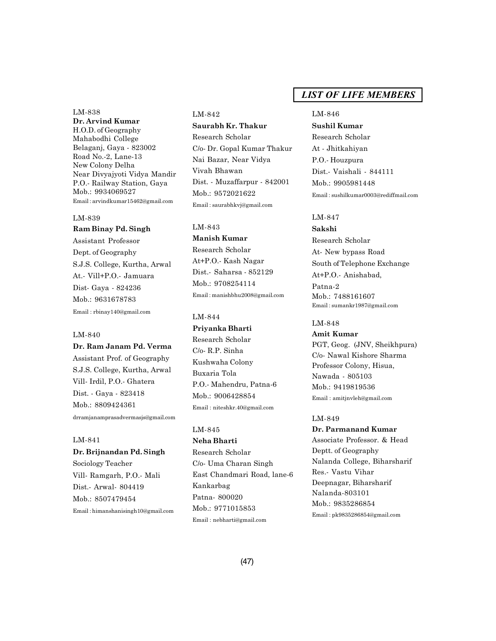LM-838 **Dr. Arvind Kumar** H.O.D. of Geography Mahabodhi College Belaganj, Gaya - 823002 Road No.-2, Lane-13 New Colony Delha Near Divyajyoti Vidya Mandir P.O.- Railway Station, Gaya Mob.: 9934069527 Email : arvindkumar15462@gmail.com

# LM-839 **Ram Binay Pd. Singh**

Assistant Professor Dept. of Geography S.J.S. College, Kurtha, Arwal At.- Vill+P.O.- Jamuara Dist- Gaya - 824236 Mob.: 9631678783 Email : rbinay140@gmail.com

#### LM-840

# **Dr. Ram Janam Pd. Verma**

Assistant Prof. of Geography S.J.S. College, Kurtha, Arwal Vill- Irdil, P.O.- Ghatera Dist. - Gaya - 823418 Mob.: 8809424361 drramjanamprasadvermasjs@gmail.com

#### LM-841

**Dr. Brijnandan Pd. Singh** Sociology Teacher Vill- Ramgarh, P.O.- Mali Dist.- Arwal- 804419 Mob.: 8507479454 Email : himanshanisingh10@gmail.com

#### LM-842

**Saurabh Kr. Thakur** Research Scholar C/o- Dr. Gopal Kumar Thakur Nai Bazar, Near Vidya Vivah Bhawan Dist. - Muzaffarpur - 842001 Mob.: 9572021622 Email : saurabhkvj@gmail.com

# LM-843

**Manish Kumar** Research Scholar At+P.O.- Kash Nagar Dist.- Saharsa - 852129 Mob.: 9708254114 Email : manishbhu2008@gmail.com

### LM-844

**Priyanka Bharti** Research Scholar C/o- R.P. Sinha Kushwaha Colony Buxaria Tola P.O.- Mahendru, Patna-6 Mob.: 9006428854 Email : niteshkr.40@gmail.com

# LM-845

**Neha Bharti** Research Scholar C/o- Uma Charan Singh East Chandmari Road, lane-6 Kankarbag Patna- 800020 Mob.: 9771015853 Email : nebharti@gmail.com

# *LIST OF LIFE MEMBERS*

#### LM-846

**Sushil Kumar** Research Scholar At - Jhitkahiyan P.O.- Houzpura Dist.- Vaishali - 844111 Mob.: 9905981448 Email : sushilkumar0003@rediffmail.com

# LM-847

**Sakshi** Research Scholar At- New bypass Road South of Telephone Exchange At+P.O.- Anishabad, Patna-2 Mob.: 7488161607 Email : sumankr1987@gmail.com

#### LM-848

**Amit Kumar** PGT, Geog. (JNV, Sheikhpura) C/o- Nawal Kishore Sharma Professor Colony, Hisua, Nawada - 805103 Mob.: 9419819536 Email : amitjnvleh@gmail.com

#### LM-849

**Dr. Parmanand Kumar** Associate Professor. & Head Deptt. of Geography Nalanda College, Biharsharif Res.- Vastu Vihar Deepnagar, Biharsharif Nalanda-803101 Mob.: 9835286854 Email : pk9835286854@gmail.com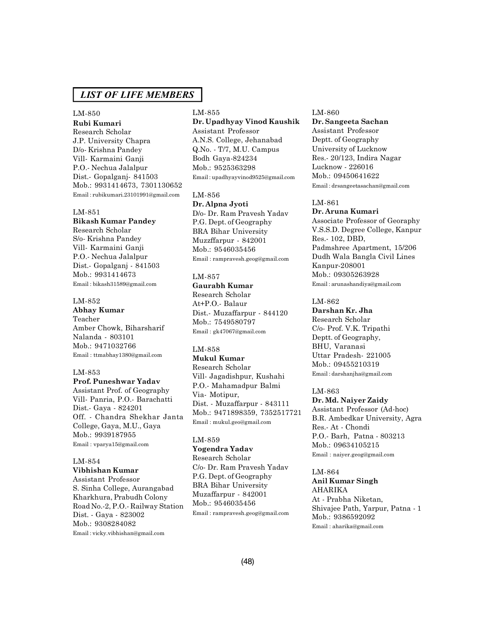#### LM-850

**Rubi Kumari** Research Scholar J.P. University Chapra D/o- Krishna Pandey Vill- Karmaini Ganji P.O.- Nechua Jalalpur Dist.- Gopalganj- 841503 Mob.: 9931414673, 7301130652 Email : rubikumari.23101991@gmail.com

#### LM-851

#### **Bikash Kumar Pandey**

Research Scholar S/o- Krishna Pandey Vill- Karmaini Ganji P.O.- Nechua Jalalpur Dist.- Gopalganj - 841503 Mob.: 9931414673 Email : bikash31589@gmail.com

#### LM-852

**Abhay Kumar** Teacher Amber Chowk, Biharsharif Nalanda - 803101 Mob.: 9471032766 Email : ttmabhay1380@gmail.com

#### LM-853

**Prof. Puneshwar Yadav** Assistant Prof. of Geography Vill- Panria, P.O.- Barachatti Dist.- Gaya - 824201 Off. - Chandra Shekhar Janta College, Gaya, M.U., Gaya Mob.: 9939187955 Email : vparya15@gmail.com

# LM-854

**Vibhishan Kumar**

Assistant Professor S. Sinha College, Aurangabad Kharkhura, Prabudh Colony Road No.-2, P.O.- Railway Station Dist. - Gaya - 823002 Mob.: 9308284082 Email : vicky.vibhishan@gmail.com

# LM-855

**Dr. Upadhyay Vinod Kaushik** Assistant Professor A.N.S. College, Jehanabad Q.No. - T/7, M.U. Campus Bodh Gaya-824234 Mob.: 9525363298 Email : upadhyayvinod9525@gmail.com

#### LM-856

**Dr. Alpna Jyoti** D/o- Dr. Ram Pravesh Yadav P.G. Dept. of Geography BRA Bihar University Muzzffarpur - 842001 Mob.: 9546035456 Email : rampravesh.geog@gmail.com

# LM-857

**Gaurabh Kumar** Research Scholar At+P.O.- Balaur Dist.- Muzaffarpur - 844120 Mob.: 7549580797 Email : gk47067@gmail.com

#### LM-858

**Mukul Kumar** Research Scholar Vill- Jagadishpur, Kushahi P.O.- Mahamadpur Balmi Via- Motipur, Dist. - Muzaffarpur - 843111 Mob.: 9471898359, 7352517721 Email : mukul.geo@gmail.com

### LM-859

**Yogendra Yadav** Research Scholar C/o- Dr. Ram Pravesh Yadav P.G. Dept. of Geography BRA Bihar University Muzaffarpur - 842001 Mob.: 9546035456 Email : rampravesh.geog@gmail.com

#### LM-860

**Dr. Sangeeta Sachan** Assistant Professor Deptt. of Geography University of Lucknow Res.- 20/123, Indira Nagar Lucknow - 226016 Mob.: 09450641622 Email : drsangeetasachan@gmail.com

#### LM-861

**Dr. Aruna Kumari** Associate Professor of Georaphy V.S.S.D. Degree College, Kanpur Res.- 102, DBD, Padmshree Apartment, 15/206 Dudh Wala Bangla Civil Lines Kanpur-208001 Mob.: 09305263928 Email : arunashandiya@gmail.com

#### LM-862

**Darshan Kr. Jha** Research Scholar C/o- Prof. V.K. Tripathi Deptt. of Geography, BHU, Varanasi Uttar Pradesh- 221005 Mob.: 09455210319 Email : darshanjha@gmail.com

LM-863

# **Dr. Md. Naiyer Zaidy**

Assistant Professor (Ad-hoc) B.R. Ambedkar University, Agra Res.- At - Chondi P.O.- Barh, Patna - 803213 Mob.: 09634105215 Email : naiyer.geog@gmail.com

### LM-864

**Anil Kumar Singh** AHARIKA At - Prabha Niketan, Shivajee Path, Yarpur, Patna - 1 Mob.: 9386592092 Email : aharika@gmail.com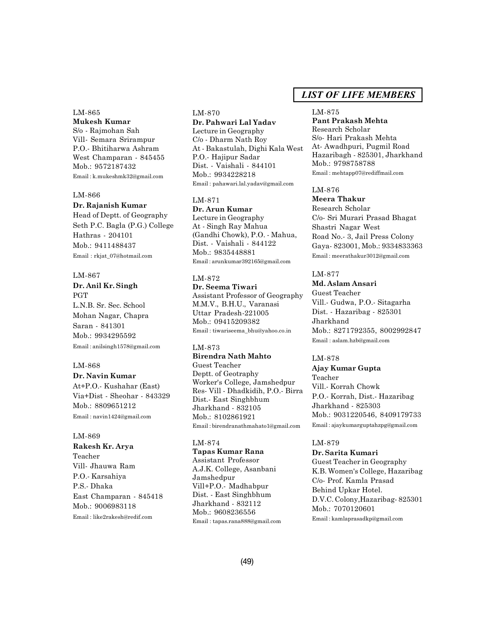#### LM-865 **Mukesh Kumar**

S/o - Rajmohan Sah Vill- Semara Srirampur P.O.- Bhitiharwa Ashram West Champaran - 845455 Mob.: 9572187432 Email : k.mukeshmk32@gmail.com

### LM-866

### **Dr. Rajanish Kumar**

Head of Deptt. of Geography Seth P.C. Bagla (P.G.) College Hathras - 204101 Mob.: 9411488437 Email : rkjat\_07@hotmail.com

# LM-867

**Dr. Anil Kr. Singh** PGT L.N.B. Sr. Sec. School Mohan Nagar, Chapra Saran - 841301 Mob.: 9934295592 Email : anilsingh1578@gmail.com

### LM-868

**Dr. Navin Kumar** At+P.O.- Kushahar (East) Via+Dist - Sheohar - 843329 Mob.: 8809651212 Email : navin1424@gmail.com

### LM-869

**Rakesh Kr. Arya** Teacher Vill- Jhauwa Ram P.O.- Karsahiya P.S.- Dhaka East Champaran - 845418 Mob.: 9006983118 Email : like2rakesh@redif.com

#### LM-870 **Dr. Pahwari Lal Yadav**

Lecture in Geography C/o - Dharm Nath Roy At - Bakastulah, Dighi Kala West P.O.- Hajipur Sadar Dist. - Vaishali - 844101 Mob.: 9934228218 Email : pahawari.lal.yadav@gmail.com

# LM-871

**Dr. Arun Kumar** Lecture in Geography At - Singh Ray Mahua (Gandhi Chowk), P.O. - Mahua, Dist. - Vaishali - 844122 Mob.: 9835448881 Email : arunkumar392165@gmail.com

# LM-872

**Dr. Seema Tiwari** Assistant Professor of Geography M.M.V., B.H.U., Varanasi Uttar Pradesh-221005 Mob.: 09415209382 Email : tiwariseema\_bhu@yahoo.co.in

# LM-873

**Birendra Nath Mahto** Guest Teacher Deptt. of Geotraphy Worker's College, Jamshedpur Res- Vill - Dhadkidih, P.O.- Birra Dist.- East Singhbhum Jharkhand - 832105 Mob.: 8102861921 Email : birendranathmahato1@gmail.com

### LM-874

**Tapas Kumar Rana** Assistant Professor A.J.K. College, Asanbani Jamshedpur Vill+P.O.- Madhabpur Dist. - East Singhbhum Jharkhand - 832112 Mob.: 9608236556 Email : tapas.rana888@gmail.com

# *LIST OF LIFE MEMBERS*

#### LM-875

**Pant Prakash Mehta** Research Scholar S/o- Hari Prakash Mehta At- Awadhpuri, Pugmil Road Hazaribagh - 825301, Jharkhand Mob.: 9798758788 Email : mehtapp07@rediffmail.com

#### LM-876

**Meera Thakur** Research Scholar C/o- Sri Murari Prasad Bhagat Shastri Nagar West Road No.- 3, Jail Press Colony Gaya- 823001, Mob.: 9334833363 Email : meerathakur3012@gmail.com

# LM-877

#### **Md. Aslam Ansari**

Guest Teacher Vill.- Gudwa, P.O.- Sitagarha Dist. - Hazaribag - 825301 Jharkhand Mob.: 8271792355, 8002992847 Email : aslam.hzb@gmail.com

#### LM-878

**Ajay Kumar Gupta** Teacher Vill.- Korrah Chowk P.O.- Korrah, Dist.- Hazaribag Jharkhand - 825303 Mob.: 9031220546, 8409179733 Email : ajaykumarguptahzpg@gmail.com

#### LM-879

**Dr. Sarita Kumari** Guest Teacher in Geography K.B. Women's College, Hazaribag C/o- Prof. Kamla Prasad Behind Upkar Hotel. D.V.C. Colony,Hazaribag- 825301 Mob.: 7070120601 Email : kamlaprasadkp@gmail.com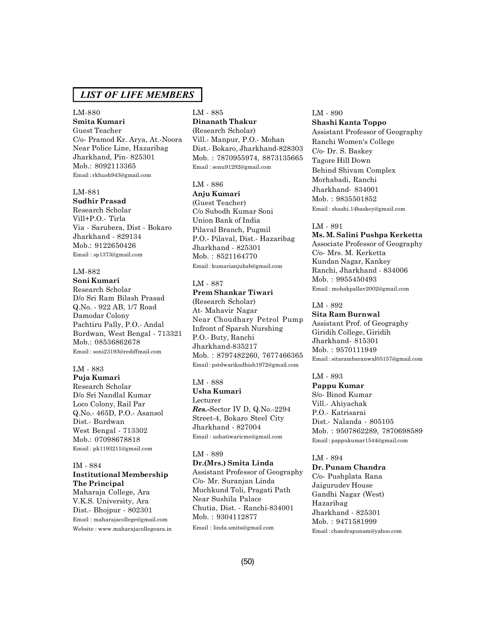# LM-880 **Smita Kumari**

Guest Teacher C/o- Pramod Kr. Arya, At.-Noora Near Police Line, Hazaribag Jharkhand, Pin- 825301 Mob.: 8092113365 Email : rkhush943@gmail.com

# LM-881

**Sudhir Prasad** Research Scholar

Vill+P.O.- Tirla Via - Sarubera, Dist - Bokaro Jharkhand - 829134 Mob.: 9122650426 Email : sp1373@gmail.com

# LM-882

**Soni Kumari** Research Scholar D/o Sri Ram Bilash Prasad Q.No. - 922 AB, 1/7 Road Damodar Colony Pachtiru Pally, P.O.- Andal Burdwan, West Bengal - 713321 Mob.: 08536862678 Email : soni23193@rediffmail.com

#### LM - 883

**Puja Kumari** Research Scholar D/o Sri Nandlal Kumar Loco Colony, Rail Par Q.No.- 465D, P.O.- Asansol Dist.- Burdwan West Bengal - 713302 Mob.: 07098678818 Email : pk1193211@gmail.com

### IM - 884 **Institutional Membership The Principal**

Maharaja College, Ara V.K.S. University, Ara Dist.- Bhojpur - 802301 Email : maharajacollege@gmail.com Website : www.maharajacollegeara.in

# LM - 885

**Dinanath Thakur** (Research Scholar) Vill.- Manpur, P.O.- Mohan Dist.- Bokaro, Jharkhand-828303 Mob. : 7870955974, 8873135665 Email : sonu91292@gmail.com

#### LM - 886

**Anju Kumari** (Guest Teacher) C/o Subodh Kumar Soni Union Bank of India Pilaval Branch, Pugmil P.O.- Pilaval, Dist.- Hazaribag Jharkhand - 825301 Mob. : 8521164770 Email : kumarianjuhzb@gmail.com

### LM - 887

# **Prem Shankar Tiwari**

(Research Scholar) At- Mahavir Nagar Near Choudhary Petrol Pump Infront of Sparsh Nurshing P.O.- Buty, Ranchi Jharkhand-835217 Mob. : 8797482260, 7677466365 Email : pstdwarikadhish1972@gmail.com

### LM - 888

**Usha Kumari** Lecturer *Res.-*Sector IV D, Q.No.-2294 Street-4, Bokaro Steel City Jharkhand - 827004 Email : ushatiwaricme@gmail.com

### LM - 889

**Dr.(Mrs.) Smita Linda** Assistant Professor of Geography C/o- Mr. Suranjan Linda Muchkund Toli, Pragati Path Near Sushila Palace Chutia, Dist. - Ranchi-834001 Mob. : 9304112877 Email : linda.smita@gmail.com

# LM - 890

**Shashi Kanta Toppo** Assistant Professor of Geography Ranchi Women's College C/o- Dr. S. Baskey Tagore Hill Down Behind Shivam Complex Morhabadi, Ranchi Jharkhand- 834001 Mob. : 9835501852 Email : shashi.14baskey@gmail.com

### LM - 891

**Ms. M. Salini Pushpa Kerketta** Associate Professor of Geography C/o- Mrs. M. Kerketta Kundan Nagar, Kankey Ranchi, Jharkhand - 834006 Mob. : 9955450493 Email : mohakpallav2002@gmail.com

# LM - 892

**Sita Ram Burnwal** Assistant Prof. of Geography Giridih College, Giridih Jharkhand- 815301 Mob. : 9570111949 Email : sitarambaranwal05157@gmail.com

#### LM - 893

**Pappu Kumar** S/o- Binod Kumar Vill.- Ahiyachak P.O.- Katrisarai Dist.- Nalanda - 805105 Mob. : 9507862289, 7870698589 Email : pappukumar1544@gmail.com

#### LM - 894

**Dr. Punam Chandra** C/o- Pushplata Rana Jaigurudev House Gandhi Nagar (West) Hazaribag Jharkhand - 825301 Mob. : 9471581999 Email : chandrapunam@yahoo.com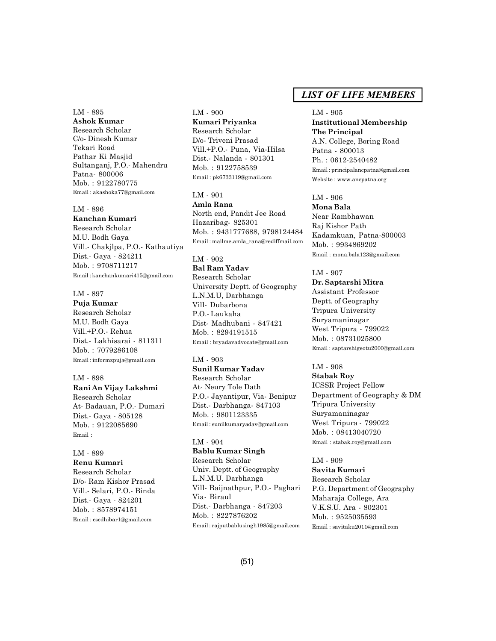LM - 895 **Ashok Kumar** Research Scholar C/o- Dinesh Kumar Tekari Road Pathar Ki Masjid Sultanganj, P.O.- Mahendru Patna- 800006 Mob. : 9122780775 Email : akashoka77@gmail.com

# LM - 896

**Kanchan Kumari** Research Scholar M.U. Bodh Gaya Vill.- Chakjlpa, P.O.- Kathautiya Dist.- Gaya - 824211 Mob. : 9708711217 Email : kanchankumari415@gmail.com

# LM - 897

**Puja Kumar** Research Scholar M.U. Bodh Gaya Vill.+P.O.- Rehua Dist.- Lakhisarai - 811311 Mob. : 7079286108 Email : informzpuja@gmail.com

LM - 898 **Rani An Vijay Lakshmi** Research Scholar At- Badauan, P.O.- Dumari Dist.- Gaya - 805128 Mob. : 9122085690 Email :

#### LM - 899 **Renu Kumari**

Research Scholar D/o- Ram Kishor Prasad Vill.- Selari, P.O.- Binda Dist.- Gaya - 824201 Mob. : 8578974151 Email : cscdhibar1@gmail.com

LM - 900 **Kumari Priyanka** Research Scholar D/o- Triveni Prasad Vill.+P.O.- Puna, Via-Hilsa Dist.- Nalanda - 801301 Mob. : 9122758539 Email : pk6733119@gmail.com

#### LM - 901

**Amla Rana** North end, Pandit Jee Road Hazaribag- 825301 Mob. : 9431777688, 9798124484 Email : mailme.amla\_rana@rediffmail.com

LM - 902 **Bal Ram Yadav** Research Scholar University Deptt. of Geography L.N.M.U, Darbhanga Vill- Dubarbona P.O.- Laukaha Dist- Madhubani - 847421 Mob. : 8294191515 Email : bryadavadvocate@gmail.com

#### LM - 903

**Sunil Kumar Yadav** Research Scholar At- Neury Tole Dath P.O.- Jayantipur, Via- Benipur Dist.- Darbhanga- 847103 Mob. : 9801123335 Email : sunilkumaryadav@gmail.com

### LM - 904

**Bablu Kumar Singh** Research Scholar Univ. Deptt. of Geography L.N.M.U. Darbhanga Vill- Baijnathpur, P.O.- Paghari Via- Biraul Dist.- Darbhanga - 847203 Mob. : 8227876202 Email : rajputbablusingh1985@gmail.com

# *LIST OF LIFE MEMBERS*

#### LM - 905

**Institutional Membership The Principal** A.N. College, Boring Road Patna - 800013 Ph. : 0612-2540482 Email : principalancpatna@gmail.com Website : www.ancpatna.org

#### LM - 906 **Mona Bala**

Near Rambhawan Raj Kishor Path Kadamkuan, Patna-800003 Mob. : 9934869202 Email : mona.bala123@gmail.com

#### LM - 907

**Dr. Saptarshi Mitra** Assistant Professor Deptt. of Geography Tripura University Suryamaninagar West Tripura - 799022 Mob. : 08731025800 Email : saptarshigeotu2000@gmail.com

LM - 908 **Stabak Roy** ICSSR Project Fellow Department of Geography & DM Tripura University Suryamaninagar West Tripura - 799022 Mob. : 08413040720 Email : stabak.roy@gmail.com

LM - 909 **Savita Kumari** Research Scholar P.G. Department of Geography Maharaja College, Ara V.K.S.U. Ara - 802301 Mob. : 9525035593 Email : savitaku2011@gmail.com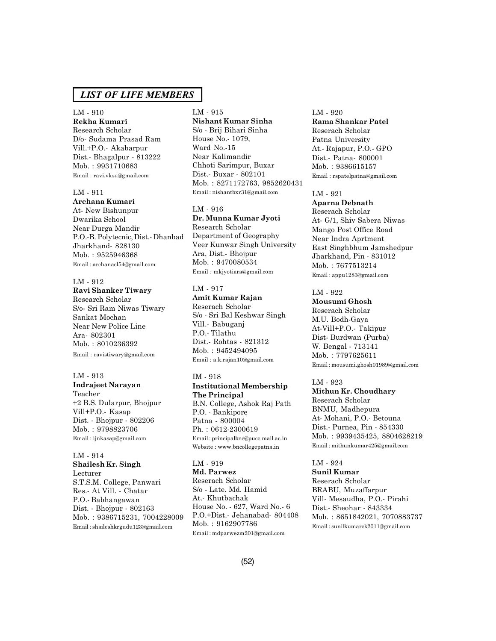LM - 910 **Rekha Kumari** Research Scholar D/o- Sudama Prasad Ram Vill.+P.O.- Akabarpur Dist.- Bhagalpur - 813222 Mob. : 9931710683 Email : ravi.vksu@gmail.com

#### LM - 911

# **Archana Kumari**

At- New Bishunpur Dwarika School Near Durga Mandir P.O.-B. Polytecnic, Dist.- Dhanbad Jharkhand- 828130 Mob. : 9525946368 Email : archanacl54@gmail.com

### LM - 912

**Ravi Shanker Tiwary** Research Scholar S/o- Sri Ram Niwas Tiwary Sankat Mochan Near New Police Line Ara- 802301 Mob. : 8010236392 Email : ravistiwary@gmail.com

#### LM - 913

**Indrajeet Narayan** Teacher +2 B.S. Dularpur, Bhojpur Vill+P.O.- Kasap Dist. - Bhojpur - 802206 Mob. : 9798823706 Email : ijnkasap@gmail.com

LM - 914 **Shailesh Kr. Singh** Lecturer S.T.S.M. College, Panwari Res.- At Vill. - Chatar P.O.- Babhangawan Dist. - Bhojpur - 802163 Mob. : 9386715231, 7004228009 Email : shaileshkrgudu123@gmail.com

# LM - 915

**Nishant Kumar Sinha** S/o - Brij Bihari Sinha House No.- 1079, Ward No.-15 Near Kalimandir Chhoti Sarimpur, Buxar Dist.- Buxar - 802101 Mob. : 8271172763, 9852620431 Email : nishantbxr31@gmail.com

#### LM - 916

**Dr. Munna Kumar Jyoti** Research Scholar Department of Geography Veer Kunwar Singh University Ara, Dist.- Bhojpur Mob. : 9470080534 Email : mkjyotiara@gmail.com

#### LM - 917 **Amit Kumar Rajan**

Reserach Scholar S/o - Sri Bal Keshwar Singh Vill.- Babuganj P.O.- Tilathu Dist.- Rohtas - 821312 Mob. : 9452494095 Email : a.k.rajan10@gmail.com

#### IM - 918

**Institutional Membership The Principal** B.N. College, Ashok Raj Path P.O. - Bankipore Patna - 800004 Ph. : 0612-2300619 Email : principalbnc@pucc.mail.ac.in Website : www.bncollegepatna.in

### LM - 919

**Md. Parwez** Reserach Scholar S/o - Late. Md. Hamid At.- Khutbachak House No. - 627, Ward No.- 6 P.O.+Dist.- Jehanabad- 804408 Mob. : 9162907786 Email : mdparwezm201@gmail.com

# LM - 920 **Rama Shankar Patel**

Reserach Scholar Patna University At.- Rajapur, P.O.- GPO Dist.- Patna- 800001 Mob. : 9386615157 Email : rspatelpatna@gmail.com

#### LM - 921

**Aparna Debnath** Reserach Scholar At- G/1, Shiv Sabera Niwas Mango Post Office Road Near Indra Aprtment East Singhbhum Jamshedpur Jharkhand, Pin - 831012 Mob. : 7677513214 Email : appu1283@gmail.com

# LM - 922

**Mousumi Ghosh** Reserach Scholar M.U. Bodh-Gaya At-Vill+P.O.- Takipur Dist- Burdwan (Purba) W. Bengal - 713141 Mob. : 7797625611 Email : mousumi.ghosh01989@gmail.com

# LM - 923

**Mithun Kr. Choudhary** Reserach Scholar BNMU, Madhepura At- Mohani, P.O.- Betouna Dist.- Purnea, Pin - 854330 Mob. : 9939435425, 8804628219 Email : mithunkumar425@gmail.com

LM - 924 **Sunil Kumar** Reserach Scholar BRABU, Muzaffarpur Vill- Mesaudha, P.O.- Pirahi Dist.- Sheohar - 843334 Mob. : 8651842021, 7070883737 Email : sunilkumarck2011@gmail.com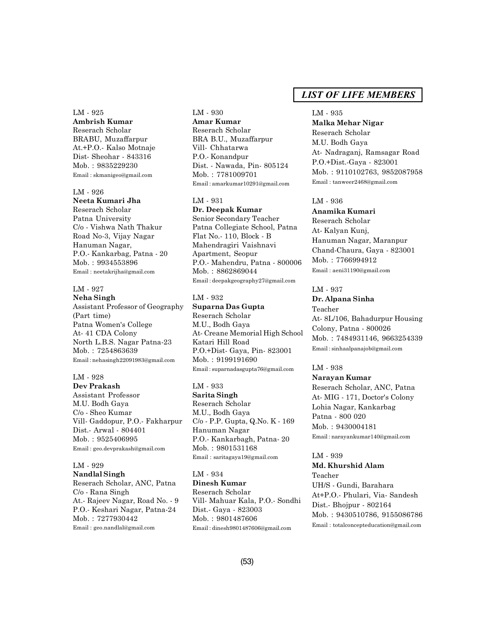### LM - 925

# **Ambrish Kumar**

Reserach Scholar BRABU, Muzaffarpur At.+P.O.- Kalso Motnaje Dist- Sheohar - 843316 Mob. : 9835229230 Email : skmanigeo@gmail.com

#### LM - 926

# **Neeta Kumari Jha**

Reserach Scholar Patna University C/o - Vishwa Nath Thakur Road No-3, Vijay Nagar Hanuman Nagar, P.O.- Kankarbag, Patna - 20 Mob. : 9934553896 Email : neetakrijha@gmail.com

### LM - 927

**Neha Singh** Assistant Professor of Geography (Part time) Patna Women's College At- 41 CDA Colony North L.B.S. Nagar Patna-23 Mob. : 7254863639

Email : nehasingh22091983@gmail.com

#### LM - 928

**Dev Prakash** Assistant Professor M.U. Bodh Gaya C/o - Sheo Kumar Vill- Gaddopur, P.O.- Fakharpur Dist.- Arwal - 804401 Mob. : 9525406995 Email : geo.devprakash@gmail.com

#### LM - 929 **Nandlal Singh**

Reserach Scholar, ANC, Patna C/o - Rana Singh At.- Rajeev Nagar, Road No. - 9 P.O.- Keshari Nagar, Patna-24 Mob. : 7277930442 Email : geo.nandlal@gmail.com

### LM - 930 **Amar Kumar** Reserach Scholar BRA B.U., Muzaffarpur Vill- Chhatarwa P.O.- Konandpur Dist. - Nawada, Pin- 805124 Mob. : 7781009701 Email : amarkumar10291@gmail.com

LM - 931 **Dr. Deepak Kumar** Senior Secondary Teacher Patna Collegiate School, Patna Flat No.- 110, Block - B Mahendragiri Vaishnavi Apartment, Seopur P.O.- Mahendru, Patna - 800006 Mob. : 8862869044 Email : deepakgeography27@gmail.com

### LM - 932 **Suparna Das Gupta** Reserach Scholar M.U., Bodh Gaya At- Creane Memorial High School Katari Hill Road P.O.+Dist- Gaya, Pin- 823001

Mob. : 9199191690 Email : suparnadasgupta76@gmail.com

# LM - 933

**Sarita Singh** Reserach Scholar M.U., Bodh Gaya C/o - P.P. Gupta, Q.No. K - 169 Hanuman Nagar P.O.- Kankarbagh, Patna- 20 Mob. : 9801531168 Email : saritagaya19@gmail.com

LM - 934 **Dinesh Kumar** Reserach Scholar Vill- Mahuar Kala, P.O.- Sondhi Dist.- Gaya - 823003 Mob. : 9801487606 Email : dinesh9801487606@gmail.com

# *LIST OF LIFE MEMBERS*

#### LM - 935

**Malka Mehar Nigar** Reserach Scholar M.U. Bodh Gaya At- Nadraganj, Ramsagar Road P.O.+Dist.-Gaya - 823001 Mob. : 9110102763, 9852087958 Email : tanweer2468@gmail.com

# LM - 936

**Anamika Kumari** Reserach Scholar At- Kalyan Kunj, Hanuman Nagar, Maranpur Chand-Chaura, Gaya - 823001 Mob. : 7766994912 Email : aeni31190@gmail.com

#### LM - 937

**Dr. Alpana Sinha**

Teacher At- 8L/106, Bahadurpur Housing Colony, Patna - 800026 Mob. : 7484931146, 9663254339 Email : sinhaalpanajob@gmail.com

#### LM - 938

**Narayan Kumar** Reserach Scholar, ANC, Patna At- MIG - 171, Doctor's Colony Lohia Nagar, Kankarbag Patna - 800 020 Mob. : 9430004181 Email : narayankumar140@gmail.com

#### LM - 939

**Md. Khurshid Alam** Teacher UH/S - Gundi, Barahara At+P.O.- Phulari, Via- Sandesh Dist.- Bhojpur - 802164 Mob. : 9430510786, 9155086786 Email : totalconcepteducation@gmail.com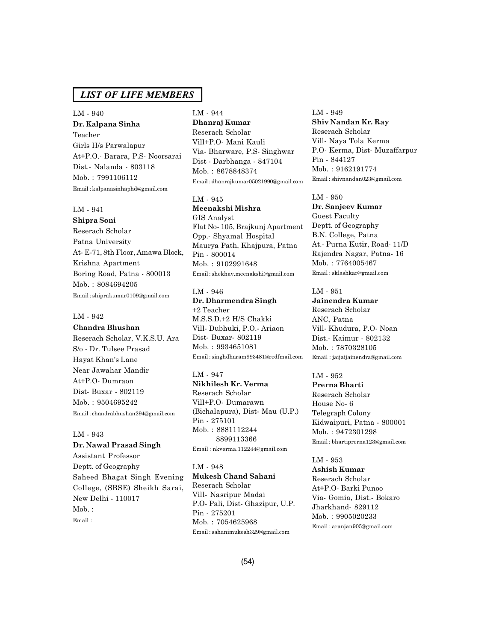LM - 940 **Dr. Kalpana Sinha** Teacher Girls H/s Parwalapur At+P.O.- Barara, P.S- Noorsarai Dist.- Nalanda - 803118 Mob. : 7991106112 Email : kalpanasinhaphd@gmail.com

### LM - 941

**Shipra Soni** Reserach Scholar Patna University At- E-71, 8th Floor, Amawa Block, Krishna Apartment Boring Road, Patna - 800013 Mob. : 8084694205 Email : shiprakumar0109@gmail.com

### LM - 942

**Chandra Bhushan** Reserach Scholar, V.K.S.U. Ara S/o - Dr. Tulsee Prasad Hayat Khan's Lane Near Jawahar Mandir At+P.O- Dumraon Dist- Buxar - 802119 Mob. : 9504695242 Email : chandrabhushan294@gmail.com

# LM - 943

# **Dr. Nawal Prasad Singh**

Assistant Professor Deptt. of Geography Saheed Bhagat Singh Evening College, (SBSE) Sheikh Sarai, New Delhi - 110017 Mob. : Email :

LM - 944 **Dhanraj Kumar** Reserach Scholar Vill+P.O- Mani Kauli Via- Bharware, P.S- Singhwar Dist - Darbhanga - 847104 Mob. : 8678848374 Email : dhanrajkumar05021990@gmail.com

LM - 945 **Meenakshi Mishra** GIS Analyst Flat No- 105, Brajkunj Apartment Opp.- Shyamal Hospital Maurya Path, Khajpura, Patna Pin - 800014 Mob. : 9102991648 Email : shekhav.meenakshi@gmail.com

LM - 946 **Dr. Dharmendra Singh** +2 Teacher M.S.S.D.+2 H/S Chakki Vill- Dubhuki, P.O.- Ariaon Dist- Buxar- 802119 Mob. : 9934651081 Email : singhdharam993481@redfmail.com

# LM - 947

**Nikhilesh Kr. Verma** Reserach Scholar Vill+P.O- Dumarawn (Bichalapura), Dist- Mau (U.P.) Pin - 275101 Mob. : 8881112244 8899113366 Email : nkverma.112244@gmail.com

LM - 948 **Mukesh Chand Sahani** Reserach Scholar Vill- Nasripur Madai P.O- Pali, Dist- Ghazipur, U.P. Pin - 275201 Mob. : 7054625968 Email : sahanimukesh329@gmail.com

LM - 949 **Shiv Nandan Kr. Ray** Reserach Scholar Vill- Naya Tola Kerma P.O- Kerma, Dist- Muzaffarpur Pin - 844127 Mob. : 9162191774 Email : shivnandan023@gmail.com

LM - 950 **Dr. Sanjeev Kumar** Guest Faculty Deptt. of Geography B.N. College, Patna At.- Purna Kutir, Road- 11/D Rajendra Nagar, Patna- 16 Mob. : 7764005467 Email : sklashkar@gmail.com

# LM - 951

**Jainendra Kumar** Reserach Scholar ANC, Patna Vill- Khudura, P.O- Noan Dist.- Kaimur - 802132 Mob. : 7870328105 Email : jaijaijainendra@gmail.com

#### LM - 952

**Prerna Bharti** Reserach Scholar House No- 6 Telegraph Colony Kidwaipuri, Patna - 800001 Mob. : 9472301298 Email : bhartiprerna123@gmail.com

#### LM - 953

**Ashish Kumar** Reserach Scholar At+P.O- Barki Punoo Via- Gomia, Dist.- Bokaro Jharkhand- 829112 Mob. : 9905020233 Email : aranjan905@gmail.com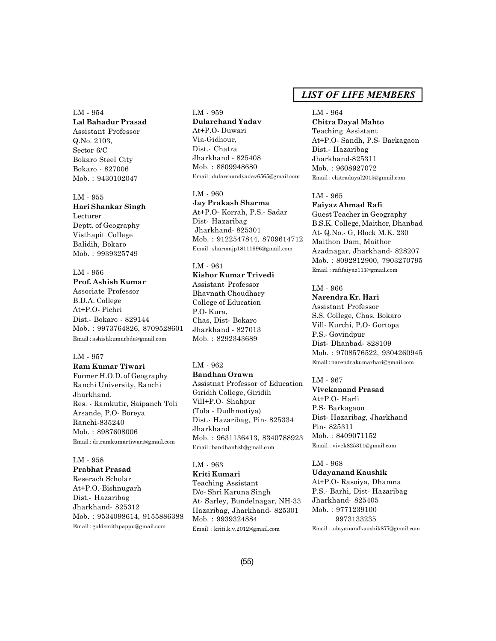LM - 954 **Lal Bahadur Prasad** Assistant Professor Q.No. 2103, Sector 6/C Bokaro Steel City Bokaro - 827006 Mob. : 9430102047

LM - 955 **Hari Shankar Singh** Lecturer Deptt. of Geography Visthapit College Balidih, Bokaro Mob. : 9939325749

# LM - 956 **Prof. Ashish Kumar** Associate Professor B.D.A. College At+P.O- Pichri Dist.- Bokaro - 829144 Mob. : 9973764826, 8709528601 Email : ashishkumarbda@gmail.com

#### LM - 957

**Ram Kumar Tiwari** Former H.O.D. of Geography Ranchi University, Ranchi Jharkhand. Res. - Ramkutir, Saipanch Toli Arsande, P.O- Boreya Ranchi-835240 Mob. : 8987608006 Email : dr.ramkumartiwari@gmail.com

#### LM - 958

**Prabhat Prasad** Reserach Scholar At+P.O.-Bishnugarh Dist.- Hazaribag Jharkhand- 825312 Mob. : 9534098614, 9155886388 Email : goldsmithpappu@gmail.com

LM - 959 **Dularchand Yadav** At+P.O- Duwari Via-Gidhour, Dist.- Chatra Jharkhand - 825408 Mob. : 8809948680 Email : dularchandyadav6565@gmail.com

LM - 960 **Jay Prakash Sharma** At+P.O- Korrah, P.S.- Sadar Dist- Hazaribag Jharkhand- 825301 Mob. : 9122547844, 8709614712 Email : sharmajp18111996@gmail.com

### LM - 961

**Kishor Kumar Trivedi** Assistant Professor Bhavnath Choudhary College of Education P.O- Kura, Chas, Dist- Bokaro Jharkhand - 827013 Mob. : 8292343689

# LM - 962

**Bandhan Orawn** Assistnat Professor of Education Giridih College, Giridih Vill+P.O- Shahpur (Tola - Dudhmatiya) Dist.- Hazaribag, Pin- 825334 Jharkhand Mob. : 9631136413, 8340788923 Email : bandhanhzb@gmail.com

# LM - 963

**Kriti Kumari** Teaching Assistant D/o- Shri Karuna Singh At- Sarley, Bundelnagar, NH-33 Hazaribag, Jharkhand- 825301 Mob. : 9939324884 Email : kriti.k.v.2012@gmail.com

# *LIST OF LIFE MEMBERS*

LM - 964 **Chitra Dayal Mahto** Teaching Assistant At+P.O- Sandh, P.S- Barkagaon Dist.- Hazaribag Jharkhand-825311 Mob. : 9608927072 Email : chitradayal2015@gmail.com

### LM - 965

**Faiyaz Ahmad Rafi**

Guest Teacher in Geography B.S.K. College, Maithor, Dhanbad At- Q.No.- G, Block M.K. 230 Maithon Dam, Maithor Azadnagar, Jharkhand- 828207 Mob. : 8092812900, 7903270795 Email : rafifaiyaz111@gmail.com

LM - 966

**Narendra Kr. Hari** Assistant Professor S.S. College, Chas, Bokaro Vill- Kurchi, P.O- Gortopa P.S.- Govindpur Dist- Dhanbad- 828109 Mob. : 9708576522, 9304260945 Email : narendrakumarhari@gmail.com

LM - 967 **Vivekanand Prasad** At+P.O- Harli P.S- Barkagaon Dist- Hazaribag, Jharkhand Pin- 825311 Mob. : 8409071152 Email : vivek825311@gmail.com

LM - 968 **Udayanand Kaushik** At+P.O- Rasoiya, Dhamna P.S.- Barhi, Dist- Hazaribag Jharkhand- 825405 Mob. : 9771239100 9973133235 Email : udayanandkaushik877@gmail.com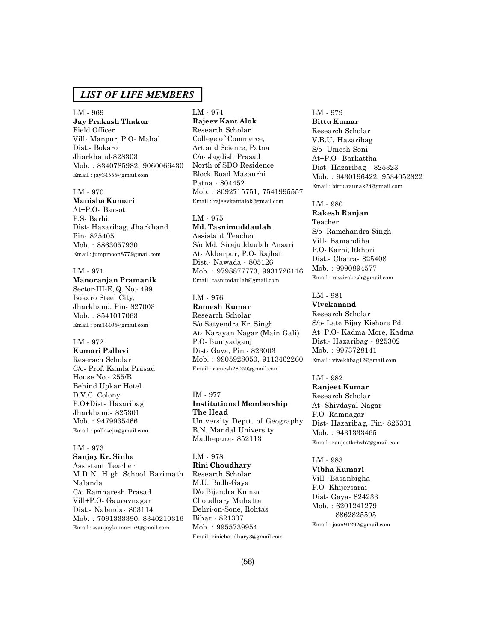LM - 969 **Jay Prakash Thakur** Field Officer Vill- Manpur, P.O- Mahal Dist.- Bokaro Jharkhand-828303 Mob. : 8340785982, 9060066430 Email : jay34555@gmail.com

# LM - 970

**Manisha Kumari** At+P.O- Barsot P.S- Barhi, Dist- Hazaribag, Jharkhand Pin- 825405 Mob. : 8863057930 Email : jumpmoon877@gmail.com

LM - 971 **Manoranjan Pramanik** Sector-III-E, Q. No.- 499 Bokaro Steel City, Jharkhand, Pin- 827003 Mob. : 8541017063 Email : pm14405@gmail.com

#### LM - 972

**Kumari Pallavi** Reserach Scholar C/o- Prof. Kamla Prasad House No.- 255/B Behind Upkar Hotel D.V.C. Colony P.O+Dist- Hazaribag Jharkhand- 825301 Mob. : 9479935466 Email : palloseju@gmail.com

#### LM - 973 **Sanjay Kr. Sinha**

Assistant Teacher M.D.N. High School Barimath Nalanda C/o Ramnaresh Prasad Vill+P.O- Gauravnagar Dist.- Nalanda- 803114 Mob. : 7091333390, 8340210316 Email : ssanjaykumar179@gmail.com

# LM - 974 **Rajeev Kant Alok** Research Scholar College of Commerce, Art and Science, Patna C/o- Jagdish Prasad North of SDO Residence Block Road Masaurhi Patna - 804452 Mob. : 8092715751, 7541995557 Email : rajeevkantalok@gmail.com

#### LM - 975

**Md. Tasnimuddaulah** Assistant Teacher S/o Md. Sirajuddaulah Ansari At- Akbarpur, P.O- Rajhat Dist.- Nawada - 805126 Mob. : 9798877773, 9931726116 Email : tasnimdaulah@gmail.com

# LM - 976

**Ramesh Kumar** Research Scholar S/o Satyendra Kr. Singh At- Narayan Nagar (Main Gali) P.O- Buniyadganj Dist- Gaya, Pin - 823003 Mob. : 9905928050, 9113462260 Email : ramesh28050@gmail.com

IM - 977 **Institutional Membership The Head** University Deptt. of Geography B.N. Mandal University Madhepura- 852113

### LM - 978 **Rini Choudhary** Research Scholar M.U. Bodh-Gaya D/o Bijendra Kumar Choudhary Muhatta Dehri-on-Sone, Rohtas Bihar - 821307 Mob. : 9955739954 Email : rinichoudhary3@gmail.com

# LM - 979 **Bittu Kumar** Research Scholar V.B.U. Hazaribag S/o- Umesh Soni At+P.O- Barkattha Dist- Hazaribag - 825323 Mob. : 9430196422, 9534052822 Email : bittu.raunak24@gmail.com

LM - 980

**Rakesh Ranjan** Teacher S/o- Ramchandra Singh Vill- Bamandiha P.O- Karni, Itkhori Dist.- Chatra- 825408 Mob. : 9990894577 Email : rassirakesh@gmail.com

# LM - 981

**Vivekanand** Research Scholar S/o- Late Bijay Kishore Pd. At+P.O- Kadma More, Kadma Dist.- Hazaribag - 825302 Mob. : 9973728141 Email : vivekhbag12@gmail.com

#### LM - 982

**Ranjeet Kumar** Research Scholar At- Shivdayal Nagar P.O- Ramnagar Dist- Hazaribag, Pin- 825301 Mob. : 9431333465 Email : ranjeetkrhzb7@gmail.com

LM - 983 **Vibha Kumari** Vill- Basanbigha P.O- Khijersarai Dist- Gaya- 824233 Mob. : 6201241279 8862825595 Email : jaan91292@gmail.com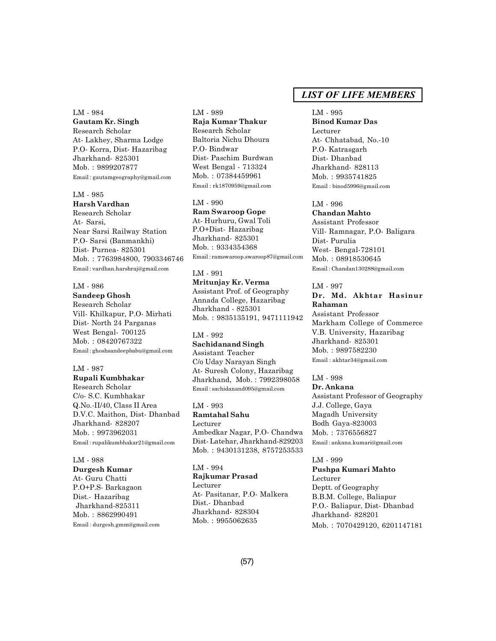LM - 984

**Gautam Kr. Singh** Research Scholar At- Lakhey, Sharma Lodge P.O- Korra, Dist- Hazaribag Jharkhand- 825301 Mob. : 9899207877 Email : gautamgeography@gmail.com

#### LM - 985

**Harsh Vardhan** Research Scholar At- Sarsi, Near Sarsi Railway Station P.O- Sarsi (Banmankhi) Dist- Purnea- 825301 Mob. : 7763984800, 7903346746 Email : vardhan.harshraj@gmail.com

# LM - 986

**Sandeep Ghosh** Research Scholar Vill- Khilkapur, P.O- Mirhati Dist- North 24 Parganas West Bengal- 700125 Mob. : 08420767322 Email : ghoshsandeepbabu@gmail.com

#### LM - 987

**Rupali Kumbhakar** Research Scholar C/o- S.C. Kumbhakar Q.No.-II/40, Class II Area D.V.C. Maithon, Dist- Dhanbad Jharkhand- 828207 Mob. : 9973962031 Email : rupalikumbhakar21@gmail.com

LM - 988 **Durgesh Kumar** At- Guru Chatti P.O+P.S- Barkagaon Dist.- Hazaribag Jharkhand-825311 Mob. : 8862990491 Email : durgesh.gmm@gmail.com

# LM - 989 **Raja Kumar Thakur** Research Scholar Baltoria Nichu Dhoura P.O- Bindwar Dist- Paschim Burdwan West Bengal - 713324 Mob. : 07384459961 Email : rk1870959@gmail.com

LM - 990 **Ram Swaroop Gope** At- Hurhuru, Gwal Toli P.O+Dist- Hazaribag Jharkhand- 825301 Mob. : 9334354368 Email : ramswaroop.swaroop87@gmail.com

LM - 991 **Mritunjay Kr. Verma** Assistant Prof. of Geography Annada College, Hazaribag Jharkhand - 825301 Mob. : 9835135191, 9471111942

LM - 992 **Sachidanand Singh** Assistant Teacher C/o Uday Narayan Singh At- Suresh Colony, Hazaribag Jharkhand, Mob. : 7992398058 Email : sachidanand095@gmail.com

LM - 993 **Ramtahal Sahu** Lecturer Ambedkar Nagar, P.O- Chandwa Dist- Latehar, Jharkhand-829203 Mob. : 9430131238, 8757253533

LM - 994 **Rajkumar Prasad** Lecturer At- Pasitanar, P.O- Malkera Dist.- Dhanbad Jharkhand- 828304 Mob. : 9955062635

# *LIST OF LIFE MEMBERS*

LM - 995 **Binod Kumar Das** Lecturer At- Chhatabad, No.-10 P.O- Katrasgarh Dist- Dhanbad Jharkhand- 828113 Mob. : 9935741825 Email : binod5996@gmail.com

LM - 996

**Chandan Mahto** Assistant Professor Vill- Ramnagar, P.O- Baligara Dist- Purulia West- Bengal-728101 Mob. : 08918530645 Email : Chandan130288@gmail.com

# LM - 997 **Dr. Md. Akhtar Hasinur Rahaman**

Assistant Professor Markham College of Commerce V.B. University, Hazaribag Jharkhand- 825301 Mob. : 9897582230 Email : akhtar34@gmail.com

### LM - 998

**Dr. Ankana** Assistant Professor of Geography J.J. College, Gaya Magadh University Bodh Gaya-823003 Mob. : 7376556827 Email : ankana.kumari@gmail.com

LM - 999 **Pushpa Kumari Mahto** Lecturer Deptt. of Geography B.B.M. College, Baliapur P.O.- Baliapur, Dist- Dhanbad Jharkhand- 828201 Mob. : 7070429120, 6201147181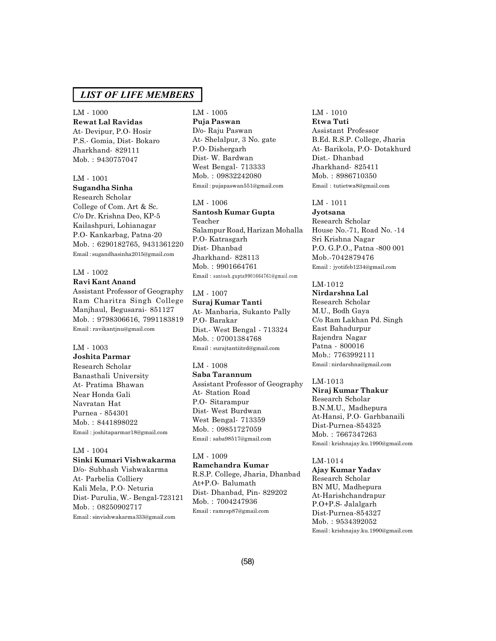LM - 1000 **Rewat Lal Ravidas** At- Devipur, P.O- Hosir P.S.- Gomia, Dist- Bokaro Jharkhand- 829111 Mob. : 9430757047

# LM - 1001

**Sugandha Sinha** Research Scholar

College of Com. Art & Sc. C/o Dr. Krishna Deo, KP-5 Kailashpuri, Lohianagar P.O- Kankarbag, Patna-20 Mob. : 6290182765, 9431361220 Email : sugandhasinha2015@gmail.com

#### LM - 1002 **Ravi Kant Anand**

Assistant Professor of Geography Ram Charitra Singh College Manjhaul, Begusarai- 851127 Mob. : 9798306616, 7991183819 Email : ravikantjnu@gmail.com

#### LM - 1003

**Joshita Parmar** Research Scholar Banasthali University At- Pratima Bhawan Near Honda Gali Navratan Hat Purnea - 854301 Mob. : 8441898022 Email : joshitaparmar18@gmail.com

#### LM - 1004 **Sinki Kumari Vishwakarma**

D/o- Subhash Vishwakarma At- Parbelia Colliery Kali Mela, P.O- Neturia Dist- Purulia, W.- Bengal-723121 Mob. : 08250902717 Email : sinvishwakarma333@gmail.com

# LM - 1005 **Puja Paswan** D/o- Raju Paswan At- Shelalpur, 3 No. gate P.O- Dishergarh Dist- W. Bardwan West Bengal- 713333 Mob. : 09832242080 Email : pujapaswan551@gmail.com

LM - 1006 **Santosh Kumar Gupta** Teacher Salampur Road, Harizan Mohalla P.O- Katrasgarh Dist- Dhanbad Jharkhand- 828113 Mob. : 9901664761 Email : santosh.gupta9901664761@gmail.com

# LM - 1007 **Suraj Kumar Tanti** At- Manbaria, Sukanto Pally P.O- Barakar Dist.- West Bengal - 713324 Mob. : 07001384768 Email : surajtantiitrd@gmail.com

LM - 1008 **Saba Tarannum** Assistant Professor of Geography At- Station Road P.O- Sitarampur Dist- West Burdwan West Bengal- 713359 Mob. : 09851727059 Email : saba98517@gmail.com

LM - 1009 **Ramchandra Kumar** R.S.P. College, Jharia, Dhanbad At+P.O- Balumath Dist- Dhanbad, Pin- 829202 Mob. : 7004247936 Email : ramrsp87@gmail.com

### LM - 1010 **Etwa Tuti**

Assistant Professor B.Ed. R.S.P. College, Jharia At- Barikola, P.O- Dotakhurd Dist.- Dhanbad Jharkhand- 825411 Mob. : 8986710350 Email : tutietwa8@gmail.com

LM - 1011

**Jyotsana** Research Scholar House No.-71, Road No. -14 Sri Krishna Nagar P.O. G.P.O., Patna -800 001 Mob.-7042879476 Email : jyotifeb1234@gmail.com

LM-1012

**Nirdarshna Lal** Research Scholar M.U., Bodh Gaya C/o Ram Lakhan Pd. Singh East Bahadurpur Rajendra Nagar Patna - 800016 Mob.: 7763992111 Email : nirdarshna@gmail.com

LM-1013 **Niraj Kumar Thakur** Research Scholar B.N.M.U., Madhepura At-Hansi, P.O- Garhbanaili Dist-Purnea-854325 Mob. : 7667347263 Email : krishnajay.ku.1990@gmail.com

#### LM-1014

**Ajay Kumar Yadav** Research Scholar BN MU, Madhepura At-Harishchandrapur P.O+P.S- Jalalgarh Dist-Purnea-854327 Mob. : 9534392052 Email : krishnajay.ku.1990@gmail.com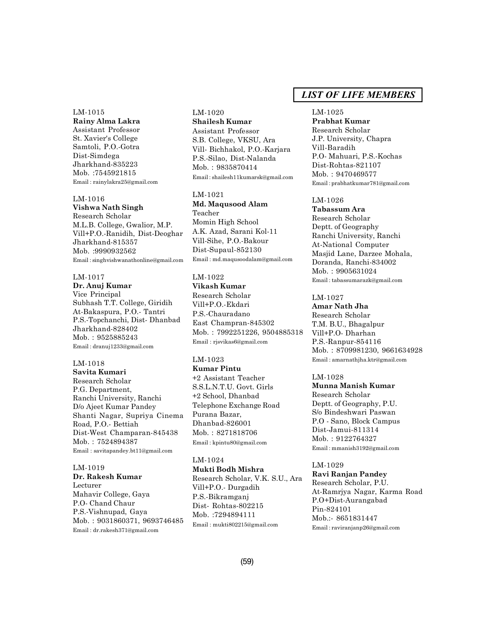#### LM-1015

**Rainy Alma Lakra** Assistant Professor St. Xavier's College Samtoli, P.O.-Gotra Dist-Simdega Jharkhand-835223 Mob. :7545921815 Email : rainylakra25@gmail.com

#### LM-1016

**Vishwa Nath Singh** Research Scholar M.L.B. College, Gwalior, M.P. Vill+P.O.-Ranidih, Dist-Deoghar Jharkhand-815357 Mob. :9990932562 Email : singhvishwanathonline@gmail.com

#### LM-1017

**Dr. Anuj Kumar** Vice Principal Subhash T.T. College, Giridih At-Bakaspura, P.O.- Tantri P.S.-Topchanchi, Dist- Dhanbad Jharkhand-828402 Mob. : 9525885243 Email : dranuj1233@gmail.com

### LM-1018

**Savita Kumari** Research Scholar P.G. Department, Ranchi University, Ranchi D/o Ajeet Kumar Pandey Shanti Nagar, Supriya Cinema Road, P.O.- Bettiah Dist-West Champaran-845438 Mob. : 7524894387 Email : savitapandey.bt11@gmail.com

#### LM-1019

**Dr. Rakesh Kumar** Lecturer Mahavir College, Gaya P.O- Chand Chaur P.S.-Vishnupad, Gaya Mob. : 9031860371, 9693746485 Email : dr.rakesh371@gmail.com

# LM-1020 **Shailesh Kumar**

Assistant Professor S.B. College, VKSU, Ara Vill- Bichhakol, P.O.-Karjara P.S.-Silao, Dist-Nalanda Mob. : 9835870414 Email : shailesh11kumarsk@gmail.com

#### LM-1021

**Md. Maqusood Alam** Teacher Momin High School A.K. Azad, Sarani Kol-11 Vill-Sihe, P.O.-Bakour Dist-Supaul-852130 Email : md.maqusoodalam@gmail.com

# LM-1022

**Vikash Kumar** Research Scholar Vill+P.O.-Ekdari P.S.-Chauradano East Champran-845302 Mob. : 7992251226, 9504885318 Email : rjsvikas6@gmail.com

# LM-1023

**Kumar Pintu** +2 Assistant Teacher S.S.L.N.T.U. Govt. Girls +2 School, Dhanbad Telephone Exchange Road Purana Bazar, Dhanbad-826001 Mob. : 8271818706 Email : kpintu80@gmail.com

# LM-1024

**Mukti Bodh Mishra** Research Scholar, V.K. S.U., Ara Vill+P.O.- Durgadih P.S.-Bikramganj Dist- Rohtas-802215 Mob. :7294894111 Email : mukti802215@gmail.com

# *LIST OF LIFE MEMBERS*

# LM-1025

**Prabhat Kumar** Research Scholar J.P. University, Chapra Vill-Baradih P.O- Mahuari, P.S.-Kochas Dist-Rohtas-821107 Mob. : 9470469577 Email : prabhatkumar781@gmail.com

# LM-1026

**Tabassum Ara** Research Scholar Deptt. of Geography Ranchi University, Ranchi At-National Computer Masjid Lane, Darzee Mohala, Doranda, Ranchi-834002 Mob. : 9905631024 Email : tabassumarazk@gmail.com

# LM-1027

**Amar Nath Jha** Research Scholar T.M. B.U., Bhagalpur Vill+P.O- Dharhan P.S.-Ranpur-854116 Mob. : 8709981230, 9661634928 Email : amarnathjha.ktr@gmail.com

#### LM-1028

**Munna Manish Kumar** Research Scholar Deptt. of Geography, P.U. S/o Bindeshwari Paswan P.O - Sano, Block Campus Dist-Jamui-811314 Mob. : 9122764327 Email : mmanish3192@gmail.com

#### LM-1029

**Ravi Ranjan Pandey** Research Scholar, P.U. At-Ramrjya Nagar, Karma Road P.O+Dist-Aurangabad Pin-824101 Mob.:- 8651831447 Email : raviranjanp26@gmail.com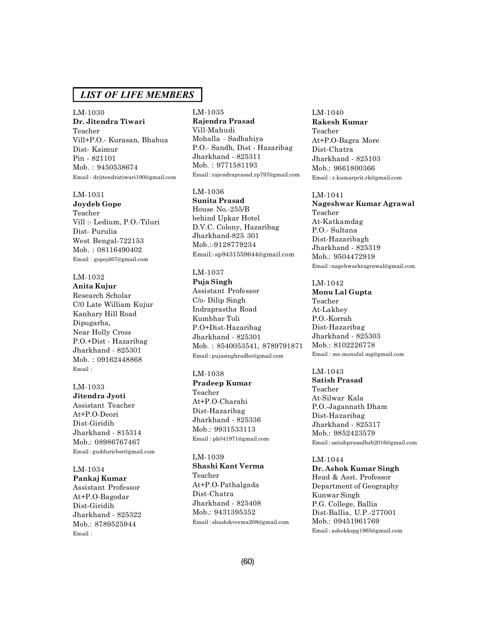LM-1030 **Dr. Jitendra Tiwari** Teacher Vill+P.O.- Kurasan, Bhabua Dist- Kaimur Pin - 821101 Mob. : 9450538674 Email : drjitendratiwari190@gmail.com

#### LM-1031

**Joydeb Gope** Teacher Vill :- Ledium, P.O.-Tiluri Dist- Purulia West Bengal-722153 Mob. : 08116490402 Email : gopejd67@gmail.com

#### LM-1032

**Anita Kujur** Research Scholar C/0 Late William Kujur Kanhary Hill Road Dipugarha, Near Holly Cross P.O.+Dist - Hazaribag Jharkhand - 825301 Mob. : 09162448868 Email :

# LM-1033

**Jitendra Jyoti** Assistant Teacher At+P.O-Deori Dist-Giridih Jharkhand - 815314 Mob.: 08986767467 Email : gudduricbsr@gmail.com

#### LM-1034

**Pankaj Kumar** Assistant Professor At+P.O-Bagodar Dist-Giridih Jharkhand - 825322 Mob.: 8789525944 Email :

LM-1035 **Rajendra Prasad** Vill-Mahudi Mohalla - Sadbahiya P.O.- Sandh, Dist - Hazaribag Jharkhand - 825311 Mob. : 9771581193 Email : rajendraprasad.rp797@gmail.com

### LM-1036 **Sunita Prasad** House No.-255/B behind Upkar Hotel D.V.C. Colony, Hazaribag Jharkhand-825 301 Mob.:-9128779234 Email:-sp9431559644@gmail.com

# LM-1037

**Puja Singh** Assistant Professor C/o- Dilip Singh Indraprastha Road Kumbhar Toli P.O+Dist-Hazaribag Jharkhand - 825301 Mob. : 8540053541, 8789791871 Email : pujasinghradhe@gmail.com

#### LM-1038

**Pradeep Kumar** Teacher At+P.O-Charahi Dist-Hazaribag Jharkhand - 825336 Mob.: 9931533113 Email : pk041971@gmail.com

#### LM-1039

**Shashi Kant Verma** Teacher At+P.O-Pathalgada Dist-Chatra Jharkhand - 825408 Mob.: 9431395352 Email : shashikverma208@gmail.com LM-1040 **Rakesh Kumar** Teacher At+P.O-Bagra More Dist-Chatra Jharkhand - 825103 Mob.: 9661800366 Email : r.kumarprit.rk@gmail.com

### LM-1041

**Nageshwar Kumar Agrawal** Teacher At-Katkamdag P.O.- Sultana Dist-Hazaribagh Jharkhand - 825319 Mob.: 9504472919 Email : nagehwarkragrawal@gmail.com

#### LM-1042

**Monu Lal Gupta** Teacher At-Lakhey P.O.-Korrah Dist-Hazaribag Jharkhand - 825303 Mob.: 8102226778 Email : me.monulal.mg@gmail.com

LM-1043 **Satish Prasad** Teacher At-Silwar Kala P.O.-Jagannath Dham Dist-Hazaribag Jharkhand - 825317 Mob.: 9852423579 Email : satishprasadhzb2016@gmail.com

LM-1044 **Dr. Ashok Kumar Singh** Head & Asst. Professor Department of Geography Kunwar Singh P.G. College, Ballia Dist-Ballia, U.P.-277001 Mob.: 09451961769 Email : ashokkspg1965@gmail.com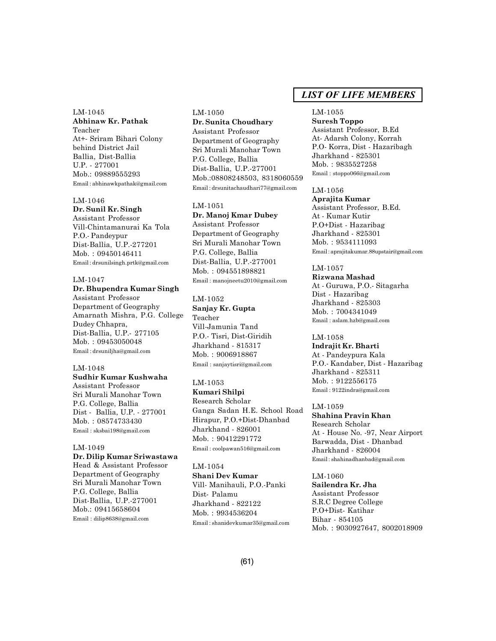LM-1045 **Abhinaw Kr. Pathak** Teacher At+- Sriram Bihari Colony behind District Jail Ballia, Dist-Ballia U.P. - 277001 Mob.: 09889555293 Email : abhinawkpathak@gmail.com

#### LM-1046

**Dr. Sunil Kr. Singh**

Assistant Professor Vill-Chintamanurai Ka Tola P.O.- Pandeypur Dist-Ballia, U.P.-277201 Mob. : 09450146411 Email : drsunilsingh.prtk@gmail.com

# LM-1047

#### **Dr. Bhupendra Kumar Singh**

Assistant Professor Department of Geography Amarnath Mishra, P.G. College Dudey Chhapra, Dist-Ballia, U.P.- 277105 Mob. : 09453050048 Email : drsuniljha@gmail.com

#### LM-1048

**Sudhir Kumar Kushwaha** Assistant Professor Sri Murali Manohar Town P.G. College, Ballia Dist - Ballia, U.P. - 277001 Mob. : 08574733430 Email : sksbai198@gmail.com

#### LM-1049 **Dr. Dilip Kumar Sriwastawa**

Head & Assistant Professor Department of Geography Sri Murali Manohar Town P.G. College, Ballia Dist-Ballia, U.P.-277001 Mob.: 09415658604 Email : dilip8638@gmail.com

# LM-1050 **Dr. Sunita Choudhary** Assistant Professor Department of Geography

Sri Murali Manohar Town P.G. College, Ballia Dist-Ballia, U.P.-277001 Mob.:08808248503, 8318060559 Email : drsunitachaudhari77@gmail.com

#### LM-1051

**Dr. Manoj Kmar Dubey** Assistant Professor Department of Geography Sri Murali Manohar Town P.G. College, Ballia Dist-Ballia, U.P.-277001 Mob. : 094551898821 Email : manojneetu2010@gmail.com

# LM-1052 **Sanjay Kr. Gupta** Teacher Vill-Jamunia Tand P.O.- Tisri, Dist-Giridih Jharkhand - 815317

Mob. : 9006918867 Email : sanjaytisri@gmail.com

#### LM-1053

**Kumari Shilpi** Research Scholar Ganga Sadan H.E. School Road Hirapur, P.O.+Dist-Dhanbad Jharkhand - 826001 Mob. : 90412291772 Email : coolpawan516@gmail.com

# LM-1054

**Shani Dev Kumar** Vill- Manihauli, P.O.-Panki Dist- Palamu Jharkhand - 822122 Mob. : 9934536204 Email : shanidevkumar35@gmail.com

# *LIST OF LIFE MEMBERS*

#### LM-1055

**Suresh Toppo** Assistant Professor, B.Ed At- Adarsh Colony, Korrah P.O- Korra, Dist - Hazaribagh Jharkhand - 825301 Mob. : 9835527258 Email : stoppo066@gmail.com

### LM-1056

**Aprajita Kumar** Assistant Professor, B.Ed. At - Kumar Kutir P.O+Dist - Hazaribag Jharkhand - 825301 Mob. : 9534111093 Email : aprajitakumar.88upstair@gmail.com

#### LM-1057 **Rizwana Mashad**

At - Guruwa, P.O.- Sitagarha Dist - Hazaribag Jharkhand - 825303 Mob. : 7004341049 Email : aslam.hzb@gmail.com

#### LM-1058

**Indrajit Kr. Bharti** At - Pandeypura Kala P.O.- Kandaber, Dist - Hazaribag Jharkhand - 825311 Mob. : 9122556175 Email : 9122indra@gmail.com

### LM-1059 **Shahina Pravin Khan** Research Scholar At - House No. -97, Near Airport Barwadda, Dist - Dhanbad Jharkhand - 826004 Email : shahinadhanbad@gmail.com

LM-1060 **Sailendra Kr. Jha** Assistant Professor S.R.C Degree College P.O+Dist- Katihar Bihar - 854105 Mob. : 9030927647, 8002018909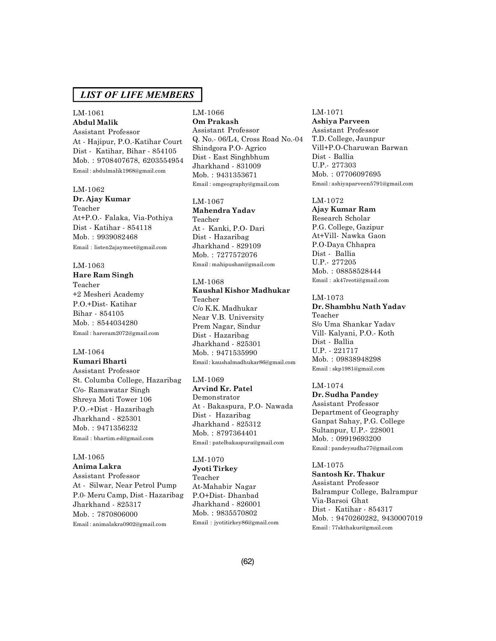### LM-1061 **Abdul Malik**

Assistant Professor At - Hajipur, P.O.-Katihar Court Dist - Katihar, Bihar - 854105 Mob. : 9708407678, 6203554954 Email : abdulmalik1968@gmail.com

#### LM-1062

**Dr. Ajay Kumar** Teacher At+P.O.- Falaka, Via-Pothiya Dist - Katihar - 854118 Mob. : 9939082468 Email : listen2ajaymeet@gmail.com

#### LM-1063

**Hare Ram Singh** Teacher +2 Mesheri Academy P.O.+Dist- Katihar Bihar - 854105 Mob. : 8544034280 Email : hareram2072@gmail.com

#### LM-1064 **Kumari Bharti**

Assistant Professor St. Columba College, Hazaribag C/o- Ramawatar Singh Shreya Moti Tower 106 P.O.-+Dist - Hazaribagh Jharkhand - 825301 Mob. : 9471356232 Email : bhartim.ed@gmail.com

# LM-1065

**Anima Lakra** Assistant Professor At - Silwar, Near Petrol Pump P.0- Meru Camp, Dist - Hazaribag Jharkhand - 825317 Mob. : 7870806000 Email : animalakra0902@gmail.com

# LM-1066 **Om Prakash**

Assistant Professor Q. No.- 06/L4, Cross Road No.-04 Shindgora P.O- Agrico Dist - East Singhbhum Jharkhand - 831009 Mob. : 9431353671 Email : omgeography@gmail.com

# LM-1067

**Mahendra Yadav** Teacher At - Kanki, P.O- Dari Dist - Hazaribag Jharkhand - 829109 Mob. : 7277572076 Email : mahipushan@gmail.com

# LM-1068

**Kaushal Kishor Madhukar** Teacher C/o K.K. Madhukar Near V.B. University Prem Nagar, Sindur Dist - Hazaribag Jharkhand - 825301 Mob. : 9471535990 Email : kaushalmadhukar86@gmail.com

LM-1069 **Arvind Kr. Patel** Demonstrator At - Bakaspura, P.O- Nawada Dist - Hazaribag Jharkhand - 825312 Mob. : 8797364401 Email : patelbakaspura@gmail.com

LM-1070 **Jyoti Tirkey** Teacher At-Mahabir Nagar P.O+Dist- Dhanbad Jharkhand - 826001 Mob. : 9835570802 Email : jyotitirkey86@gmail.com

#### LM-1071

**Ashiya Parveen** Assistant Professor T.D. College, Jaunpur Vill+P.O-Charuwan Barwan Dist - Ballia U.P.- 277303 Mob. : 07706097695 Email : ashiyaparveen5791@gmail.com

# LM-1072

**Ajay Kumar Ram** Research Scholar P.G. College, Gazipur At+Vill- Nawka Gaon P.O-Daya Chhapra Dist - Ballia U.P.- 277205 Mob. : 08858528444 Email : ak47reoti@gmail.com

#### LM-1073

**Dr. Shambhu Nath Yadav** Teacher S/o Uma Shankar Yadav Vill- Kalyani, P.O.- Koth Dist - Ballia U.P. - 221717 Mob. : 09838948298 Email : skp1981@gmail.com

# LM-1074

**Dr. Sudha Pandey** Assistant Professor Department of Geography Ganpat Sahay, P.G. College Sultanpur, U.P.- 228001 Mob. : 09919693200 Email : pandeysudha77@gmail.com

#### LM-1075

**Santosh Kr. Thakur** Assistant Professor Balrampur College, Balrampur Via-Barsoi Ghat Dist - Katihar - 854317 Mob. : 9470260282, 9430007019 Email : 77skthakur@gmail.com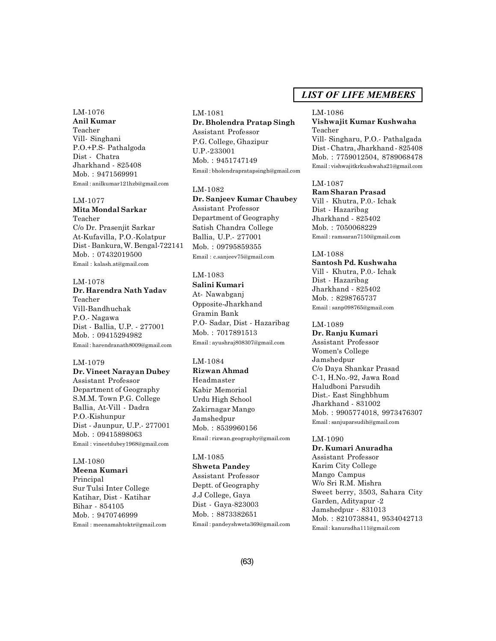#### LM-1076

**Anil Kumar** Teacher Vill- Singhani P.O.+P.S- Pathalgoda Dist - Chatra Jharkhand - 825408 Mob. : 9471569991 Email : anilkumar121hzb@gmail.com

#### LM-1077

**Mita Mondal Sarkar** Teacher C/o Dr. Prasenjit Sarkar At-Kufavilla, P.O.-Kolatpur Dist - Bankura, W. Bengal-722141 Mob. : 07432019500 Email : kalash.at@gmail.com

### LM-1078

# **Dr. Harendra Nath Yadav** Teacher Vill-Bandhuchak P.O.- Nagawa Dist - Ballia, U.P. - 277001 Mob. : 09415294982 Email : harendranath8009@gmail.com

#### LM-1079

**Dr. Vineet Narayan Dubey** Assistant Professor Department of Geography S.M.M. Town P.G. College Ballia, At-Vill - Dadra P.O.-Kishunpur Dist - Jaunpur, U.P.- 277001 Mob. : 09415898063 Email : vineetdubey1968@gmail.com

### LM-1080 **Meena Kumari** Principal Sur Tulsi Inter College Katihar, Dist - Katihar Bihar - 854105

Mob. : 9470746999 Email : meenamahtoktr@gmail.com

# LM-1081 **Dr. Bholendra Pratap Singh** Assistant Professor P.G. College, Ghazipur U.P.-233001

Mob. : 9451747149 Email : bholendrapratapsingh@gmail.com

### LM-1082

**Dr. Sanjeev Kumar Chaubey** Assistant Professor Department of Geography Satish Chandra College Ballia, U.P.- 277001 Mob. : 09795859355 Email : c.sanjeev75@gmail.com

# LM-1083

**Salini Kumari** At- Nawabganj Opposite-Jharkhand Gramin Bank P.O- Sadar, Dist - Hazaribag Mob. : 7017891513 Email : ayushraj808307@gmail.com

# LM-1084

**Rizwan Ahmad** Headmaster Kabir Memorial Urdu High School Zakirnagar Mango Jamshedpur Mob. : 8539960156 Email : rizwan.geography@gmail.com

# LM-1085

**Shweta Pandey** Assistant Professor Deptt. of Geography J.J College, Gaya Dist - Gaya-823003 Mob. : 8873382651 Email : pandeyshweta369@gmail.com

# *LIST OF LIFE MEMBERS*

# LM-1086

**Vishwajit Kumar Kushwaha** Teacher

Vill- Singharu, P.O.- Pathalgada Dist - Chatra, Jharkhand - 825408 Mob. : 7759012504, 8789068478 Email : vishwajitkrkushwaha21@gmail.com

#### LM-1087

**Ram Sharan Prasad** Vill - Khutra, P.0.- Ichak Dist - Hazaribag Jharkhand - 825402 Mob. : 7050068229 Email : ramsaran7150@gmail.com

### LM-1088

**Santosh Pd. Kushwaha** Vill - Khutra, P.0.- Ichak Dist - Hazaribag Jharkhand - 825402 Mob. : 8298765737 Email : sanp098765@gmail.com

#### LM-1089

**Dr. Ranju Kumari** Assistant Professor Women's College Jamshedpur C/o Daya Shankar Prasad C-1, H.No.-92, Jawa Road Haludboni Parsudih Dist.- East Singhbhum Jharkhand - 831002 Mob. : 9905774018, 9973476307 Email : sanjuparsudih@gmail.com

### LM-1090 **Dr. Kumari Anuradha** Assistant Professor Karim City College Mango Campus W/o Sri R.M. Mishra Sweet berry, 3503, Sahara City Garden, Adityapur -2 Jamshedpur - 831013

Mob. : 8210738841, 9534042713 Email : kanuradha111@gmail.com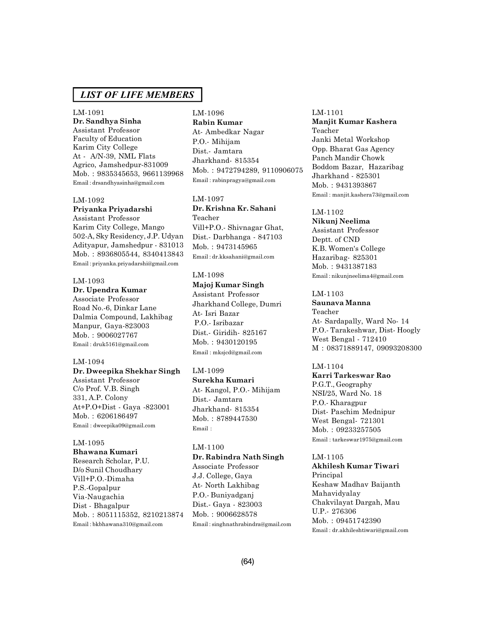#### LM-1091

**Dr. Sandhya Sinha** Assistant Professor Faculty of Education Karim City College At - A/N-39, NML Flats Agrico, Jamshedpur-831009 Mob. : 9835345653, 9661139968 Email : drsandhyasinha@gmail.com

#### LM-1092

# **Priyanka Priyadarshi**

Assistant Professor Karim City College, Mango 502-A, Sky Residency, J.P. Udyan Adityapur, Jamshedpur - 831013 Mob. : 8936805544, 8340413843 Email : priyanka.priyadarshi@gmail.com

# LM-1093

# **Dr. Upendra Kumar**

Associate Professor Road No.-6, Dinkar Lane Dalmia Compound, Lakhibag Manpur, Gaya-823003 Mob. : 9006027767 Email : druk5161@gmail.com

#### LM-1094

# **Dr. Dweepika Shekhar Singh**

Assistant Professor C/o Prof. V.B. Singh 331, A.P. Colony At+P.O+Dist - Gaya -823001 Mob. : 6206186497 Email : dweepika09@gmail.com

#### LM-1095

**Bhawana Kumari** Research Scholar, P.U. D/o Sunil Choudhary Vill+P.O.-Dimaha P.S.-Gopalpur Via-Naugachia Dist - Bhagalpur Mob. : 8051115352, 8210213874 Email : bkbhawana310@gmail.com

# LM-1096 **Rabin Kumar**

At- Ambedkar Nagar P.O.- Mihijam Dist.- Jamtara Jharkhand- 815354 Mob. : 9472794289, 9110906075 Email : rabinpragya@gmail.com

# LM-1097 **Dr. Krishna Kr. Sahani** Teacher Vill+P.O.- Shivnagar Ghat, Dist.- Darbhanga - 847103 Mob. : 9473145965 Email : dr.kksahani@gmail.com

# LM-1098

**Majoj Kumar Singh** Assistant Professor Jharkhand College, Dumri At- Isri Bazar P.O.- Isribazar Dist.- Giridih- 825167 Mob. : 9430120195 Email : mksjcd@gmail.com

#### LM-1099

**Surekha Kumari** At- Kangol, P.O.- Mihijam Dist.- Jamtara Jharkhand- 815354 Mob. : 8789447530 Email :

#### LM-1100

# **Dr. Rabindra Nath Singh** Associate Professor J.J. College, Gaya At- North Lakhibag P.O.- Buniyadganj Dist.- Gaya - 823003 Mob. : 9006628578

Email : singhnathrabindra@gmail.com

#### LM-1101

**Manjit Kumar Kashera** Teacher Janki Metal Workshop Opp. Bharat Gas Agency Panch Mandir Chowk Boddom Bazar, Hazaribag Jharkhand - 825301 Mob. : 9431393867 Email : manjit.kashera73@gmail.com

#### LM-1102

**Nikunj Neelima** Assistant Professor Deptt. of CND K.B. Women's College Hazaribag- 825301 Mob. : 9431387183 Email : nikunjneelima4@gmail.com

# LM-1103

**Saunava Manna** Teacher At- Sardapally, Ward No- 14 P.O.- Tarakeshwar, Dist- Hoogly West Bengal - 712410 M : 08371889147, 09093208300

# LM-1104

**Karri Tarkeswar Rao** P.G.T., Geography NSI/25, Ward No. 18 P.O.- Kharagpur Dist- Paschim Mednipur West Bengal- 721301 Mob. : 09233257505 Email : tarkeswar1975@gmail.com

#### LM-1105

**Akhilesh Kumar Tiwari** Principal Keshaw Madhav Baijanth Mahavidyalay Chakvilayat Dargah, Mau U.P.- 276306 Mob. : 09451742390 Email : dr.akhileshtiwari@gmail.com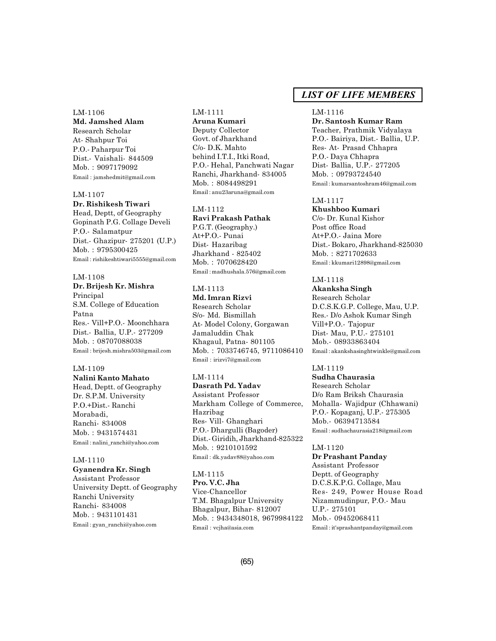#### LM-1106

**Md. Jamshed Alam** Research Scholar At- Shahpur Toi P.O.- Paharpur Toi Dist.- Vaishali- 844509 Mob. : 9097179092 Email : jamshedmit@gmail.com

#### LM-1107

# **Dr. Rishikesh Tiwari**

Head, Deptt, of Geography Gopinath P.G. Collage Develi P.O.- Salamatpur Dist.- Ghazipur- 275201 (U.P.) Mob. : 9795300425 Email : rishikeshtiwari5555@gmail.com

# LM-1108

**Dr. Brijesh Kr. Mishra** Principal S.M. College of Education Patna Res.- Vill+P.O.- Moonchhara Dist.- Ballia, U.P.- 277209 Mob. : 08707088038 Email : brijesh.mishra503@gmail.com

#### LM-1109

**Nalini Kanto Mahato** Head, Deptt. of Geography Dr. S.P.M. University P.O.+Dist.- Ranchi Morabadi, Ranchi- 834008 Mob. : 9431574431 Email : nalini\_ranchi@yahoo.com

#### LM-1110

**Gyanendra Kr. Singh** Assistant Professor University Deptt. of Geography Ranchi University Ranchi- 834008 Mob. : 9431101431 Email : gyan\_ranchi@yahoo.com

# LM-1111

**Aruna Kumari** Deputy Collector Govt. of Jharkhand C/o- D.K. Mahto behind I.T.I., Itki Road, P.O.- Hehal, Panchwati Nagar Ranchi, Jharkhand- 834005 Mob. : 8084498291 Email : anu23aruna@gmail.com

#### LM-1112

**Ravi Prakash Pathak** P.G.T. (Geography.) At+P.O.- Punai Dist- Hazaribag Jharkhand - 825402 Mob. : 7070628420 Email : madhushala.576@gmail.com

# LM-1113

**Md. Imran Rizvi** Research Scholar S/o- Md. Bismillah At- Model Colony, Gorgawan Jamaluddin Chak Khagaul, Patna- 801105 Mob. : 7033746745, 9711086410 Email : irizvi7@gmail.com

### LM-1114

**Dasrath Pd. Yadav** Assistant Professor Markham College of Commerce, Hazribag Res- Vill- Ghanghari P.O.- Dhargulli (Bagoder) Dist.- Giridih, Jharkhand-825322 Mob. : 9210101592 Email : dk.yadav88@yahoo.com

LM-1115 **Pro. V.C. Jha** Vice-Chancellor T.M. Bhagalpur University Bhagalpur, Bihar- 812007 Mob. : 9434348018, 9679984122 Email : vcjha@asia.com

# *LIST OF LIFE MEMBERS*

#### LM-1116

**Dr. Santosh Kumar Ram** Teacher, Prathmik Vidyalaya P.O.- Bairiya, Dist.- Ballia, U.P. Res- At- Prasad Chhapra P.O.- Daya Chhapra Dist- Ballia, U.P.- 277205 Mob. : 09793724540 Email : kumarsantoshram46@gmail.com

# LM-1117

**Khushboo Kumari** C/o- Dr. Kunal Kishor Post office Road At+P.O.- Jaina More Dist.- Bokaro, Jharkhand-825030 Mob. : 8271702633 Email : kkumari12898@gmail.com

# LM-1118

**Akanksha Singh** Research Scholar D.C.S.K.G.P. College, Mau, U.P. Res.- D/o Ashok Kumar Singh Vill+P.O.- Tajopur Dist- Mau, P.U.- 275101 Mob.- 08933863404 Email : akankshasinghtwinkle@gmail.com

# LM-1119

**Sudha Chaurasia** Research Scholar D/o Ram Briksh Chaurasia Mohalla- Wajidpur (Chhawani) P.O.- Kopaganj, U.P.- 275305 Mob.- 06394713584 Email : sudhachaurasia218@gmail.com

#### LM-1120

**Dr Prashant Panday** Assistant Professor Deptt. of Geography D.C.S.K.P.G. Collage, Mau Res- 249, Power House Road Nizammudinpur, P.O.- Mau U.P.- 275101 Mob.- 09452068411 Email : it'sprashantpanday@gmail.com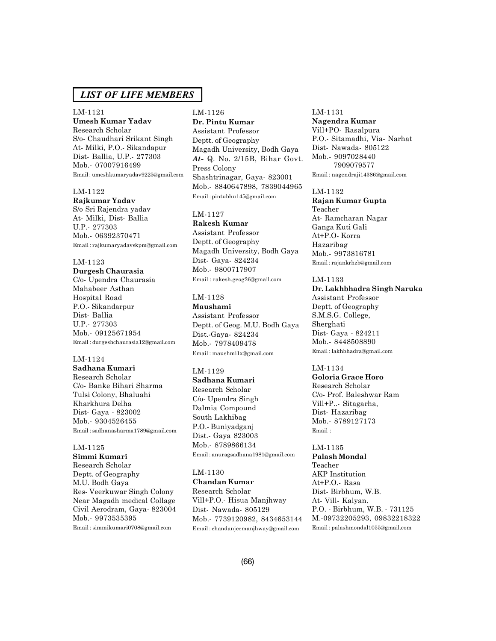#### LM-1121

**Umesh Kumar Yadav** Research Scholar S/o- Chaudhari Srikant Singh At- Milki, P.O.- Sikandapur Dist- Ballia, U.P.- 277303 Mob.- 07007916499 Email : umeshkumaryadav9225@gmail.com

#### LM-1122

**Rajkumar Yadav** S/o Sri Rajendra yadav At- Milki, Dist- Ballia U.P.- 277303 Mob.- 06392370471 Email : rajkumaryadavskpm@gmail.com

#### LM-1123

**Durgesh Chaurasia** C/o- Upendra Chaurasia Mahabeer Asthan Hospital Road P.O.- Sikandarpur Dist- Ballia U.P.- 277303 Mob.- 09125671954 Email : durgeshchaurasia12@gmail.com

#### LM-1124

**Sadhana Kumari** Research Scholar C/o- Banke Bihari Sharma Tulsi Colony, Bhaluahi Kharkhura Delha Dist- Gaya - 823002 Mob.- 9304526455 Email : sadhanasharma1789@gmail.com

# LM-1125

**Simmi Kumari** Research Scholar Deptt. of Geography M.U. Bodh Gaya Res- Veerkuwar Singh Colony Near Magadh medical Collage Civil Aerodram, Gaya- 823004 Mob.- 9973535395 Email : simmikumari0708@gmail.com

# LM-1126 **Dr. Pintu Kumar** Assistant Professor Deptt. of Geography Magadh University, Bodh Gaya *At-* Q. No. 2/15B, Bihar Govt. Press Colony Shashtrinagar, Gaya- 823001 Mob.- 8840647898, 7839044965 Email : pintubhu145@gmail.com

# LM-1127

**Rakesh Kumar** Assistant Professor Deptt. of Geography Magadh University, Bodh Gaya Dist- Gaya- 824234 Mob.- 9800717907 Email : rakesh.geog26@gmail.com

#### LM-1128

**Maushami** Assistant Professor Deptt. of Geog. M.U. Bodh Gaya Dist.-Gaya- 824234 Mob.- 7978409478 Email : maushmi1x@gmail.com

#### LM-1129

**Sadhana Kumari** Research Scholar C/o- Upendra Singh Dalmia Compound South Lakhibag P.O.- Buniyadganj Dist.- Gaya 823003 Mob.- 8789866134 Email : anuragsadhana1981@gmail.com

#### LM-1130

**Chandan Kumar** Research Scholar Vill+P.O.- Hisua Manjhway Dist- Nawada- 805129 Mob.- 7739120982, 8434653144 Email : chandanjeemanjhway@gmail.com

#### LM-1131

**Nagendra Kumar** Vill+PO- Rasalpura P.O.- Sitamadhi, Via- Narhat Dist- Nawada- 805122 Mob.- 9097028440 7909079577 Email : nagendraji14386@gmail.com

#### LM-1132

**Rajan Kumar Gupta** Teacher At- Ramcharan Nagar Ganga Kuti Gali At+P.O- Korra Hazaribag Mob.- 9973816781 Email : rajankrhzb@gmail.com

# LM-1133

**Dr. Lakhbhadra Singh Naruka** Assistant Professor Deptt. of Geography S.M.S.G. College, Sherghati Dist- Gaya - 824211 Mob.- 8448508890 Email : lakhbhadra@gmail.com

#### LM-1134

**Goloria Grace Horo** Research Scholar C/o- Prof. Baleshwar Ram Vill+P..- Sitagarha, Dist- Hazaribag Mob.- 8789127173 Email :

LM-1135 **Palash Mondal** Teacher AKP Institution At+P.O.- Rasa Dist- Birbhum, W.B. At- Vill- Kalyan. P.O. - Birbhum, W.B. - 731125 M.-09732205293, 09832218322 Email : palashmondal1055@gmail.com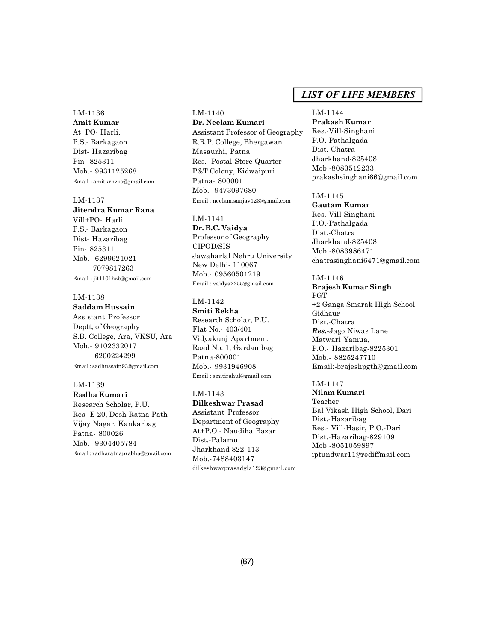LM-1136 **Amit Kumar** At+PO- Harli, P.S.- Barkagaon Dist- Hazaribag Pin- 825311 Mob.- 9931125268 Email : amitkrhzbo@gmail.com

LM-1137 **Jitendra Kumar Rana** Vill+PO- Harli P.S.- Barkagaon Dist- Hazaribag Pin- 825311 Mob.- 6299621021 7079817263 Email : jit1101hzb@gmail.com

# LM-1138

# **Saddam Hussain**

Assistant Professor Deptt, of Geography S.B. College, Ara, VKSU, Ara Mob.- 9102332017 6200224299 Email : sadhussain93@gmail.com

### LM-1139

**Radha Kumari** Research Scholar, P.U. Res- E-20, Desh Ratna Path Vijay Nagar, Kankarbag Patna- 800026 Mob.- 9304405784 Email : radharatnaprabha@gmail.com LM-1140 **Dr. Neelam Kumari** Assistant Professor of Geography R.R.P. College, Bhergawan Masaurhi, Patna Res.- Postal Store Quarter P&T Colony, Kidwaipuri Patna- 800001 Mob.- 9473097680 Email : neelam.sanjay123@gmail.com

#### LM-1141

**Dr. B.C. Vaidya** Professor of Geography CIPOD/SIS Jawaharlal Nehru University New Delhi- 110067 Mob.- 09560501219 Email : vaidya2255@gmail.com

### LM-1142

**Smiti Rekha** Research Scholar, P.U. Flat No.- 403/401 Vidyakunj Apartment Road No. 1, Gardanibag Patna-800001 Mob.- 9931946908 Email : smitirahul@gmail.com

# LM-1143

**Dilkeshwar Prasad** Assistant Professor Department of Geography At+P.O.- Naudiha Bazar Dist.-Palamu Jharkhand-822 113 Mob.-7488403147 dilkeshwarprasadgla123@gmail.com

# *LIST OF LIFE MEMBERS*

LM-1144 **Prakash Kumar** Res.-Vill-Singhani P.O.-Pathalgada Dist.-Chatra Jharkhand-825408 Mob.-8083512233 prakashsinghani66@gmail.com

LM-1145 **Gautam Kumar** Res.-Vill-Singhani P.O.-Pathalgada Dist.-Chatra Jharkhand-825408 Mob.-8083986471 chatrasinghani6471@gmail.com

LM-1146 **Brajesh Kumar Singh** PGT +2 Ganga Smarak High School Gidhaur Dist.-Chatra *Res.-*Jago Niwas Lane Matwari Yamua, P.O.- Hazaribag-8225301 Mob.- 8825247710 Email:-brajeshpgth@gmail.com

LM-1147 **Nilam Kumari** Teacher Bal Vikash High School, Dari Dist.-Hazaribag Res.- Vill-Hasir, P.O.-Dari Dist.-Hazaribag-829109 Mob.-8051059897 iptundwar11@rediffmail.com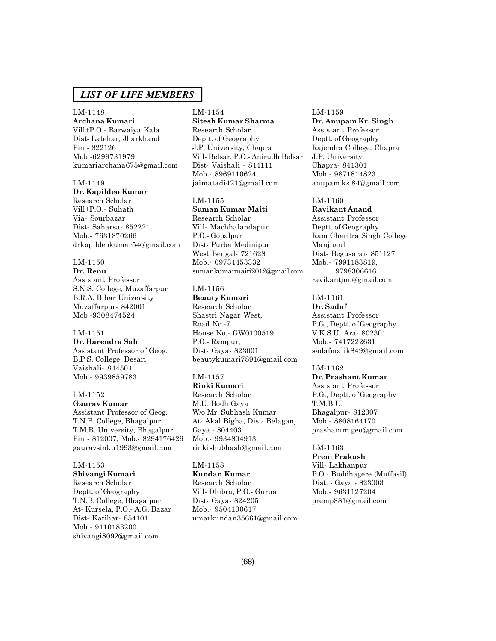#### LM-1148

**Archana Kumari** Vill+P.O.- Barwaiya Kala Dist- Latehar, Jharkhand Pin - 822126 Mob.-6299731979 kumariarchana675@gmail.com

#### LM-1149

**Dr. Kapildeo Kumar** Research Scholar Vill+P.O.- Suhath Via- Sourbazar Dist- Saharsa- 852221 Mob.- 7631870266 drkapildeokumar54@gmail.com

#### LM-1150

**Dr. Renu** Assistant Professor S.N.S. College, Muzaffarpur B.R.A. Bihar University Muzaffarpur- 842001 Mob.-9308474524

#### LM-1151

**Dr. Harendra Sah** Assistant Professor of Geog. B.P.S. College, Desari Vaishali- 844504 Mob.- 9939859783

LM-1152 **Gaurav Kumar** Assistant Professor of Geog. T.N.B. College, Bhagalpur T.M.B. University, Bhagalpur Pin - 812007, Mob.- 8294176426

gauravsinku1993@gmail.com

#### LM-1153

**Shivangi Kumari** Research Scholar Deptt. of Geography T.N.B. College, Bhagalpur At- Kursela, P.O.- A.G. Bazar Dist- Katihar- 854101 Mob.- 9110183200 shivangi8092@gmail.com

#### LM-1154

**Sitesh Kumar Sharma** Research Scholar Deptt. of Geography J.P. University, Chapra Vill- Belsar, P.O.- Anirudh Belsar Dist- Vaishali - 844111 Mob.- 8969110624 jaimatadi421@gmail.com

# LM-1155

**Suman Kumar Maiti** Research Scholar Vill- Machhalandapur P.O.- Gopalpur Dist- Purba Medinipur West Bengal- 721628 Mob.- 09734453332 sumankumarmaiti2012@gmail.com

#### LM-1156

**Beauty Kumari** Research Scholar Shastri Nagar West, Road No.-7 House No.- GW0100519 P.O.- Rampur, Dist- Gaya- 823001 beautykumari7891@gmail.com

#### LM-1157

**Rinki Kumari** Research Scholar M.U. Bodh Gaya W/o Mr. Subhash Kumar At- Akal Bigha, Dist- Belaganj Gaya - 804403 Mob.- 9934804913 rinkishubhash@gmail.com

#### LM-1158

**Kundan Kumar** Research Scholar Vill- Dhibra, P.O.- Gurua Dist- Gaya- 824205 Mob.- 9504100617 umarkundan35661@gmail.com

#### LM-1159

**Dr. Anupam Kr. Singh** Assistant Professor Deptt. of Geography Rajendra College, Chapra J.P. University, Chapra- 841301 Mob.- 9871814823 anupam.ks.84@gmail.com

# LM-1160

**Ravikant Anand** Assistant Professor Deptt. of Geography Ram Charitra Singh College Manjhaul Dist- Begusarai- 851127 Mob.- 7991183819, 9798306616 ravikantjnu@gmail.com

#### LM-1161 **Dr. Sadaf**

Assistant Professor P.G., Deptt. of Geography V.K.S.U. Ara- 802301 Mob.- 7417222631 sadafmalik849@gmail.com

#### LM-1162

**Dr. Prashant Kumar** Assistant Professor P.G., Deptt. of Geography T.M.B.U. Bhagalpur- 812007 Mob.- 8808164170 prashantm.geo@gmail.com

LM-1163 **Prem Prakash** Vill- Lakhanpur P.O.- Buddhagere (Muffasil) Dist. - Gaya - 823003 Mob.- 9631127204 premp881@gmail.com